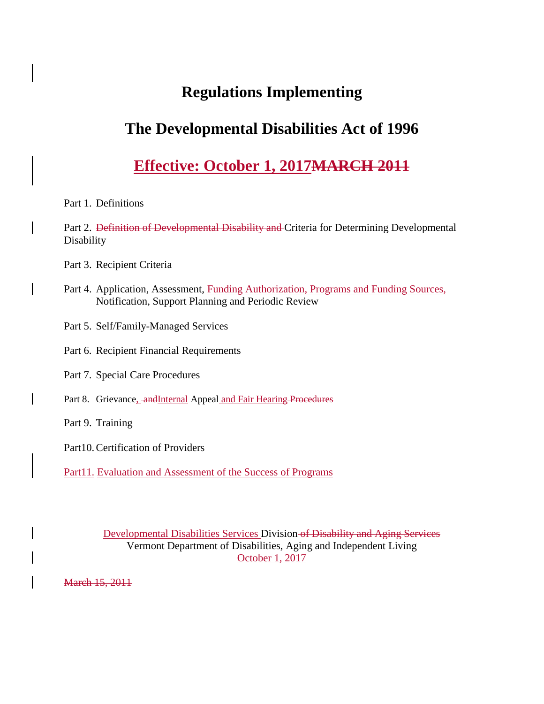# **Regulations Implementing**

# **The Developmental Disabilities Act of 1996**

# **Effective: October 1, 2017MARCH 2011**

# Part 1. Definitions

Part 2. Definition of Developmental Disability and Criteria for Determining Developmental Disability

- Part 3. Recipient Criteria
- Part 4. Application, Assessment, Funding Authorization, Programs and Funding Sources, Notification, Support Planning and Periodic Review
- Part 5. Self/Family-Managed Services
- Part 6. Recipient Financial Requirements
- Part 7. Special Care Procedures
- Part 8. Grievance, and Internal Appeal and Fair Hearing Procedures
- Part 9. Training
- Part10.Certification of Providers
- Part11. Evaluation and Assessment of the Success of Programs

Developmental Disabilities Services Division of Disability and Aging Services Vermont Department of Disabilities, Aging and Independent Living October 1, 2017

March 15, 2011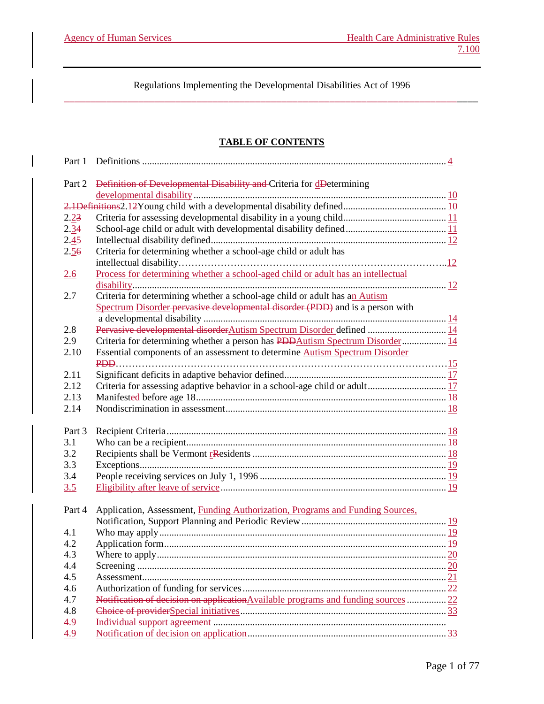# **TABLE OF CONTENTS**

| Part 1 |                                                                                    |
|--------|------------------------------------------------------------------------------------|
| Part 2 | Definition of Developmental Disability and Criteria for dDetermining               |
|        |                                                                                    |
|        |                                                                                    |
| 2.23   |                                                                                    |
| 2.34   |                                                                                    |
| 2.45   |                                                                                    |
| 2.56   | Criteria for determining whether a school-age child or adult has                   |
|        |                                                                                    |
| 2.6    | Process for determining whether a school-aged child or adult has an intellectual   |
|        |                                                                                    |
| 2.7    | Criteria for determining whether a school-age child or adult has an Autism         |
|        | Spectrum Disorder pervasive developmental disorder (PDD) and is a person with      |
|        |                                                                                    |
| 2.8    |                                                                                    |
| 2.9    | Criteria for determining whether a person has PDDAutism Spectrum Disorder 14       |
| 2.10   | Essential components of an assessment to determine Autism Spectrum Disorder        |
|        |                                                                                    |
| 2.11   |                                                                                    |
| 2.12   |                                                                                    |
| 2.13   |                                                                                    |
| 2.14   |                                                                                    |
|        |                                                                                    |
| Part 3 |                                                                                    |
| 3.1    |                                                                                    |
| 3.2    |                                                                                    |
| 3.3    |                                                                                    |
| 3.4    |                                                                                    |
| 3.5    |                                                                                    |
|        |                                                                                    |
| Part 4 | Application, Assessment, Funding Authorization, Programs and Funding Sources,      |
|        |                                                                                    |
| 4.1    |                                                                                    |
| 4.2    |                                                                                    |
| 43     | 20<br>Where to apply                                                               |
| 4.4    |                                                                                    |
| 4.5    |                                                                                    |
| 4.6    |                                                                                    |
| 4.7    | Notification of decision on application Available programs and funding sources  22 |
| 4.8    |                                                                                    |
| 4.9    |                                                                                    |
| 4.9    |                                                                                    |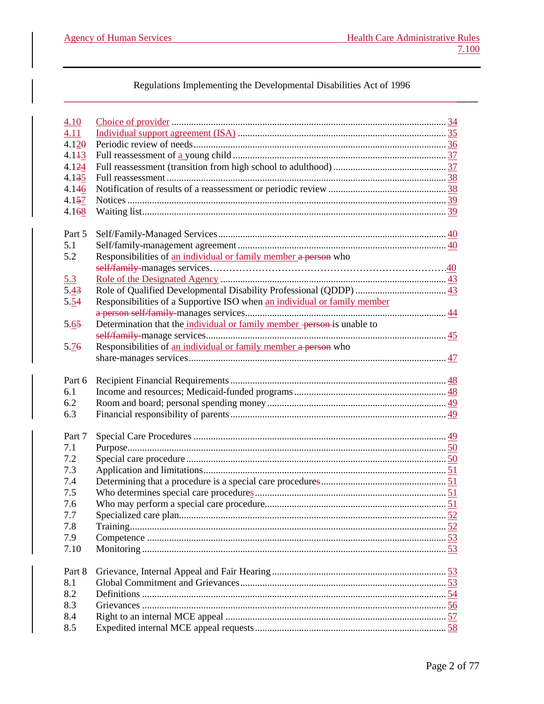# Regulations Implementing the Developmental Disabilities Act of 1996

| 4.10   |                                                                          |  |
|--------|--------------------------------------------------------------------------|--|
| 4.11   |                                                                          |  |
| 4.120  |                                                                          |  |
| 4.143  |                                                                          |  |
| 4.124  |                                                                          |  |
| 4.135  |                                                                          |  |
| 4.146  |                                                                          |  |
| 4.157  |                                                                          |  |
| 4.168  |                                                                          |  |
|        |                                                                          |  |
| Part 5 |                                                                          |  |
| 5.1    |                                                                          |  |
| 5.2    | Responsibilities of an individual or family member a person who          |  |
|        |                                                                          |  |
| 5.3    |                                                                          |  |
| 5.43   |                                                                          |  |
| 5.54   | Responsibilities of a Supportive ISO when an individual or family member |  |
|        |                                                                          |  |
| 5.65   | Determination that the individual or family member person is unable to   |  |
|        |                                                                          |  |
| 5.76   | Responsibilities of an individual or family member a person who          |  |
|        |                                                                          |  |
|        |                                                                          |  |
| Part 6 |                                                                          |  |
| 6.1    |                                                                          |  |
| 6.2    |                                                                          |  |
| 6.3    |                                                                          |  |
|        |                                                                          |  |
| Part 7 |                                                                          |  |
| 7.1    |                                                                          |  |
|        |                                                                          |  |
| 7.2    |                                                                          |  |
| 7.3    |                                                                          |  |
| 7.4    |                                                                          |  |
| 7.5    |                                                                          |  |
| 7.6    |                                                                          |  |
| 7.7    |                                                                          |  |
| 7.8    |                                                                          |  |
| 7.9    |                                                                          |  |
| 7.10   |                                                                          |  |
|        |                                                                          |  |
| Part 8 |                                                                          |  |
|        |                                                                          |  |
| 8.1    |                                                                          |  |
| 8.2    |                                                                          |  |
| 8.3    |                                                                          |  |
| 8.4    |                                                                          |  |
| 8.5    |                                                                          |  |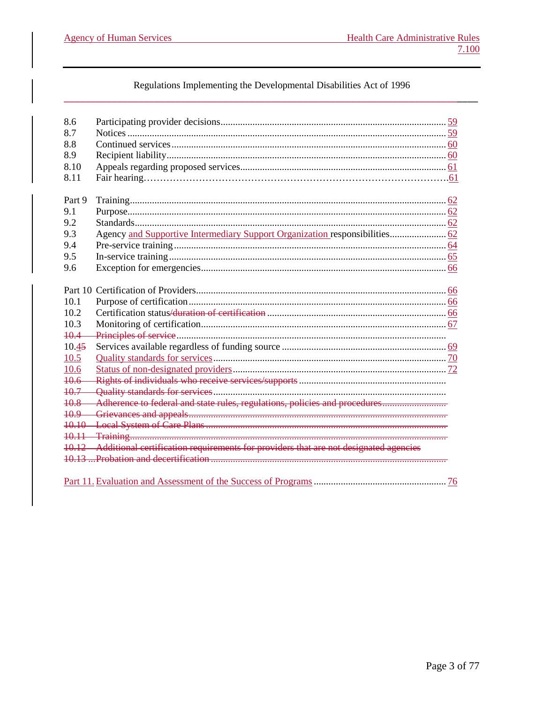**Agency of Human Services** 

# Regulations Implementing the Developmental Disabilities Act of 1996

| 8.6             |                                                                                            |  |
|-----------------|--------------------------------------------------------------------------------------------|--|
| 8.7             |                                                                                            |  |
| 8.8             |                                                                                            |  |
| 8.9             |                                                                                            |  |
| 8.10            |                                                                                            |  |
| 8.11            |                                                                                            |  |
|                 |                                                                                            |  |
| Part 9          |                                                                                            |  |
| 9.1             |                                                                                            |  |
| 9.2             |                                                                                            |  |
| 9.3             | Agency and Supportive Intermediary Support Organization responsibilities 62                |  |
| 9.4             |                                                                                            |  |
| 9.5             |                                                                                            |  |
| 9.6             |                                                                                            |  |
|                 |                                                                                            |  |
|                 |                                                                                            |  |
| 10.1            |                                                                                            |  |
| 10.2            |                                                                                            |  |
| 10.3            |                                                                                            |  |
| $+0.4$          |                                                                                            |  |
| 10.45           |                                                                                            |  |
| 10.5            |                                                                                            |  |
| 10.6            |                                                                                            |  |
| $10.6 -$        |                                                                                            |  |
| $10.7 -$        |                                                                                            |  |
| $10.8 -$        | Adherence to federal and state rules, regulations, policies and procedures                 |  |
| <del>10.9</del> |                                                                                            |  |
|                 |                                                                                            |  |
|                 |                                                                                            |  |
|                 | 10.12 Additional certification requirements for providers that are not designated agencies |  |
|                 |                                                                                            |  |
|                 |                                                                                            |  |
|                 |                                                                                            |  |
|                 |                                                                                            |  |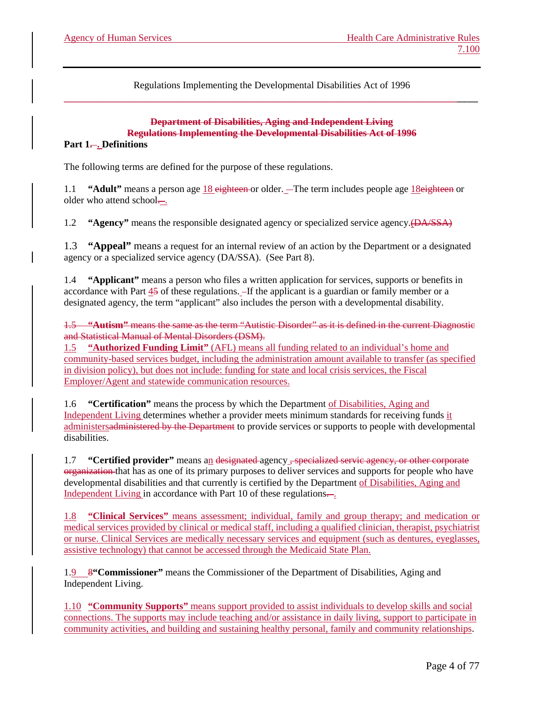#### **Department of Disabilities, Aging and Independent Living Regulations Implementing the Developmental Disabilities Act of 1996** Part 1—. Definitions

The following terms are defined for the purpose of these regulations.

1.1 **"Adult"** means a person age 18 eighteen or older. The term includes people age 18eighteen or older who attend school...

1.2 **"Agency"** means the responsible designated agency or specialized service agency.(DA/SSA)

1.3 **"Appeal"** means a request for an internal review of an action by the Department or a designated agency or a specialized service agency (DA/SSA). (See Part 8).

1.4 **"Applicant"** means a person who files a written application for services, supports or benefits in accordance with Part  $\frac{45}{15}$  of these regulations.  $\frac{1}{15}$  the applicant is a guardian or family member or a designated agency, the term "applicant" also includes the person with a developmental disability.

1.5 **"Autism"** means the same as the term "Autistic Disorder" as it is defined in the current Diagnostic and Statistical Manual of Mental Disorders (DSM).

1.5 **"Authorized Funding Limit"** (AFL) means all funding related to an individual's home and community-based services budget, including the administration amount available to transfer (as specified in division policy), but does not include: funding for state and local crisis services, the Fiscal Employer/Agent and statewide communication resources.

1.6 **"Certification"** means the process by which the Department of Disabilities, Aging and Independent Living determines whether a provider meets minimum standards for receiving funds it administersadministered by the Department to provide services or supports to people with developmental disabilities.

1.7 **"Certified provider"** means an designated agency , specialized servic agency, or other corporate organization that has as one of its primary purposes to deliver services and supports for people who have developmental disabilities and that currently is certified by the Department of Disabilities, Aging and Independent Living in accordance with Part 10 of these regulations $\frac{1}{\cdot}$ .

1.8 **"Clinical Services"** means assessment; individual, family and group therapy; and medication or medical services provided by clinical or medical staff, including a qualified clinician, therapist, psychiatrist or nurse. Clinical Services are medically necessary services and equipment (such as dentures, eyeglasses, assistive technology) that cannot be accessed through the Medicaid State Plan.

1.9 8**"Commissioner"** means the Commissioner of the Department of Disabilities, Aging and Independent Living.

1.10 **"Community Supports"** means support provided to assist individuals to develop skills and social connections. The supports may include teaching and/or assistance in daily living, support to participate in community activities, and building and sustaining healthy personal, family and community relationships.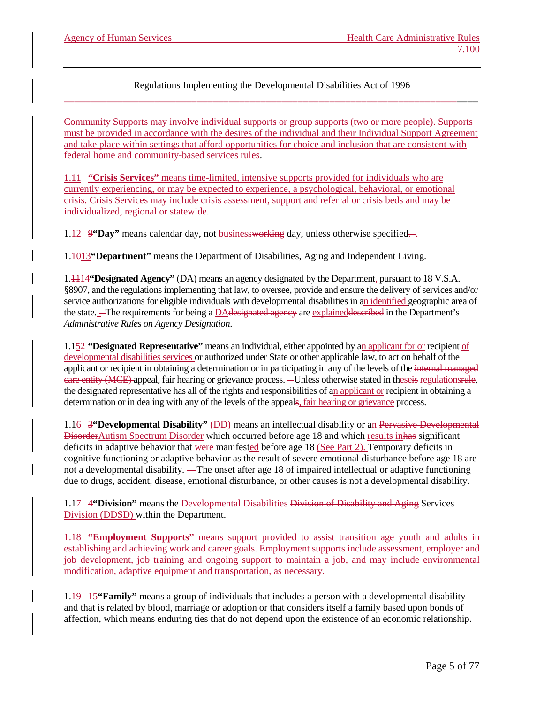Community Supports may involve individual supports or group supports (two or more people). Supports must be provided in accordance with the desires of the individual and their Individual Support Agreement and take place within settings that afford opportunities for choice and inclusion that are consistent with federal home and community-based services rules.

1.11 **"Crisis Services"** means time-limited, intensive supports provided for individuals who are currently experiencing, or may be expected to experience, a psychological, behavioral, or emotional crisis. Crisis Services may include crisis assessment, support and referral or crisis beds and may be individualized, regional or statewide.

1.12 9 **"Day"** means calendar day, not **businessworking** day, unless otherwise specified.

1.1013**"Department"** means the Department of Disabilities, Aging and Independent Living.

1.1114**"Designated Agency"** (DA) means an agency designated by the Department, pursuant to 18 V.S.A. §8907, and the regulations implementing that law, to oversee, provide and ensure the delivery of services and/or service authorizations for eligible individuals with developmental disabilities in an identified geographic area of the state. The requirements for being a DAdesignated agency are explained described in the Department's *Administrative Rules on Agency Designation*.

1.152 **"Designated Representative"** means an individual, either appointed by an applicant for or recipient of developmental disabilities services or authorized under State or other applicable law, to act on behalf of the applicant or recipient in obtaining a determination or in participating in any of the levels of the internal managed eare entity (MCE) appeal, fair hearing or grievance process. —Unless otherwise stated in theseis regulationsrule, the designated representative has all of the rights and responsibilities of an applicant or recipient in obtaining a determination or in dealing with any of the levels of the appeals, fair hearing or grievance process.

1.16 3**"Developmental Disability"** (DD) means an intellectual disability or an Pervasive Developmental DisorderAutism Spectrum Disorder which occurred before age 18 and which results inhas significant deficits in adaptive behavior that were manifested before age 18 (See Part 2). Temporary deficits in cognitive functioning or adaptive behavior as the result of severe emotional disturbance before age 18 are not a developmental disability. The onset after age 18 of impaired intellectual or adaptive functioning due to drugs, accident, disease, emotional disturbance, or other causes is not a developmental disability.

1.17 4**"Division"** means the Developmental Disabilities Division of Disability and Aging Services Division (DDSD) within the Department.

1.18 **"Employment Supports"** means support provided to assist transition age youth and adults in establishing and achieving work and career goals. Employment supports include assessment, employer and job development, job training and ongoing support to maintain a job, and may include environmental modification, adaptive equipment and transportation, as necessary.

1.19 15**"Family"** means a group of individuals that includes a person with a developmental disability and that is related by blood, marriage or adoption or that considers itself a family based upon bonds of affection, which means enduring ties that do not depend upon the existence of an economic relationship.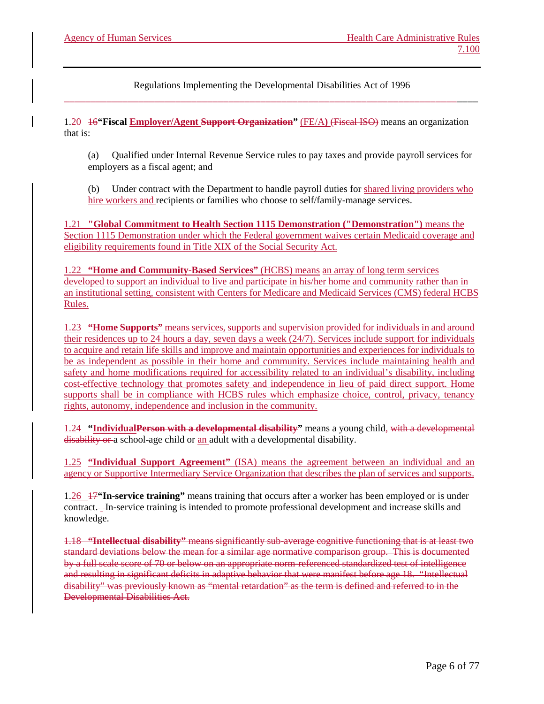1.20 16**"Fiscal Employer/Agent Support Organization"** (FE/A**)** (Fiscal ISO) means an organization that is:

(a) Qualified under Internal Revenue Service rules to pay taxes and provide payroll services for employers as a fiscal agent; and

(b) Under contract with the Department to handle payroll duties for shared living providers who hire workers and recipients or families who choose to self/family-manage services.

1.21 **"Global Commitment to Health Section 1115 Demonstration ("Demonstration")** means the Section 1115 Demonstration under which the Federal government waives certain Medicaid coverage and eligibility requirements found in Title XIX of the Social Security Act.

1.22 **"Home and Community-Based Services"** (HCBS) means an array of long term services developed to support an individual to live and participate in his/her home and community rather than in an institutional setting, consistent with Centers for Medicare and Medicaid Services (CMS) federal HCBS Rules.

1.23 **"Home Supports"** means services, supports and supervision provided for individuals in and around their residences up to 24 hours a day, seven days a week (24/7). Services include support for individuals to acquire and retain life skills and improve and maintain opportunities and experiences for individuals to be as independent as possible in their home and community. Services include maintaining health and safety and home modifications required for accessibility related to an individual's disability, including cost-effective technology that promotes safety and independence in lieu of paid direct support. Home supports shall be in compliance with HCBS rules which emphasize choice, control, privacy, tenancy rights, autonomy, independence and inclusion in the community.

1.24 **"IndividualPerson with a developmental disability"** means a young child, with a developmental disability or a school-age child or an adult with a developmental disability.

1.25 **"Individual Support Agreement"** (ISA) means the agreement between an individual and an agency or Supportive Intermediary Service Organization that describes the plan of services and supports.

1.26 17**"In-service training"** means training that occurs after a worker has been employed or is under contract. In-service training is intended to promote professional development and increase skills and knowledge.

1.18 **"Intellectual disability"** means significantly sub-average cognitive functioning that is at least two standard deviations below the mean for a similar age normative comparison group. This is documented by a full scale score of 70 or below on an appropriate norm-referenced standardized test of intelligence and resulting in significant deficits in adaptive behavior that were manifest before age 18. "Intellectual disability" was previously known as "mental retardation" as the term is defined and referred to in the Developmental Disabilities Act.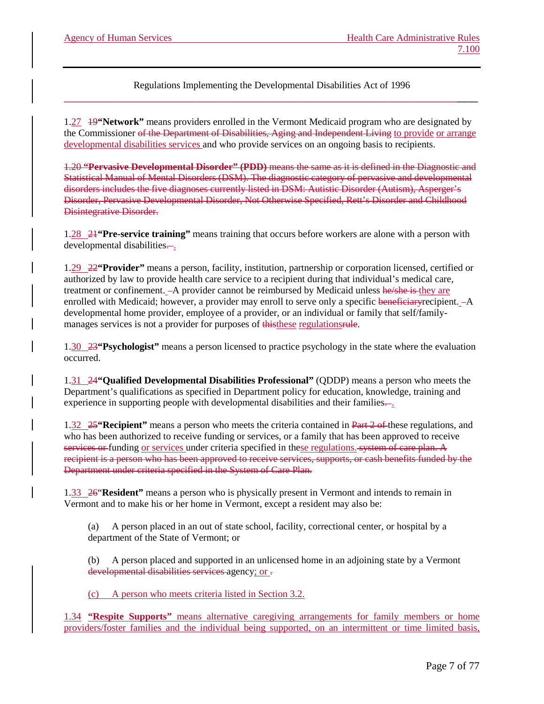1.27 19**"Network"** means providers enrolled in the Vermont Medicaid program who are designated by the Commissioner of the Department of Disabilities, Aging and Independent Living to provide or arrange developmental disabilities services and who provide services on an ongoing basis to recipients.

1.20 **"Pervasive Developmental Disorder" (PDD)** means the same as it is defined in the Diagnostic and Statistical Manual of Mental Disorders (DSM). The diagnostic category of pervasive and developmental disorders includes the five diagnoses currently listed in DSM: Autistic Disorder (Autism), Asperger's Disorder, Pervasive Developmental Disorder, Not Otherwise Specified, Rett's Disorder and Childhood Disintegrative Disorder.

1.28 21**"Pre-service training"** means training that occurs before workers are alone with a person with developmental disabilities...

1.29 22**"Provider"** means a person, facility, institution, partnership or corporation licensed, certified or authorized by law to provide health care service to a recipient during that individual's medical care, treatment or confinement.  $-A$  provider cannot be reimbursed by Medicaid unless he/she is they are enrolled with Medicaid; however, a provider may enroll to serve only a specific beneficiary recipient. - A developmental home provider, employee of a provider, or an individual or family that self/familymanages services is not a provider for purposes of this these regulations rule.

1.30 23**"Psychologist"** means a person licensed to practice psychology in the state where the evaluation occurred.

1.31 24**"Qualified Developmental Disabilities Professional"** (QDDP) means a person who meets the Department's qualifications as specified in Department policy for education, knowledge, training and experience in supporting people with developmental disabilities and their families.

1.32 25**"Recipient"** means a person who meets the criteria contained in Part 2 of these regulations, and who has been authorized to receive funding or services, or a family that has been approved to receive services or funding or services under criteria specified in these regulations. system of care plan. A recipient is a person who has been approved to receive services, supports, or cash benefits funded by the Department under criteria specified in the System of Care Plan.

1.33 26"**Resident"** means a person who is physically present in Vermont and intends to remain in Vermont and to make his or her home in Vermont, except a resident may also be:

(a) A person placed in an out of state school, facility, correctional center, or hospital by a department of the State of Vermont; or

(b) A person placed and supported in an unlicensed home in an adjoining state by a Vermont developmental disabilities services agency; or -

(c) A person who meets criteria listed in Section 3.2.

1.34 **"Respite Supports"** means alternative caregiving arrangements for family members or home providers/foster families and the individual being supported, on an intermittent or time limited basis,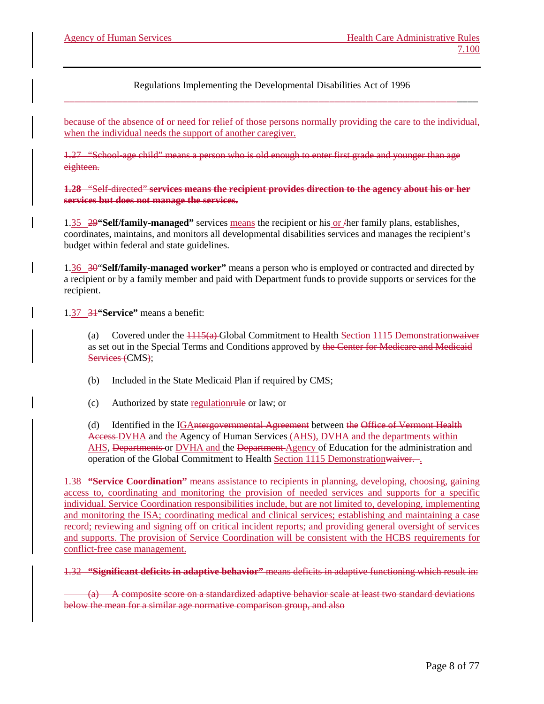because of the absence of or need for relief of those persons normally providing the care to the individual, when the individual needs the support of another caregiver.

1.27 "School-age child" means a person who is old enough to enter first grade and younger than age eighteen.

**1.28** "Self-directed" **services means the recipient provides direction to the agency about his or her services but does not manage the services.**

1.35 29**"Self/family-managed"** services means the recipient or his or /her family plans, establishes, coordinates, maintains, and monitors all developmental disabilities services and manages the recipient's budget within federal and state guidelines.

1.36 30"**Self/family-managed worker"** means a person who is employed or contracted and directed by a recipient or by a family member and paid with Department funds to provide supports or services for the recipient.

1.37 31**"Service"** means a benefit:

Covered under the  $\frac{1115(a)}{a}$  Global Commitment to Health Section 1115 Demonstrationwaiver as set out in the Special Terms and Conditions approved by the Center for Medicare and Medicaid Services (CMS);

(b) Included in the State Medicaid Plan if required by CMS;

(c) Authorized by state regulationrule or law; or

(d) Identified in the IGAntergovernmental Agreement between the Office of Vermont Health Access DVHA and the Agency of Human Services (AHS), DVHA and the departments within AHS, Departments or DVHA and the Department Agency of Education for the administration and operation of the Global Commitment to Health Section 1115 Demonstrationwaiver. .

1.38 **"Service Coordination"** means assistance to recipients in planning, developing, choosing, gaining access to, coordinating and monitoring the provision of needed services and supports for a specific individual. Service Coordination responsibilities include, but are not limited to, developing, implementing and monitoring the ISA; coordinating medical and clinical services; establishing and maintaining a case record; reviewing and signing off on critical incident reports; and providing general oversight of services and supports. The provision of Service Coordination will be consistent with the HCBS requirements for conflict-free case management.

1.32 **"Significant deficits in adaptive behavior"** means deficits in adaptive functioning which result in:

(a) A composite score on a standardized adaptive behavior scale at least two standard deviations below the mean for a similar age normative comparison group, and also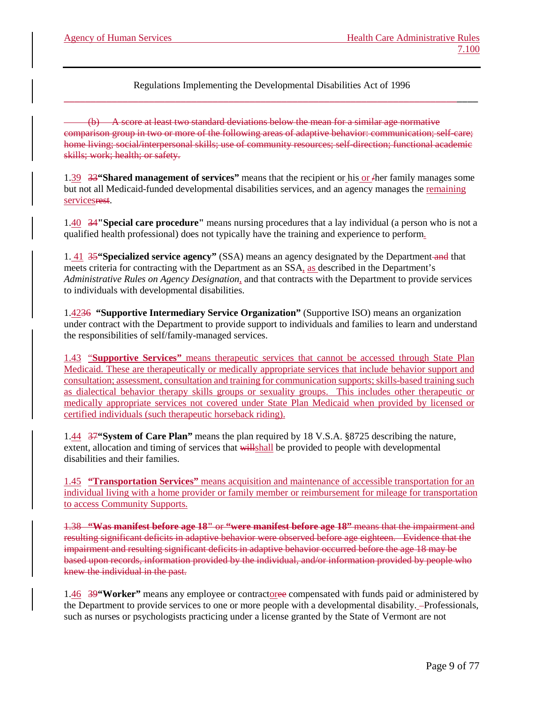(b) A score at least two standard deviations below the mean for a similar age normative comparison group in two or more of the following areas of adaptive behavior: communication; self-care; home living; social/interpersonal skills; use of community resources; self-direction; functional academic skills; work; health; or safety.

1.39 33**"Shared management of services"** means that the recipient or his or /her family manages some but not all Medicaid-funded developmental disabilities services, and an agency manages the remaining servicesrest.

1.40 34**"Special care procedure"** means nursing procedures that a lay individual (a person who is not a qualified health professional) does not typically have the training and experience to perform.

1. 41 35**"Specialized service agency"** (SSA) means an agency designated by the Department and that meets criteria for contracting with the Department as an  $SSA<sub>1</sub>$  as described in the Department's *Administrative Rules on Agency Designation*, and that contracts with the Department to provide services to individuals with developmental disabilities.

1.4236 **"Supportive Intermediary Service Organization"** (Supportive ISO) means an organization under contract with the Department to provide support to individuals and families to learn and understand the responsibilities of self/family-managed services.

1.43 "**Supportive Services"** means therapeutic services that cannot be accessed through State Plan Medicaid. These are therapeutically or medically appropriate services that include behavior support and consultation; assessment, consultation and training for communication supports; skills-based training such as dialectical behavior therapy skills groups or sexuality groups. This includes other therapeutic or medically appropriate services not covered under State Plan Medicaid when provided by licensed or certified individuals (such therapeutic horseback riding).

1.44 37**"System of Care Plan"** means the plan required by 18 V.S.A. §8725 describing the nature, extent, allocation and timing of services that willshall be provided to people with developmental disabilities and their families.

1.45 **"Transportation Services"** means acquisition and maintenance of accessible transportation for an individual living with a home provider or family member or reimbursement for mileage for transportation to access Community Supports.

1.38 **"Was manifest before age 18"** or **"were manifest before age 18"** means that the impairment and resulting significant deficits in adaptive behavior were observed before age eighteen. Evidence that the impairment and resulting significant deficits in adaptive behavior occurred before the age 18 may be based upon records, information provided by the individual, and/or information provided by people who knew the individual in the past.

1.46 39**"Worker"** means any employee or contractoree compensated with funds paid or administered by the Department to provide services to one or more people with a developmental disability. -Professionals, such as nurses or psychologists practicing under a license granted by the State of Vermont are not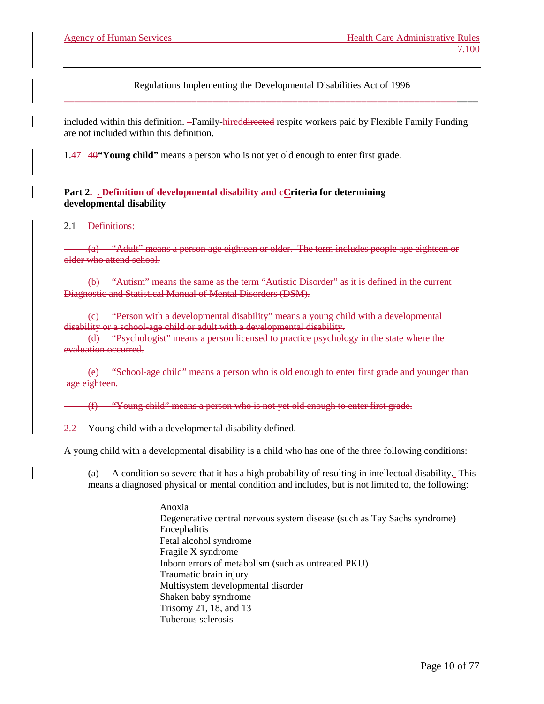included within this definition. -Family-hired<del>directed</del> respite workers paid by Flexible Family Funding are not included within this definition.

1.47 40**"Young child"** means a person who is not yet old enough to enter first grade.

**Part 2.... Definition of developmental disability and eCriteria for determining developmental disability**

#### 2.1 Definitions:

(a) "Adult" means a person age eighteen or older. The term includes people age eighteen or older who attend school.

(b) "Autism" means the same as the term "Autistic Disorder" as it is defined in the current Diagnostic and Statistical Manual of Mental Disorders (DSM).

(c) "Person with a developmental disability" means a young child with a developmental disability or a school-age child or adult with a developmental disability. (d) "Psychologist" means a person licensed to practice psychology in the state where the evaluation occurred.

(e) "School-age child" means a person who is old enough to enter first grade and younger than age eighteen.

(f) "Young child" means a person who is not yet old enough to enter first grade.

2.2 Young child with a developmental disability defined.

A young child with a developmental disability is a child who has one of the three following conditions:

(a) A condition so severe that it has a high probability of resulting in intellectual disability. This means a diagnosed physical or mental condition and includes, but is not limited to, the following:

> Anoxia Degenerative central nervous system disease (such as Tay Sachs syndrome) Encephalitis Fetal alcohol syndrome Fragile X syndrome Inborn errors of metabolism (such as untreated PKU) Traumatic brain injury Multisystem developmental disorder Shaken baby syndrome Trisomy 21, 18, and 13 Tuberous sclerosis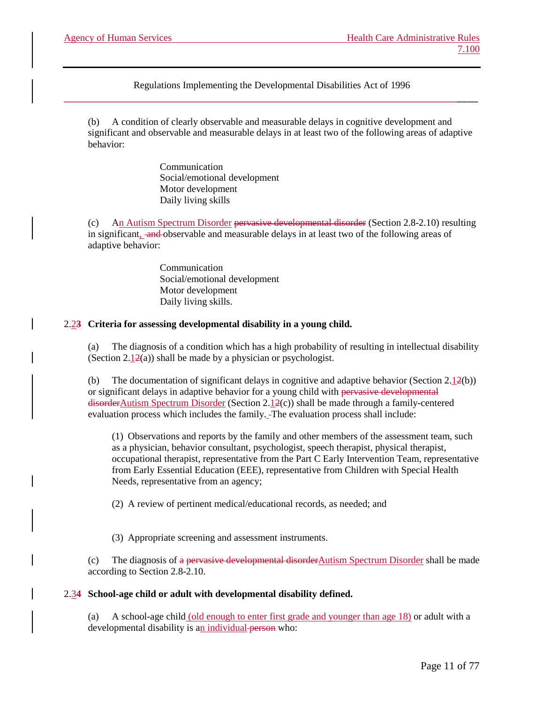(b) A condition of clearly observable and measurable delays in cognitive development and significant and observable and measurable delays in at least two of the following areas of adaptive behavior:

> Communication Social/emotional development Motor development Daily living skills

(c) An Autism Spectrum Disorder pervasive developmental disorder (Section 2.8-2.10) resulting in significant, and observable and measurable delays in at least two of the following areas of adaptive behavior:

> Communication Social/emotional development Motor development Daily living skills.

#### 2.2**3 Criteria for assessing developmental disability in a young child.**

(a) The diagnosis of a condition which has a high probability of resulting in intellectual disability (Section  $2.12(a)$ ) shall be made by a physician or psychologist.

(b) The documentation of significant delays in cognitive and adaptive behavior (Section  $2.12(b)$ ) or significant delays in adaptive behavior for a young child with pervasive developmental  $disorderAutism$  Spectrum Disorder (Section 2.12(c)) shall be made through a family-centered evaluation process which includes the family. The evaluation process shall include:

(1) Observations and reports by the family and other members of the assessment team, such as a physician, behavior consultant, psychologist, speech therapist, physical therapist, occupational therapist, representative from the Part C Early Intervention Team, representative from Early Essential Education (EEE), representative from Children with Special Health Needs, representative from an agency;

(2) A review of pertinent medical/educational records, as needed; and

(3) Appropriate screening and assessment instruments.

(c) The diagnosis of a pervasive developmental disorder Autism Spectrum Disorder shall be made according to Section 2.8-2.10.

#### 2.3**4 School-age child or adult with developmental disability defined.**

(a) A school-age child (old enough to enter first grade and younger than age 18) or adult with a developmental disability is an individual person who: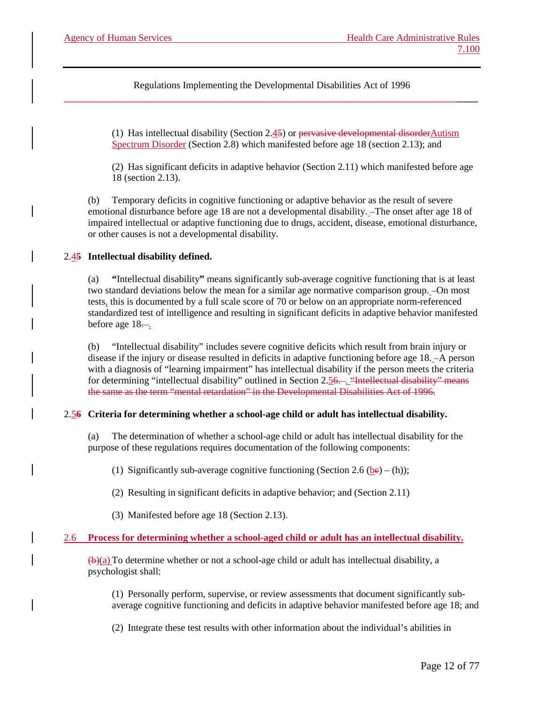> (1) Has intellectual disability (Section 2.45) or pervasive developmental disorderAutism Spectrum Disorder (Section 2.8) which manifested before age 18 (section 2.13); and

(2) Has significant deficits in adaptive behavior (Section 2.11) which manifested before age 18 (section 2.13).

(b) Temporary deficits in cognitive functioning or adaptive behavior as the result of severe emotional disturbance before age 18 are not a developmental disability. The onset after age 18 of impaired intellectual or adaptive functioning due to drugs, accident, disease, emotional disturbance, or other causes is not a developmental disability.

# 2.4**5 Intellectual disability defined.**

(a) **"**Intellectual disability**"** means significantly sub-average cognitive functioning that is at least two standard deviations below the mean for a similar age normative comparison group.  $-On$  most tests, this is documented by a full scale score of 70 or below on an appropriate norm-referenced standardized test of intelligence and resulting in significant deficits in adaptive behavior manifested before age  $18-$ .

(b) "Intellectual disability" includes severe cognitive deficits which result from brain injury or disease if the injury or disease resulted in deficits in adaptive functioning before age 18. -A person with a diagnosis of "learning impairment" has intellectual disability if the person meets the criteria for determining "intellectual disability" outlined in Section 2.56. . "Intellectual disability" means the same as the term "mental retardation" in the Developmental Disabilities Act of 1996.

#### 2.5**6 Criteria for determining whether a school-age child or adult has intellectual disability.**

(a) The determination of whether a school-age child or adult has intellectual disability for the purpose of these regulations requires documentation of the following components:

(1) Significantly sub-average cognitive functioning (Section 2.6 (be) – (h));

(2) Resulting in significant deficits in adaptive behavior; and (Section 2.11)

(3) Manifested before age 18 (Section 2.13).

# 2.6 **Process for determining whether a school-aged child or adult has an intellectual disability.**

 $(\theta)(a)$  To determine whether or not a school-age child or adult has intellectual disability, a psychologist shall:

(1) Personally perform, supervise, or review assessments that document significantly subaverage cognitive functioning and deficits in adaptive behavior manifested before age 18; and

(2) Integrate these test results with other information about the individual's abilities in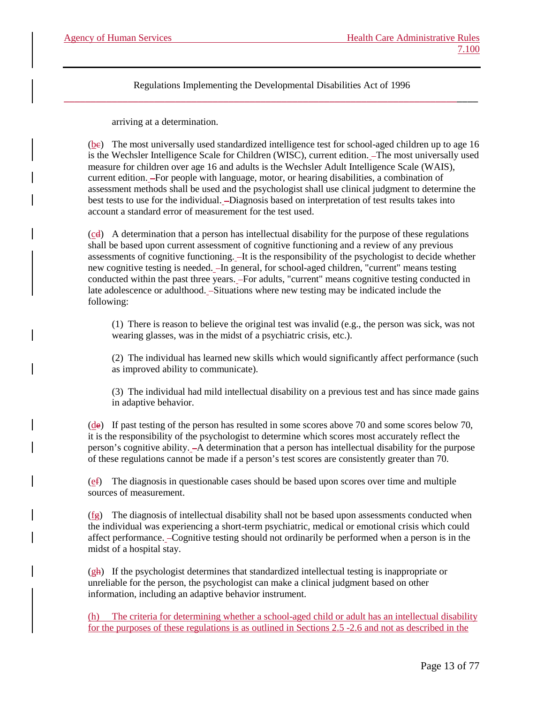arriving at a determination.

(be) The most universally used standardized intelligence test for school-aged children up to age 16 is the Wechsler Intelligence Scale for Children (WISC), current edition.  $\overline{-}$ The most universally used measure for children over age 16 and adults is the Wechsler Adult Intelligence Scale (WAIS), current edition. For people with language, motor, or hearing disabilities, a combination of assessment methods shall be used and the psychologist shall use clinical judgment to determine the best tests to use for the individual. -Diagnosis based on interpretation of test results takes into account a standard error of measurement for the test used.

 $(cd)$  A determination that a person has intellectual disability for the purpose of these regulations shall be based upon current assessment of cognitive functioning and a review of any previous assessments of cognitive functioning.  $-It$  is the responsibility of the psychologist to decide whether new cognitive testing is needed. In general, for school-aged children, "current" means testing conducted within the past three years. - For adults, "current" means cognitive testing conducted in late adolescence or adulthood. - Situations where new testing may be indicated include the following:

(1) There is reason to believe the original test was invalid (e.g., the person was sick, was not wearing glasses, was in the midst of a psychiatric crisis, etc.).

(2) The individual has learned new skills which would significantly affect performance (such as improved ability to communicate).

(3) The individual had mild intellectual disability on a previous test and has since made gains in adaptive behavior.

(de) If past testing of the person has resulted in some scores above 70 and some scores below 70, it is the responsibility of the psychologist to determine which scores most accurately reflect the person's cognitive ability. A determination that a person has intellectual disability for the purpose of these regulations cannot be made if a person's test scores are consistently greater than 70.

(ef) The diagnosis in questionable cases should be based upon scores over time and multiple sources of measurement.

(fg) The diagnosis of intellectual disability shall not be based upon assessments conducted when the individual was experiencing a short-term psychiatric, medical or emotional crisis which could affect performance. Cognitive testing should not ordinarily be performed when a person is in the midst of a hospital stay.

 $(g<sub>h</sub>)$  If the psychologist determines that standardized intellectual testing is inappropriate or unreliable for the person, the psychologist can make a clinical judgment based on other information, including an adaptive behavior instrument.

(h) The criteria for determining whether a school-aged child or adult has an intellectual disability for the purposes of these regulations is as outlined in Sections 2.5 -2.6 and not as described in the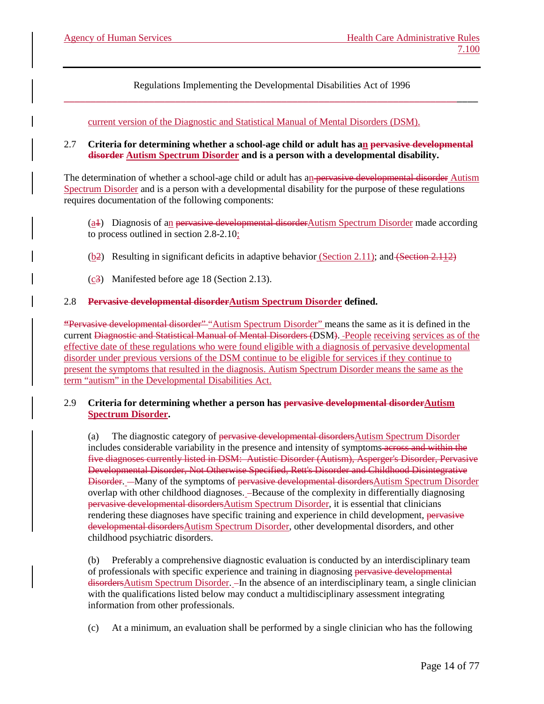current version of the Diagnostic and Statistical Manual of Mental Disorders (DSM).

#### 2.7 **Criteria for determining whether a school-age child or adult has an pervasive developmental disorder Autism Spectrum Disorder and is a person with a developmental disability.**

The determination of whether a school-age child or adult has an pervasive developmental disorder Autism Spectrum Disorder and is a person with a developmental disability for the purpose of these regulations requires documentation of the following components:

(a1) Diagnosis of an pervasive developmental disorderAutism Spectrum Disorder made according to process outlined in section 2.8-2.10;

- $(b2)$  Resulting in significant deficits in adaptive behavior (Section 2.11); and (Section 2.112)
- (c3) Manifested before age 18 (Section 2.13).

#### 2.8 **Pervasive developmental disorderAutism Spectrum Disorder defined.**

**"**Pervasive developmental disorder" "Autism Spectrum Disorder" means the same as it is defined in the current Diagnostic and Statistical Manual of Mental Disorders (DSM). People receiving services as of the effective date of these regulations who were found eligible with a diagnosis of pervasive developmental disorder under previous versions of the DSM continue to be eligible for services if they continue to present the symptoms that resulted in the diagnosis. Autism Spectrum Disorder means the same as the term "autism" in the Developmental Disabilities Act.

#### 2.9 **Criteria for determining whether a person has pervasive developmental disorderAutism Spectrum Disorder.**

(a) The diagnostic category of pervasive developmental disordersAutism Spectrum Disorder includes considerable variability in the presence and intensity of symptoms across and within the five diagnoses currently listed in DSM: Autistic Disorder (Autism), Asperger's Disorder, Pervasive Developmental Disorder, Not Otherwise Specified, Rett's Disorder and Childhood Disintegrative Disorder. - Many of the symptoms of pervasive developmental disordersAutism Spectrum Disorder overlap with other childhood diagnoses. -Because of the complexity in differentially diagnosing pervasive developmental disordersAutism Spectrum Disorder, it is essential that clinicians rendering these diagnoses have specific training and experience in child development, pervasive developmental disordersAutism Spectrum Disorder, other developmental disorders, and other childhood psychiatric disorders.

Preferably a comprehensive diagnostic evaluation is conducted by an interdisciplinary team of professionals with specific experience and training in diagnosing pervasive developmental disorders Autism Spectrum Disorder. - In the absence of an interdisciplinary team, a single clinician with the qualifications listed below may conduct a multidisciplinary assessment integrating information from other professionals.

(c) At a minimum, an evaluation shall be performed by a single clinician who has the following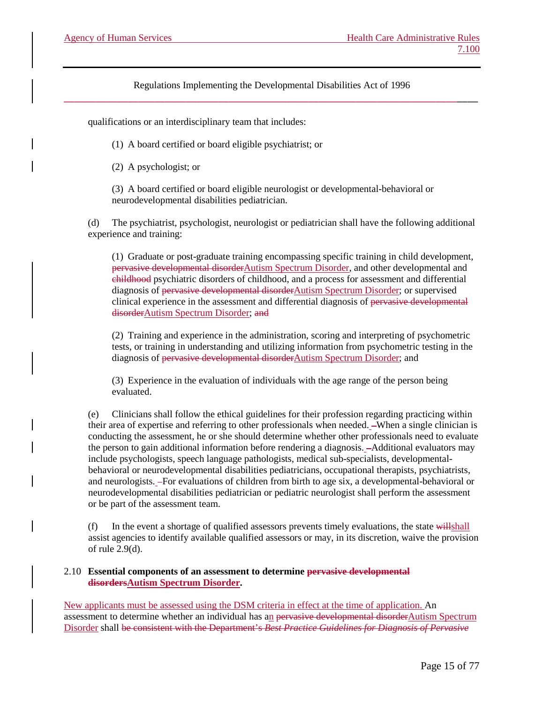qualifications or an interdisciplinary team that includes:

(1) A board certified or board eligible psychiatrist; or

(2) A psychologist; or

(3) A board certified or board eligible neurologist or developmental-behavioral or neurodevelopmental disabilities pediatrician.

(d) The psychiatrist, psychologist, neurologist or pediatrician shall have the following additional experience and training:

(1) Graduate or post-graduate training encompassing specific training in child development, pervasive developmental disorderAutism Spectrum Disorder, and other developmental and childhood psychiatric disorders of childhood, and a process for assessment and differential diagnosis of pervasive developmental disorderAutism Spectrum Disorder; or supervised clinical experience in the assessment and differential diagnosis of pervasive developmental disorderAutism Spectrum Disorder; and

(2) Training and experience in the administration, scoring and interpreting of psychometric tests, or training in understanding and utilizing information from psychometric testing in the diagnosis of pervasive developmental disorderAutism Spectrum Disorder; and

(3) Experience in the evaluation of individuals with the age range of the person being evaluated.

(e) Clinicians shall follow the ethical guidelines for their profession regarding practicing within their area of expertise and referring to other professionals when needed. -When a single clinician is conducting the assessment, he or she should determine whether other professionals need to evaluate the person to gain additional information before rendering a diagnosis. Additional evaluators may include psychologists, speech language pathologists, medical sub-specialists, developmentalbehavioral or neurodevelopmental disabilities pediatricians, occupational therapists, psychiatrists, and neurologists. For evaluations of children from birth to age six, a developmental-behavioral or neurodevelopmental disabilities pediatrician or pediatric neurologist shall perform the assessment or be part of the assessment team.

(f) In the event a shortage of qualified assessors prevents timely evaluations, the state  $\frac{1}{\text{widthball}}$ assist agencies to identify available qualified assessors or may, in its discretion, waive the provision of rule 2.9(d).

#### 2.10 **Essential components of an assessment to determine pervasive developmental disordersAutism Spectrum Disorder.**

New applicants must be assessed using the DSM criteria in effect at the time of application. An assessment to determine whether an individual has an pervasive developmental disorderAutism Spectrum Disorder shall be consistent with the Department's *Best Practice Guidelines for Diagnosis of Pervasive*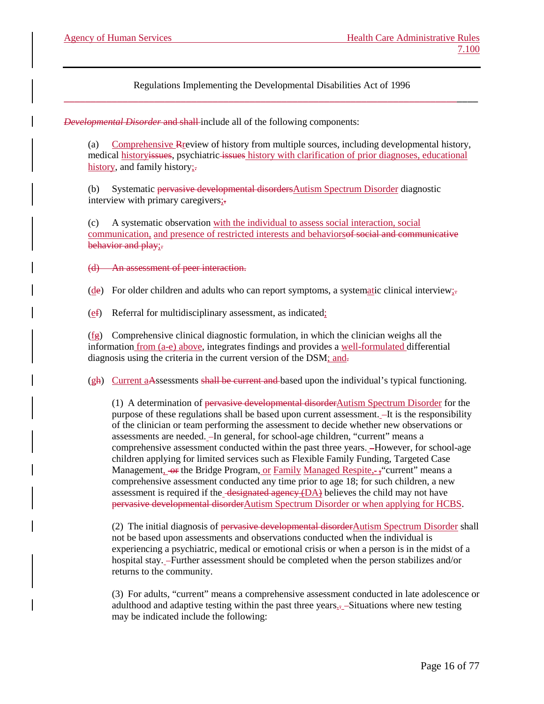*Developmental Disorder* and shall-include all of the following components:

(a) Comprehensive Rreview of history from multiple sources, including developmental history, medical historyissues, psychiatric issues history with clarification of prior diagnoses, educational history, and family history;

(b) Systematic pervasive developmental disordersAutism Spectrum Disorder diagnostic interview with primary caregivers;-

(c) A systematic observation with the individual to assess social interaction, social communication, and presence of restricted interests and behaviorsof social and communicative behavior and play;-

(d) An assessment of peer interaction.

(de) For older children and adults who can report symptoms, a systematic clinical interview;

(ef) Referral for multidisciplinary assessment, as indicated;

 $(fg)$  Comprehensive clinical diagnostic formulation, in which the clinician weighs all the information from (a-e) above, integrates findings and provides a well-formulated differential diagnosis using the criteria in the current version of the DSM; and.

(gh) Current aAssessments shall be current and based upon the individual's typical functioning.

(1) A determination of pervasive developmental disorderAutism Spectrum Disorder for the purpose of these regulations shall be based upon current assessment. - It is the responsibility of the clinician or team performing the assessment to decide whether new observations or assessments are needed. -In general, for school-age children, "current" means a comprehensive assessment conducted within the past three years. However, for school-age children applying for limited services such as Flexible Family Funding, Targeted Case Management, or the Bridge Program, or Family Managed Respite, -; "current" means a comprehensive assessment conducted any time prior to age 18; for such children, a new assessment is required if the designated agency (DA) believes the child may not have pervasive developmental disorderAutism Spectrum Disorder or when applying for HCBS.

(2) The initial diagnosis of pervasive developmental disorder  $\Delta$ utism Spectrum Disorder shall not be based upon assessments and observations conducted when the individual is experiencing a psychiatric, medical or emotional crisis or when a person is in the midst of a hospital stay. Further assessment should be completed when the person stabilizes and/or returns to the community.

(3) For adults, "current" means a comprehensive assessment conducted in late adolescence or adulthood and adaptive testing within the past three years.. Situations where new testing may be indicated include the following: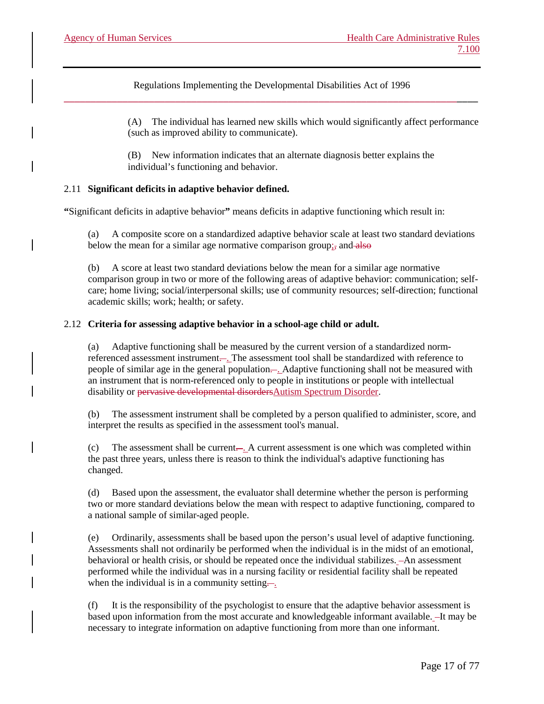> (A) The individual has learned new skills which would significantly affect performance (such as improved ability to communicate).

(B) New information indicates that an alternate diagnosis better explains the individual's functioning and behavior.

# 2.11 **Significant deficits in adaptive behavior defined.**

**"**Significant deficits in adaptive behavior**"** means deficits in adaptive functioning which result in:

(a) A composite score on a standardized adaptive behavior scale at least two standard deviations below the mean for a similar age normative comparison group; and also

(b) A score at least two standard deviations below the mean for a similar age normative comparison group in two or more of the following areas of adaptive behavior: communication; selfcare; home living; social/interpersonal skills; use of community resources; self-direction; functional academic skills; work; health; or safety.

#### 2.12 **Criteria for assessing adaptive behavior in a school-age child or adult.**

(a) Adaptive functioning shall be measured by the current version of a standardized normreferenced assessment instrument.... The assessment tool shall be standardized with reference to people of similar age in the general population—. Adaptive functioning shall not be measured with an instrument that is norm-referenced only to people in institutions or people with intellectual disability or pervasive developmental disordersAutism Spectrum Disorder.

(b) The assessment instrument shall be completed by a person qualified to administer, score, and interpret the results as specified in the assessment tool's manual.

The assessment shall be current.... A current assessment is one which was completed within the past three years, unless there is reason to think the individual's adaptive functioning has changed.

(d) Based upon the assessment, the evaluator shall determine whether the person is performing two or more standard deviations below the mean with respect to adaptive functioning, compared to a national sample of similar-aged people.

(e) Ordinarily, assessments shall be based upon the person's usual level of adaptive functioning. Assessments shall not ordinarily be performed when the individual is in the midst of an emotional, behavioral or health crisis, or should be repeated once the individual stabilizes. - An assessment performed while the individual was in a nursing facility or residential facility shall be repeated when the individual is in a community setting-

(f) It is the responsibility of the psychologist to ensure that the adaptive behavior assessment is based upon information from the most accurate and knowledgeable informant available. -It may be necessary to integrate information on adaptive functioning from more than one informant.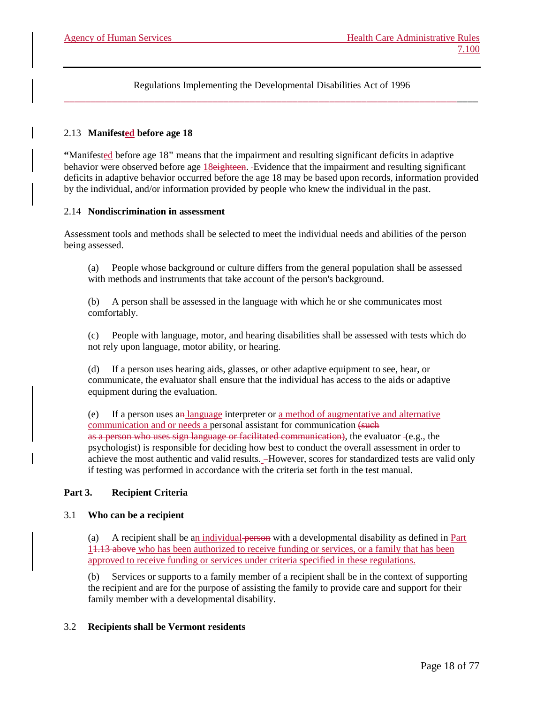# 2.13 **Manifested before age 18**

**"**Manifested before age 18**"** means that the impairment and resulting significant deficits in adaptive behavior were observed before age 18eighteen. Evidence that the impairment and resulting significant deficits in adaptive behavior occurred before the age 18 may be based upon records, information provided by the individual, and/or information provided by people who knew the individual in the past.

#### 2.14 **Nondiscrimination in assessment**

Assessment tools and methods shall be selected to meet the individual needs and abilities of the person being assessed.

(a) People whose background or culture differs from the general population shall be assessed with methods and instruments that take account of the person's background.

(b) A person shall be assessed in the language with which he or she communicates most comfortably.

(c) People with language, motor, and hearing disabilities shall be assessed with tests which do not rely upon language, motor ability, or hearing.

(d) If a person uses hearing aids, glasses, or other adaptive equipment to see, hear, or communicate, the evaluator shall ensure that the individual has access to the aids or adaptive equipment during the evaluation.

(e) If a person uses an language interpreter or a method of augmentative and alternative communication and or needs a personal assistant for communication (such as a person who uses sign language or facilitated communication), the evaluator (e.g., the psychologist) is responsible for deciding how best to conduct the overall assessment in order to achieve the most authentic and valid results. However, scores for standardized tests are valid only if testing was performed in accordance with the criteria set forth in the test manual.

# **Part 3. Recipient Criteria**

#### 3.1 **Who can be a recipient**

(a) A recipient shall be an individual person with a developmental disability as defined in Part 11.13 above who has been authorized to receive funding or services, or a family that has been approved to receive funding or services under criteria specified in these regulations.

(b) Services or supports to a family member of a recipient shall be in the context of supporting the recipient and are for the purpose of assisting the family to provide care and support for their family member with a developmental disability.

# 3.2 **Recipients shall be Vermont residents**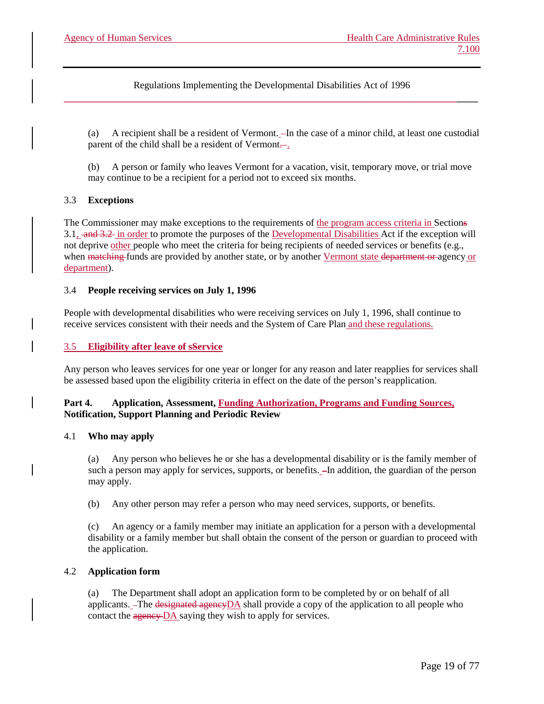(a) A recipient shall be a resident of Vermont. In the case of a minor child, at least one custodial parent of the child shall be a resident of Vermont...

(b) A person or family who leaves Vermont for a vacation, visit, temporary move, or trial move may continue to be a recipient for a period not to exceed six months.

# 3.3 **Exceptions**

The Commissioner may make exceptions to the requirements of the program access criteria in Sections 3.1, and 3.2 in order to promote the purposes of the Developmental Disabilities Act if the exception will not deprive other people who meet the criteria for being recipients of needed services or benefits (e.g., when matching funds are provided by another state, or by another Vermont state department or agency or department).

#### 3.4 **People receiving services on July 1, 1996**

People with developmental disabilities who were receiving services on July 1, 1996, shall continue to receive services consistent with their needs and the System of Care Plan and these regulations.

#### 3.5 **Eligibility after leave of sService**

Any person who leaves services for one year or longer for any reason and later reapplies for services shall be assessed based upon the eligibility criteria in effect on the date of the person's reapplication.

#### **Part 4. Application, Assessment, Funding Authorization, Programs and Funding Sources, Notification, Support Planning and Periodic Review**

#### 4.1 **Who may apply**

(a) Any person who believes he or she has a developmental disability or is the family member of such a person may apply for services, supports, or benefits.  $\overline{-}$  In addition, the guardian of the person may apply.

(b) Any other person may refer a person who may need services, supports, or benefits.

(c) An agency or a family member may initiate an application for a person with a developmental disability or a family member but shall obtain the consent of the person or guardian to proceed with the application.

#### 4.2 **Application form**

The Department shall adopt an application form to be completed by or on behalf of all applicants. The designated agencyDA shall provide a copy of the application to all people who contact the agency DA saying they wish to apply for services.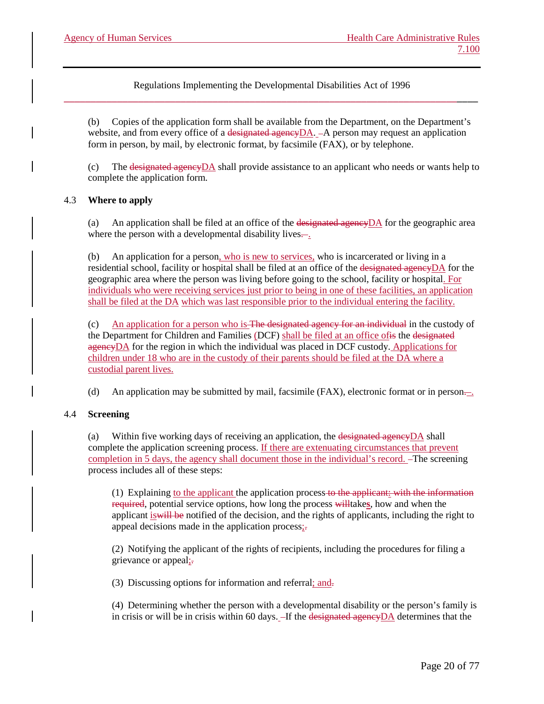(b) Copies of the application form shall be available from the Department, on the Department's website, and from every office of a designated agency  $DA$ .  $-A$  person may request an application form in person, by mail, by electronic format, by facsimile (FAX), or by telephone.

(c) The designated agencyDA shall provide assistance to an applicant who needs or wants help to complete the application form.

# 4.3 **Where to apply**

(a) An application shall be filed at an office of the designated agency  $DA$  for the geographic area where the person with a developmental disability lives $\frac{1}{x}$ .

(b) An application for a person, who is new to services, who is incarcerated or living in a residential school, facility or hospital shall be filed at an office of the designated agency DA for the geographic area where the person was living before going to the school, facility or hospital. For individuals who were receiving services just prior to being in one of these facilities, an application shall be filed at the DA which was last responsible prior to the individual entering the facility.

(c) An application for a person who is The designated agency for an individual in the custody of the Department for Children and Families (DCF) shall be filed at an office ofis the designated agencyDA for the region in which the individual was placed in DCF custody. Applications for children under 18 who are in the custody of their parents should be filed at the DA where a custodial parent lives.

(d) An application may be submitted by mail, facsimile (FAX), electronic format or in person $\frac{1}{\sqrt{1-\lambda}}$ .

# 4.4 **Screening**

(a) Within five working days of receiving an application, the designated agencyDA shall complete the application screening process. If there are extenuating circumstances that prevent completion in 5 days, the agency shall document those in the individual's record. The screening process includes all of these steps:

(1) Explaining to the applicant the application process to the applicant: with the information required, potential service options, how long the process willtake**s**, how and when the applicant is will be notified of the decision, and the rights of applicants, including the right to appeal decisions made in the application process<sub>i</sub>.

(2) Notifying the applicant of the rights of recipients, including the procedures for filing a grievance or appeal;-

(3) Discussing options for information and referral; and.

(4) Determining whether the person with a developmental disability or the person's family is in crisis or will be in crisis within 60 days.  $-If$  the designated agencyDA determines that the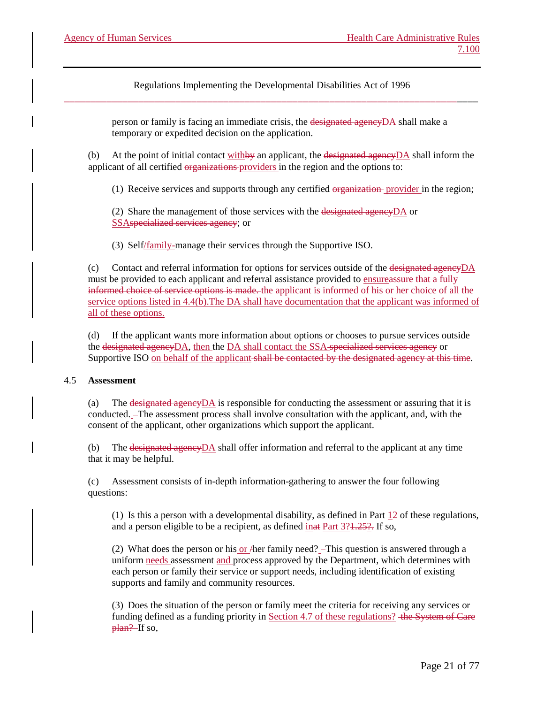> person or family is facing an immediate crisis, the designated agencyDA shall make a temporary or expedited decision on the application.

(b) At the point of initial contact with by an applicant, the designated agency  $DA$  shall inform the applicant of all certified organizations providers in the region and the options to:

(1) Receive services and supports through any certified organization provider in the region;

(2) Share the management of those services with the designated agency  $DA$  or SSAspecialized services agency; or

(3) Self/family-manage their services through the Supportive ISO.

(c) Contact and referral information for options for services outside of the designated agency  $DA$ must be provided to each applicant and referral assistance provided to ensureassure that a fully informed choice of service options is made. the applicant is informed of his or her choice of all the service options listed in 4.4(b).The DA shall have documentation that the applicant was informed of all of these options.

(d) If the applicant wants more information about options or chooses to pursue services outside the designated agencyDA, then the DA shall contact the SSA specialized services agency or Supportive ISO on behalf of the applicant shall be contacted by the designated agency at this time.

# 4.5 **Assessment**

(a) The designated agencyDA is responsible for conducting the assessment or assuring that it is conducted. The assessment process shall involve consultation with the applicant, and, with the consent of the applicant, other organizations which support the applicant.

(b) The designated agencyDA shall offer information and referral to the applicant at any time that it may be helpful.

(c) Assessment consists of in-depth information-gathering to answer the four following questions:

(1) Is this a person with a developmental disability, as defined in Part  $\frac{12}{12}$  of these regulations, and a person eligible to be a recipient, as defined  $\frac{\text{inat Part 3?4.252}}{\text{Part 3.252}}$  If so,

(2) What does the person or his or  $\text{A}$  her family need?  $\text{-}$ This question is answered through a uniform needs assessment and process approved by the Department, which determines with each person or family their service or support needs, including identification of existing supports and family and community resources.

(3) Does the situation of the person or family meet the criteria for receiving any services or funding defined as a funding priority in Section 4.7 of these regulations? the System of Care plan? If so,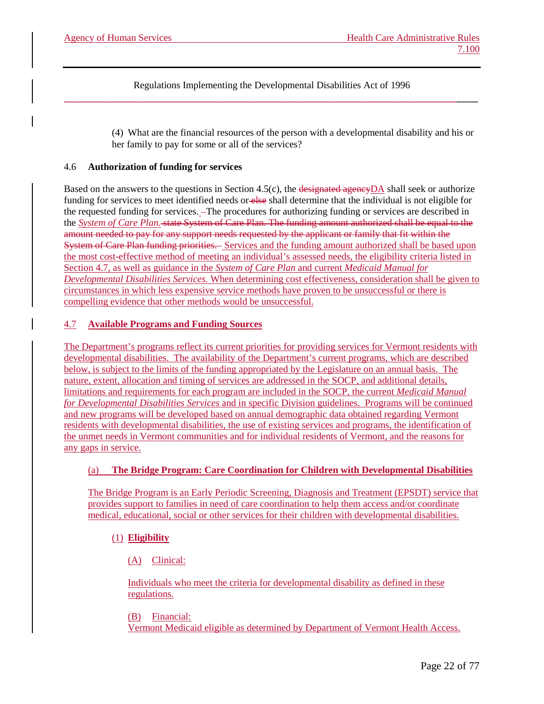> (4) What are the financial resources of the person with a developmental disability and his or her family to pay for some or all of the services?

#### 4.6 **Authorization of funding for services**

Based on the answers to the questions in Section 4.5(c), the designated agencyDA shall seek or authorize funding for services to meet identified needs or else shall determine that the individual is not eligible for the requested funding for services. The procedures for authorizing funding or services are described in the *System of Care Plan.* state System of Care Plan. The funding amount authorized shall be equal to the amount needed to pay for any support needs requested by the applicant or family that fit within the System of Care Plan funding priorities. Services and the funding amount authorized shall be based upon the most cost-effective method of meeting an individual's assessed needs, the eligibility criteria listed in Section 4.7, as well as guidance in the *System of Care Plan* and current *Medicaid Manual for Developmental Disabilities Services.* When determining cost effectiveness, consideration shall be given to circumstances in which less expensive service methods have proven to be unsuccessful or there is compelling evidence that other methods would be unsuccessful.

# 4.7 **Available Programs and Funding Sources**

The Department's programs reflect its current priorities for providing services for Vermont residents with developmental disabilities. The availability of the Department's current programs, which are described below, is subject to the limits of the funding appropriated by the Legislature on an annual basis. The nature, extent, allocation and timing of services are addressed in the SOCP, and additional details, limitations and requirements for each program are included in the SOCP, the current *Medicaid Manual for Developmental Disabilities Services* and in specific Division guidelines. Programs will be continued and new programs will be developed based on annual demographic data obtained regarding Vermont residents with developmental disabilities, the use of existing services and programs, the identification of the unmet needs in Vermont communities and for individual residents of Vermont, and the reasons for any gaps in service.

# (a) **The Bridge Program: Care Coordination for Children with Developmental Disabilities**

The Bridge Program is an Early Periodic Screening, Diagnosis and Treatment (EPSDT) service that provides support to families in need of care coordination to help them access and/or coordinate medical, educational, social or other services for their children with developmental disabilities.

# (1) **Eligibility**

(A) Clinical:

Individuals who meet the criteria for developmental disability as defined in these regulations.

(B) Financial: Vermont Medicaid eligible as determined by Department of Vermont Health Access.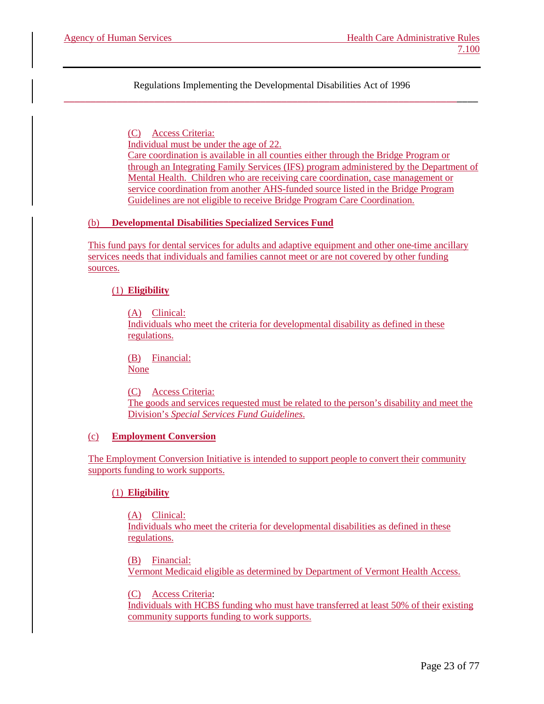> (C) Access Criteria: Individual must be under the age of 22. Care coordination is available in all counties either through the Bridge Program or through an Integrating Family Services (IFS) program administered by the Department of Mental Health. Children who are receiving care coordination, case management or service coordination from another AHS-funded source listed in the Bridge Program Guidelines are not eligible to receive Bridge Program Care Coordination.

# (b) **Developmental Disabilities Specialized Services Fund**

This fund pays for dental services for adults and adaptive equipment and other one-time ancillary services needs that individuals and families cannot meet or are not covered by other funding sources.

#### (1) **Eligibility**

(A) Clinical: Individuals who meet the criteria for developmental disability as defined in these regulations.

(B) Financial: None

(C) Access Criteria: The goods and services requested must be related to the person's disability and meet the Division's *Special Services Fund Guidelines*.

#### (c) **Employment Conversion**

The Employment Conversion Initiative is intended to support people to convert their community supports funding to work supports.

#### (1) **Eligibility**

(A) Clinical: Individuals who meet the criteria for developmental disabilities as defined in these regulations.

(B) Financial: Vermont Medicaid eligible as determined by Department of Vermont Health Access.

(C) Access Criteria:

Individuals with HCBS funding who must have transferred at least 50% of their existing community supports funding to work supports.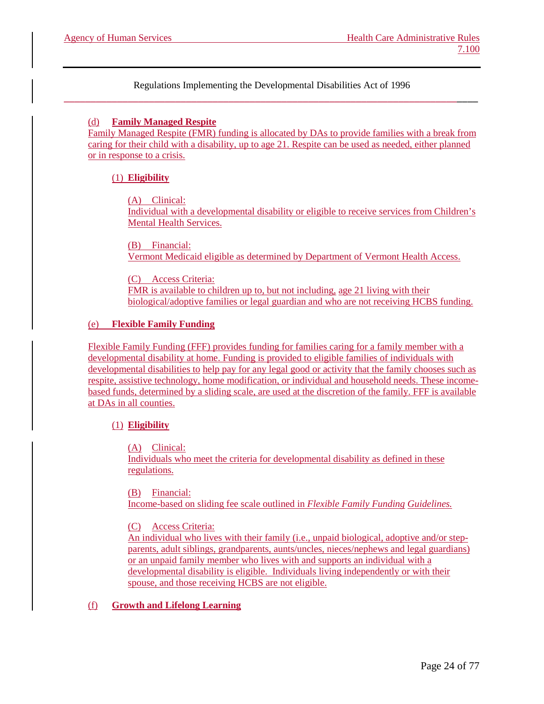# (d) **Family Managed Respite**

Family Managed Respite (FMR) funding is allocated by DAs to provide families with a break from caring for their child with a disability, up to age 21. Respite can be used as needed, either planned or in response to a crisis.

# (1) **Eligibility**

(A) Clinical:

Individual with a developmental disability or eligible to receive services from Children's Mental Health Services.

(B) Financial: Vermont Medicaid eligible as determined by Department of Vermont Health Access.

(C) Access Criteria: FMR is available to children up to, but not including, age 21 living with their biological/adoptive families or legal guardian and who are not receiving HCBS funding.

# (e) **Flexible Family Funding**

Flexible Family Funding (FFF) provides funding for families caring for a family member with a developmental disability at home. Funding is provided to eligible families of individuals with developmental disabilities to help pay for any legal good or activity that the family chooses such as respite, assistive technology, home modification, or individual and household needs. These incomebased funds, determined by a sliding scale, are used at the discretion of the family. FFF is available at DAs in all counties.

# (1) **Eligibility**

(A) Clinical:

Individuals who meet the criteria for developmental disability as defined in these regulations.

(B) Financial:

Income-based on sliding fee scale outlined in *Flexible Family Funding Guidelines.*

(C) Access Criteria:

An individual who lives with their family (i.e., unpaid biological, adoptive and/or stepparents, adult siblings, grandparents, aunts/uncles, nieces/nephews and legal guardians) or an unpaid family member who lives with and supports an individual with a developmental disability is eligible. Individuals living independently or with their spouse, and those receiving HCBS are not eligible.

# (f) **Growth and Lifelong Learning**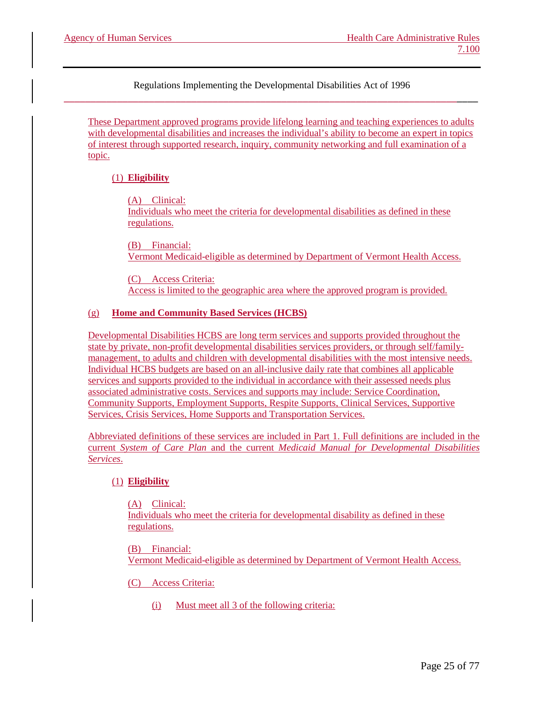These Department approved programs provide lifelong learning and teaching experiences to adults with developmental disabilities and increases the individual's ability to become an expert in topics of interest through supported research, inquiry, community networking and full examination of a topic.

# (1) **Eligibility**

(A) Clinical:

Individuals who meet the criteria for developmental disabilities as defined in these regulations.

(B) Financial: Vermont Medicaid-eligible as determined by Department of Vermont Health Access.

(C) Access Criteria: Access is limited to the geographic area where the approved program is provided.

# (g) **Home and Community Based Services (HCBS)**

Developmental Disabilities HCBS are long term services and supports provided throughout the state by private, non-profit developmental disabilities services providers, or through self/familymanagement, to adults and children with developmental disabilities with the most intensive needs. Individual HCBS budgets are based on an all-inclusive daily rate that combines all applicable services and supports provided to the individual in accordance with their assessed needs plus associated administrative costs. Services and supports may include: Service Coordination, Community Supports, Employment Supports, Respite Supports, Clinical Services, Supportive Services, Crisis Services, Home Supports and Transportation Services.

Abbreviated definitions of these services are included in Part 1. Full definitions are included in the current *System of Care Plan* and the current *Medicaid Manual for Developmental Disabilities Services*.

# (1) **Eligibility**

(A) Clinical: Individuals who meet the criteria for developmental disability as defined in these regulations.

(B) Financial: Vermont Medicaid-eligible as determined by Department of Vermont Health Access.

- (C) Access Criteria:
	- (i) Must meet all 3 of the following criteria: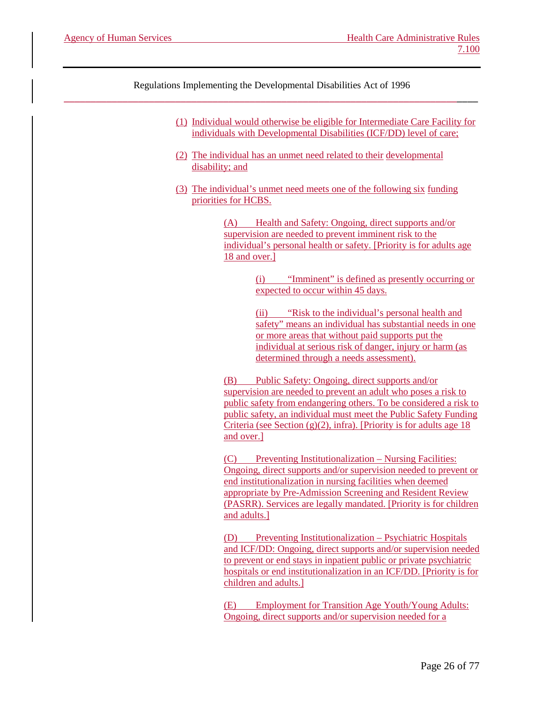- (1) Individual would otherwise be eligible for Intermediate Care Facility for individuals with Developmental Disabilities (ICF/DD) level of care;
- (2) The individual has an unmet need related to their developmental disability; and
- (3) The individual's unmet need meets one of the following six funding priorities for HCBS.

(A) Health and Safety: Ongoing, direct supports and/or supervision are needed to prevent imminent risk to the individual's personal health or safety. [Priority is for adults age 18 and over.]

> (i) "Imminent" is defined as presently occurring or expected to occur within 45 days.

> (ii) "Risk to the individual's personal health and safety" means an individual has substantial needs in one or more areas that without paid supports put the individual at serious risk of danger, injury or harm (as determined through a needs assessment).

(B) Public Safety: Ongoing, direct supports and/or supervision are needed to prevent an adult who poses a risk to public safety from endangering others. To be considered a risk to public safety, an individual must meet the Public Safety Funding Criteria (see Section  $(g)(2)$ , infra). [Priority is for adults age 18] and over.]

(C) Preventing Institutionalization – Nursing Facilities: Ongoing, direct supports and/or supervision needed to prevent or end institutionalization in nursing facilities when deemed appropriate by Pre-Admission Screening and Resident Review (PASRR). Services are legally mandated. [Priority is for children and adults.]

(D) Preventing Institutionalization – Psychiatric Hospitals and ICF/DD: Ongoing, direct supports and/or supervision needed to prevent or end stays in inpatient public or private psychiatric hospitals or end institutionalization in an ICF/DD. [Priority is for children and adults.]

(E) Employment for Transition Age Youth/Young Adults: Ongoing, direct supports and/or supervision needed for a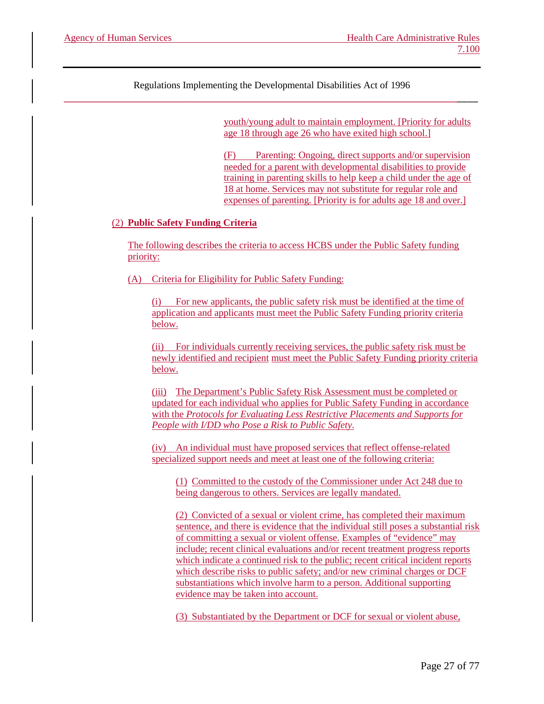youth/young adult to maintain employment. [Priority for adults age 18 through age 26 who have exited high school.]

(F) Parenting: Ongoing, direct supports and/or supervision needed for a parent with developmental disabilities to provide training in parenting skills to help keep a child under the age of 18 at home. Services may not substitute for regular role and expenses of parenting. [Priority is for adults age 18 and over.]

#### (2) **Public Safety Funding Criteria**

The following describes the criteria to access HCBS under the Public Safety funding priority:

(A) Criteria for Eligibility for Public Safety Funding:

(i) For new applicants, the public safety risk must be identified at the time of application and applicants must meet the Public Safety Funding priority criteria below.

(ii) For individuals currently receiving services, the public safety risk must be newly identified and recipient must meet the Public Safety Funding priority criteria below.

(iii) The Department's Public Safety Risk Assessment must be completed or updated for each individual who applies for Public Safety Funding in accordance with the *Protocols for Evaluating Less Restrictive Placements and Supports for People with I/DD who Pose a Risk to Public Safety*.

(iv) An individual must have proposed services that reflect offense-related specialized support needs and meet at least one of the following criteria:

(1) Committed to the custody of the Commissioner under Act 248 due to being dangerous to others. Services are legally mandated.

(2) Convicted of a sexual or violent crime, has completed their maximum sentence, and there is evidence that the individual still poses a substantial risk of committing a sexual or violent offense. Examples of "evidence" may include; recent clinical evaluations and/or recent treatment progress reports which indicate a continued risk to the public; recent critical incident reports which describe risks to public safety; and/or new criminal charges or DCF substantiations which involve harm to a person. Additional supporting evidence may be taken into account.

(3) Substantiated by the Department or DCF for sexual or violent abuse,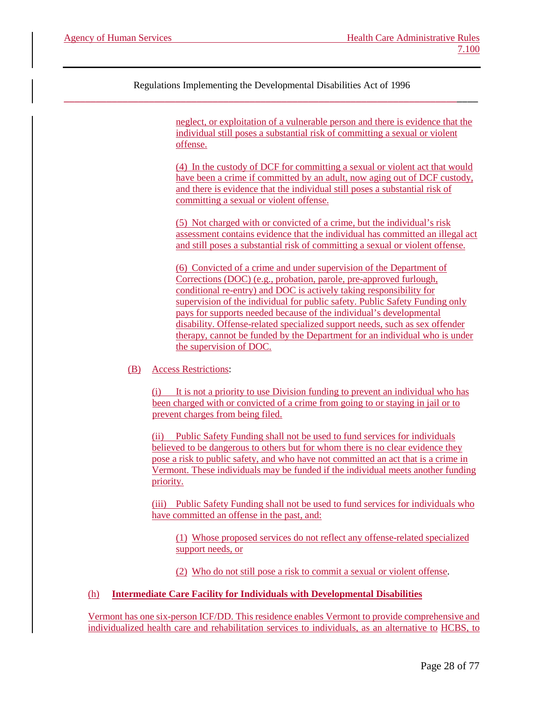> neglect, or exploitation of a vulnerable person and there is evidence that the individual still poses a substantial risk of committing a sexual or violent offense.

> (4) In the custody of DCF for committing a sexual or violent act that would have been a crime if committed by an adult, now aging out of DCF custody, and there is evidence that the individual still poses a substantial risk of committing a sexual or violent offense.

(5) Not charged with or convicted of a crime, but the individual's risk assessment contains evidence that the individual has committed an illegal act and still poses a substantial risk of committing a sexual or violent offense.

(6) Convicted of a crime and under supervision of the Department of Corrections (DOC) (e.g., probation, parole, pre-approved furlough, conditional re-entry) and DOC is actively taking responsibility for supervision of the individual for public safety. Public Safety Funding only pays for supports needed because of the individual's developmental disability. Offense-related specialized support needs, such as sex offender therapy, cannot be funded by the Department for an individual who is under the supervision of DOC.

#### (B) Access Restrictions:

(i) It is not a priority to use Division funding to prevent an individual who has been charged with or convicted of a crime from going to or staying in jail or to prevent charges from being filed.

(ii) Public Safety Funding shall not be used to fund services for individuals believed to be dangerous to others but for whom there is no clear evidence they pose a risk to public safety, and who have not committed an act that is a crime in Vermont. These individuals may be funded if the individual meets another funding priority.

(iii) Public Safety Funding shall not be used to fund services for individuals who have committed an offense in the past, and:

(1) Whose proposed services do not reflect any offense-related specialized support needs, or

(2) Who do not still pose a risk to commit a sexual or violent offense.

#### (h) **Intermediate Care Facility for Individuals with Developmental Disabilities**

Vermont has one six-person ICF/DD. This residence enables Vermont to provide comprehensive and individualized health care and rehabilitation services to individuals, as an alternative to HCBS, to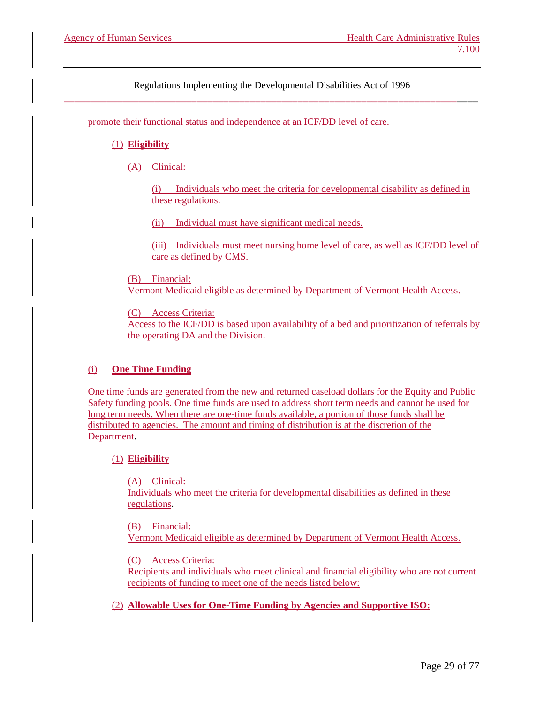promote their functional status and independence at an ICF/DD level of care.

# (1) **Eligibility**

(A) Clinical:

(i) Individuals who meet the criteria for developmental disability as defined in these regulations.

(ii) Individual must have significant medical needs.

(iii) Individuals must meet nursing home level of care, as well as ICF/DD level of care as defined by CMS.

(B) Financial: Vermont Medicaid eligible as determined by Department of Vermont Health Access.

(C) Access Criteria:

Access to the ICF/DD is based upon availability of a bed and prioritization of referrals by the operating DA and the Division.

# (i) **One Time Funding**

One time funds are generated from the new and returned caseload dollars for the Equity and Public Safety funding pools. One time funds are used to address short term needs and cannot be used for long term needs. When there are one-time funds available, a portion of those funds shall be distributed to agencies. The amount and timing of distribution is at the discretion of the Department.

# (1) **Eligibility**

(A) Clinical: Individuals who meet the criteria for developmental disabilities as defined in these regulations.

(B) Financial: Vermont Medicaid eligible as determined by Department of Vermont Health Access.

(C) Access Criteria:

Recipients and individuals who meet clinical and financial eligibility who are not current recipients of funding to meet one of the needs listed below:

(2) **Allowable Uses for One-Time Funding by Agencies and Supportive ISO:**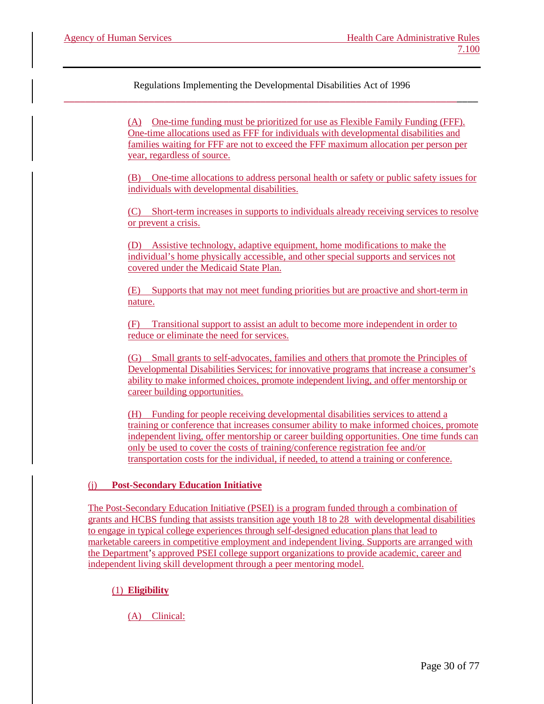> (A) One-time funding must be prioritized for use as Flexible Family Funding (FFF). One-time allocations used as FFF for individuals with developmental disabilities and families waiting for FFF are not to exceed the FFF maximum allocation per person per year, regardless of source.

(B) One-time allocations to address personal health or safety or public safety issues for individuals with developmental disabilities.

(C) Short-term increases in supports to individuals already receiving services to resolve or prevent a crisis.

(D) Assistive technology, adaptive equipment, home modifications to make the individual's home physically accessible, and other special supports and services not covered under the Medicaid State Plan.

(E) Supports that may not meet funding priorities but are proactive and short-term in nature.

(F) Transitional support to assist an adult to become more independent in order to reduce or eliminate the need for services.

(G) Small grants to self-advocates, families and others that promote the Principles of Developmental Disabilities Services; for innovative programs that increase a consumer's ability to make informed choices, promote independent living, and offer mentorship or career building opportunities.

(H) Funding for people receiving developmental disabilities services to attend a training or conference that increases consumer ability to make informed choices, promote independent living, offer mentorship or career building opportunities. One time funds can only be used to cover the costs of training/conference registration fee and/or transportation costs for the individual, if needed, to attend a training or conference.

# (j) **Post-Secondary Education Initiative**

The Post-Secondary Education Initiative (PSEI) is a program funded through a combination of grants and HCBS funding that assists transition age youth 18 to 28 with developmental disabilities to engage in typical college experiences through self-designed education plans that lead to marketable careers in competitive employment and independent living. Supports are arranged with the Department's approved PSEI college support organizations to provide academic, career and independent living skill development through a peer mentoring model.

# (1) **Eligibility**

(A) Clinical: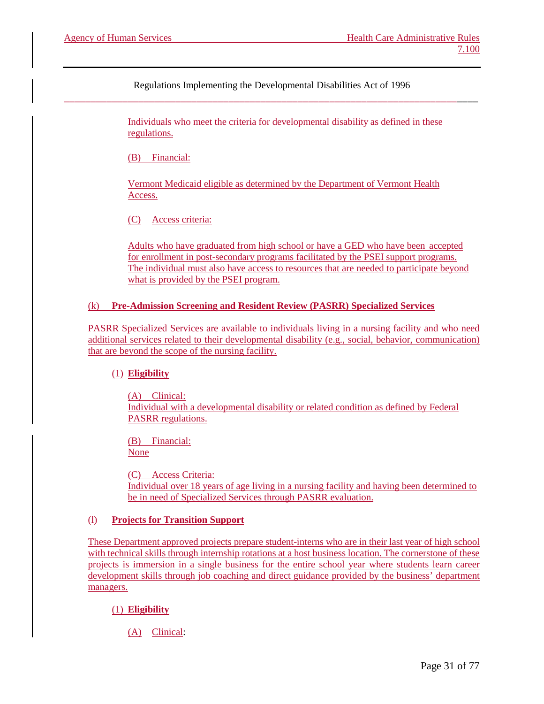> Individuals who meet the criteria for developmental disability as defined in these regulations.

(B) Financial:

Vermont Medicaid eligible as determined by the Department of Vermont Health Access.

(C) Access criteria:

Adults who have graduated from high school or have a GED who have been accepted for enrollment in post-secondary programs facilitated by the PSEI support programs. The individual must also have access to resources that are needed to participate beyond what is provided by the PSEI program.

# (k) **Pre-Admission Screening and Resident Review (PASRR) Specialized Services**

PASRR Specialized Services are available to individuals living in a nursing facility and who need additional services related to their developmental disability (e.g., social, behavior, communication) that are beyond the scope of the nursing facility.

#### (1) **Eligibility**

(A) Clinical: Individual with a developmental disability or related condition as defined by Federal PASRR regulations.

(B) Financial: None

(C) Access Criteria: Individual over 18 years of age living in a nursing facility and having been determined to be in need of Specialized Services through PASRR evaluation.

#### (l) **Projects for Transition Support**

These Department approved projects prepare student-interns who are in their last year of high school with technical skills through internship rotations at a host business location. The cornerstone of these projects is immersion in a single business for the entire school year where students learn career development skills through job coaching and direct guidance provided by the business' department managers.

# (1) **Eligibility**

(A) Clinical: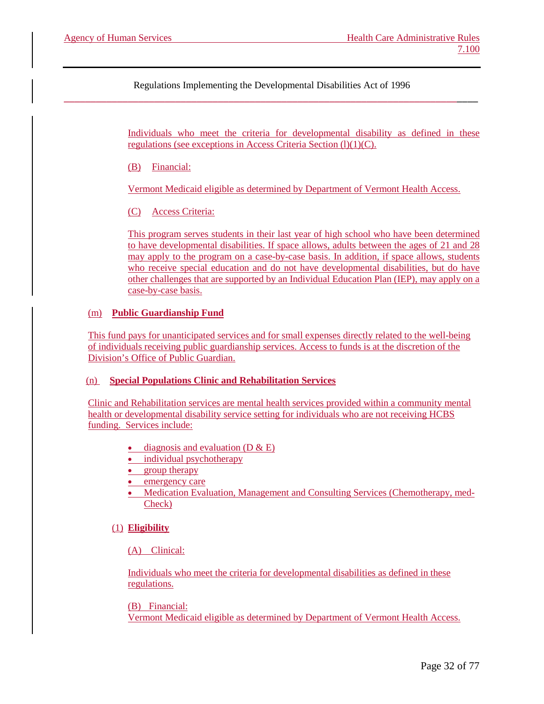> Individuals who meet the criteria for developmental disability as defined in these regulations (see exceptions in Access Criteria Section  $(l)(1)(C)$ .

(B) Financial:

Vermont Medicaid eligible as determined by Department of Vermont Health Access.

(C) Access Criteria:

This program serves students in their last year of high school who have been determined to have developmental disabilities. If space allows, adults between the ages of 21 and 28 may apply to the program on a case-by-case basis. In addition, if space allows, students who receive special education and do not have developmental disabilities, but do have other challenges that are supported by an Individual Education Plan (IEP), may apply on a case-by-case basis.

# (m) **Public Guardianship Fund**

This fund pays for unanticipated services and for small expenses directly related to the well-being of individuals receiving public guardianship services. Access to funds is at the discretion of the Division's Office of Public Guardian.

#### (n) **Special Populations Clinic and Rehabilitation Services**

Clinic and Rehabilitation services are mental health services provided within a community mental health or developmental disability service setting for individuals who are not receiving HCBS funding. Services include:

- diagnosis and evaluation  $(D & E)$
- individual psychotherapy
- group therapy
- emergency care
- Medication Evaluation, Management and Consulting Services (Chemotherapy, med-Check)

#### (1) **Eligibility**

#### (A) Clinical:

Individuals who meet the criteria for developmental disabilities as defined in these regulations.

(B) Financial: Vermont Medicaid eligible as determined by Department of Vermont Health Access.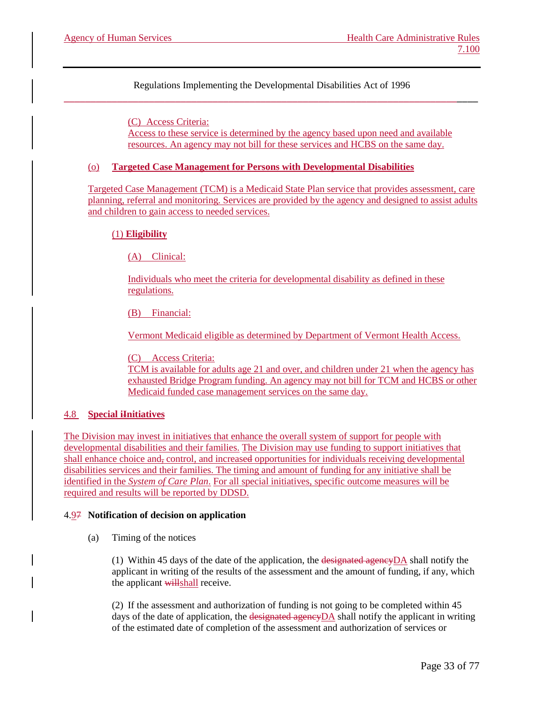> (C) Access Criteria: Access to these service is determined by the agency based upon need and available resources. An agency may not bill for these services and HCBS on the same day.

#### (o) **Targeted Case Management for Persons with Developmental Disabilities**

Targeted Case Management (TCM) is a Medicaid State Plan service that provides assessment, care planning, referral and monitoring. Services are provided by the agency and designed to assist adults and children to gain access to needed services.

#### (1) **Eligibility**

(A) Clinical:

Individuals who meet the criteria for developmental disability as defined in these regulations.

(B) Financial:

Vermont Medicaid eligible as determined by Department of Vermont Health Access.

(C) Access Criteria:

TCM is available for adults age 21 and over, and children under 21 when the agency has exhausted Bridge Program funding. An agency may not bill for TCM and HCBS or other Medicaid funded case management services on the same day.

#### 4.8 **Special iInitiatives**

The Division may invest in initiatives that enhance the overall system of support for people with developmental disabilities and their families. The Division may use funding to support initiatives that shall enhance choice and, control, and increased opportunities for individuals receiving developmental disabilities services and their families. The timing and amount of funding for any initiative shall be identified in the *System of Care Plan*. For all special initiatives, specific outcome measures will be required and results will be reported by DDSD.

#### 4.97 **Notification of decision on application**

(a) Timing of the notices

(1) Within 45 days of the date of the application, the designated agencyDA shall notify the applicant in writing of the results of the assessment and the amount of funding, if any, which the applicant willshall receive.

(2) If the assessment and authorization of funding is not going to be completed within 45 days of the date of application, the designated agencyDA shall notify the applicant in writing of the estimated date of completion of the assessment and authorization of services or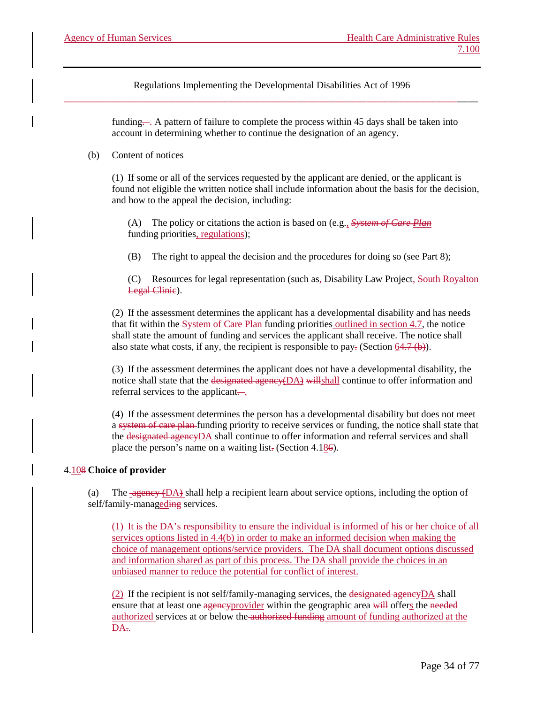> funding.... A pattern of failure to complete the process within 45 days shall be taken into account in determining whether to continue the designation of an agency.

#### (b) Content of notices

(1) If some or all of the services requested by the applicant are denied, or the applicant is found not eligible the written notice shall include information about the basis for the decision, and how to the appeal the decision, including:

(A) The policy or citations the action is based on (e.g., *System of Care Plan* funding priorities, regulations);

(B) The right to appeal the decision and the procedures for doing so (see Part 8);

(C) Resources for legal representation (such as, Disability Law Project, South Royalton Legal Clinic).

(2) If the assessment determines the applicant has a developmental disability and has needs that fit within the System of Care Plan-funding priorities outlined in section 4.7, the notice shall state the amount of funding and services the applicant shall receive. The notice shall also state what costs, if any, the recipient is responsible to pay- (Section  $64.7$  (b)).

(3) If the assessment determines the applicant does not have a developmental disability, the notice shall state that the designated agency(DA) willshall continue to offer information and referral services to the applicant.

(4) If the assessment determines the person has a developmental disability but does not meet a system of care plan funding priority to receive services or funding, the notice shall state that the designated agencyDA shall continue to offer information and referral services and shall place the person's name on a waiting list. (Section 4.186).

# 4.108 **Choice of provider**

(a) The  $\frac{1}{\text{agenew (DA)}}$  shall help a recipient learn about service options, including the option of self/family-manageding services.

(1) It is the DA's responsibility to ensure the individual is informed of his or her choice of all services options listed in 4.4(b) in order to make an informed decision when making the choice of management options/service providers. The DA shall document options discussed and information shared as part of this process. The DA shall provide the choices in an unbiased manner to reduce the potential for conflict of interest.

 $(2)$  If the recipient is not self/family-managing services, the designated agency DA shall ensure that at least one agency provider within the geographic area will offers the needed authorized services at or below the authorized funding amount of funding authorized at the  $DA_{\tau_{\star}}$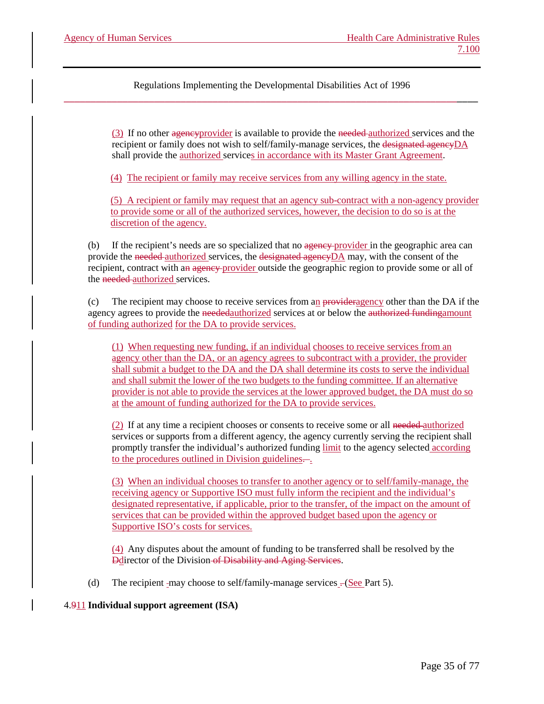> (3) If no other agencyprovider is available to provide the needed authorized services and the recipient or family does not wish to self/family-manage services, the designated agencyDA shall provide the authorized services in accordance with its Master Grant Agreement.

(4) The recipient or family may receive services from any willing agency in the state.

(5) A recipient or family may request that an agency sub-contract with a non-agency provider to provide some or all of the authorized services, however, the decision to do so is at the discretion of the agency.

(b) If the recipient's needs are so specialized that no agency-provider in the geographic area can provide the needed authorized services, the designated agencyDA may, with the consent of the recipient, contract with an agency provider outside the geographic region to provide some or all of the needed authorized services.

(c) The recipient may choose to receive services from an provideragency other than the DA if the agency agrees to provide the neededauthorized services at or below the authorized fundingamount of funding authorized for the DA to provide services.

(1) When requesting new funding, if an individual chooses to receive services from an agency other than the DA, or an agency agrees to subcontract with a provider, the provider shall submit a budget to the DA and the DA shall determine its costs to serve the individual and shall submit the lower of the two budgets to the funding committee. If an alternative provider is not able to provide the services at the lower approved budget, the DA must do so at the amount of funding authorized for the DA to provide services.

(2) If at any time a recipient chooses or consents to receive some or all needed authorized services or supports from a different agency, the agency currently serving the recipient shall promptly transfer the individual's authorized funding limit to the agency selected according to the procedures outlined in Division guidelines.

(3) When an individual chooses to transfer to another agency or to self/family-manage, the receiving agency or Supportive ISO must fully inform the recipient and the individual's designated representative, if applicable, prior to the transfer, of the impact on the amount of services that can be provided within the approved budget based upon the agency or Supportive ISO's costs for services.

(4) Any disputes about the amount of funding to be transferred shall be resolved by the Ddirector of the Division of Disability and Aging Services.

(d) The recipient -may choose to self/family-manage services  $-(\text{See Part 5})$ .

4.911 **Individual support agreement (ISA)**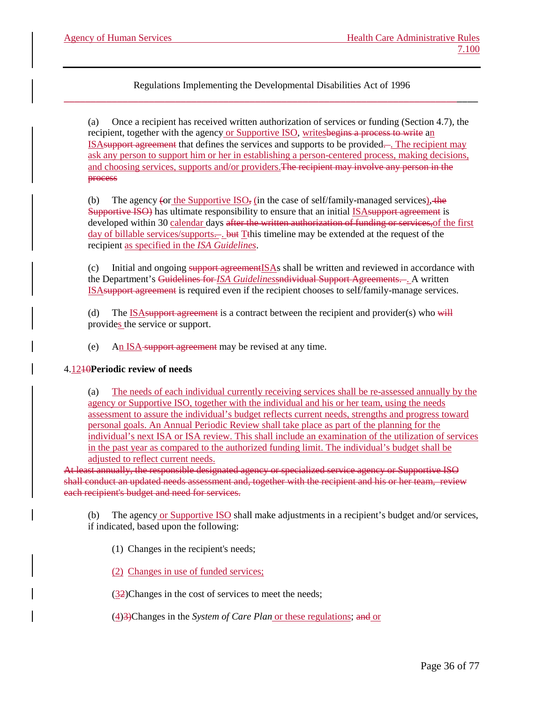(a) Once a recipient has received written authorization of services or funding (Section 4.7), the recipient, together with the agency or Supportive ISO, writesbegins a process to write an ISA support agreement that defines the services and supports to be provided—. The recipient may ask any person to support him or her in establishing a person-centered process, making decisions, and choosing services, supports and/or providers.The recipient may involve any person in the process

(b) The agency (or the Supportive  $ISO<sub>z</sub>$  (in the case of self/family-managed services), the Supportive ISO) has ultimate responsibility to ensure that an initial ISAsupport agreement is developed within 30 calendar days after the written authorization of funding or services, of the first day of billable services/supports—. but T<sup>this</sup> timeline may be extended at the request of the recipient as specified in the *ISA Guidelines*.

(c) Initial and ongoing support agreement  $ISAs$  shall be written and reviewed in accordance with the Department's Guidelines for *ISA Guidelines*sndividual Support Agreements. . A written ISAsupport agreement is required even if the recipient chooses to self/family-manage services.

(d) The  $\underline{\text{ISA}}$ support agreement is a contract between the recipient and provider(s) who will provides the service or support.

(e) An ISA support agreement may be revised at any time.

# 4.1210**Periodic review of needs**

The needs of each individual currently receiving services shall be re-assessed annually by the agency or Supportive ISO, together with the individual and his or her team, using the needs assessment to assure the individual's budget reflects current needs, strengths and progress toward personal goals. An Annual Periodic Review shall take place as part of the planning for the individual's next ISA or ISA review. This shall include an examination of the utilization of services in the past year as compared to the authorized funding limit. The individual's budget shall be adjusted to reflect current needs.

At least annually, the responsible designated agency or specialized service agency or Supportive ISO shall conduct an updated needs assessment and, together with the recipient and his or her team, review each recipient's budget and need for services.

(b) The agency or Supportive ISO shall make adjustments in a recipient's budget and/or services, if indicated, based upon the following:

(1) Changes in the recipient's needs;

(2) Changes in use of funded services;

(32)Changes in the cost of services to meet the needs;

(4)3)Changes in the *System of Care Plan* or these regulations; and or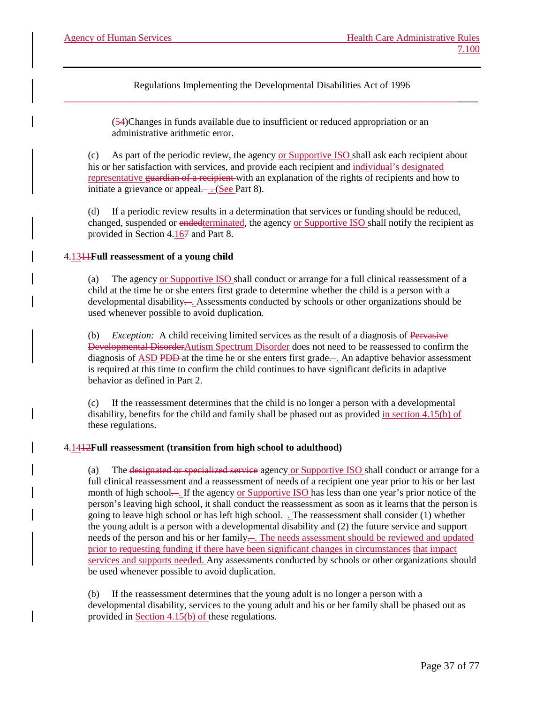> (54)Changes in funds available due to insufficient or reduced appropriation or an administrative arithmetic error.

(c) As part of the periodic review, the agency or Supportive ISO shall ask each recipient about his or her satisfaction with services, and provide each recipient and individual's designated representative guardian of a recipient with an explanation of the rights of recipients and how to initiate a grievance or appeal— $-($ See Part 8).

(d) If a periodic review results in a determination that services or funding should be reduced, changed, suspended or endedterminated, the agency or Supportive ISO shall notify the recipient as provided in Section 4.167 and Part 8.

# 4.1311**Full reassessment of a young child**

(a) The agency or Supportive ISO shall conduct or arrange for a full clinical reassessment of a child at the time he or she enters first grade to determine whether the child is a person with a developmental disability.... Assessments conducted by schools or other organizations should be used whenever possible to avoid duplication*.* 

(b) *Exception:* A child receiving limited services as the result of a diagnosis of Pervasive Developmental DisorderAutism Spectrum Disorder does not need to be reassessed to confirm the diagnosis of ASD PDD-at the time he or she enters first grade—. An adaptive behavior assessment is required at this time to confirm the child continues to have significant deficits in adaptive behavior as defined in Part 2.

(c) If the reassessment determines that the child is no longer a person with a developmental disability, benefits for the child and family shall be phased out as provided in section 4.15(b) of these regulations.

# 4.1412**Full reassessment (transition from high school to adulthood)**

(a) The designated or specialized service agency or Supportive ISO shall conduct or arrange for a full clinical reassessment and a reassessment of needs of a recipient one year prior to his or her last month of high school... If the agency or Supportive ISO has less than one year's prior notice of the person's leaving high school, it shall conduct the reassessment as soon as it learns that the person is going to leave high school or has left high school... The reassessment shall consider (1) whether the young adult is a person with a developmental disability and (2) the future service and support needs of the person and his or her family-. The needs assessment should be reviewed and updated prior to requesting funding if there have been significant changes in circumstances that impact services and supports needed. Any assessments conducted by schools or other organizations should be used whenever possible to avoid duplication.

(b) If the reassessment determines that the young adult is no longer a person with a developmental disability, services to the young adult and his or her family shall be phased out as provided in Section 4.15(b) of these regulations.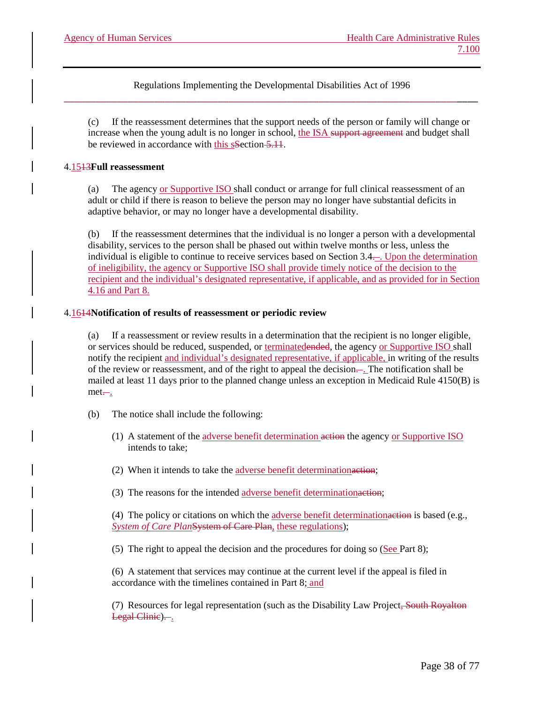(c) If the reassessment determines that the support needs of the person or family will change or increase when the young adult is no longer in school, the ISA support agreement and budget shall be reviewed in accordance with this sSection 5.11.

### 4.1513**Full reassessment**

(a) The agency or Supportive ISO shall conduct or arrange for full clinical reassessment of an adult or child if there is reason to believe the person may no longer have substantial deficits in adaptive behavior, or may no longer have a developmental disability.

(b) If the reassessment determines that the individual is no longer a person with a developmental disability, services to the person shall be phased out within twelve months or less, unless the individual is eligible to continue to receive services based on Section 3.4. . Upon the determination of ineligibility, the agency or Supportive ISO shall provide timely notice of the decision to the recipient and the individual's designated representative, if applicable, and as provided for in Section 4.16 and Part 8.

# 4.1614**Notification of results of reassessment or periodic review**

(a) If a reassessment or review results in a determination that the recipient is no longer eligible, or services should be reduced, suspended, or terminatedended, the agency or Supportive ISO shall notify the recipient and individual's designated representative, if applicable, in writing of the results of the review or reassessment, and of the right to appeal the decision—. The notification shall be mailed at least 11 days prior to the planned change unless an exception in Medicaid Rule 4150(B) is  $met-$ .

- (b) The notice shall include the following:
	- (1) A statement of the adverse benefit determination action the agency or Supportive ISO intends to take;
	- (2) When it intends to take the adverse benefit determinationaction;
	- (3) The reasons for the intended adverse benefit determinationaction;

(4) The policy or citations on which the adverse benefit determinationaction is based (e.g., *System of Care Plan*System of Care Plan, these regulations);

(5) The right to appeal the decision and the procedures for doing so (See Part 8);

(6) A statement that services may continue at the current level if the appeal is filed in accordance with the timelines contained in Part 8; and

(7) Resources for legal representation (such as the Disability Law Project, South Royalton Legal Clinic)...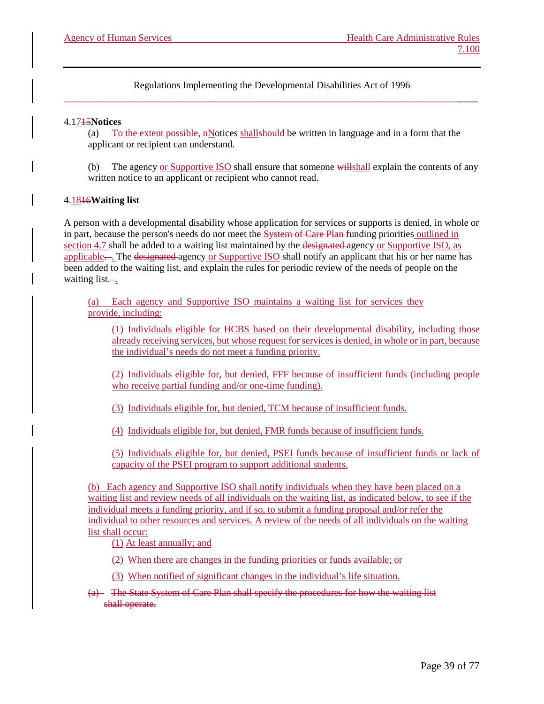### 4.1715**Notices**

(a)  $\overline{1}$  To the extent possible, nNotices shall should be written in language and in a form that the applicant or recipient can understand.

(b) The agency or Supportive ISO shall ensure that someone willshall explain the contents of any written notice to an applicant or recipient who cannot read.

# 4.1816**Waiting list**

A person with a developmental disability whose application for services or supports is denied, in whole or in part, because the person's needs do not meet the System of Care Plan funding priorities outlined in section 4.7 shall be added to a waiting list maintained by the designated agency or Supportive ISO, as applicable.... The designated agency or Supportive ISO shall notify an applicant that his or her name has been added to the waiting list, and explain the rules for periodic review of the needs of people on the waiting list $\frac{1}{2}$ .

(a) Each agency and Supportive ISO maintains a waiting list for services they provide, including:

(1) Individuals eligible for HCBS based on their developmental disability, including those already receiving services, but whose request for services is denied, in whole or in part, because the individual's needs do not meet a funding priority.

(2) Individuals eligible for, but denied, FFF because of insufficient funds (including people who receive partial funding and/or one-time funding).

(3) Individuals eligible for, but denied, TCM because of insufficient funds.

(4) Individuals eligible for, but denied, FMR funds because of insufficient funds.

(5) Individuals eligible for, but denied, PSEI funds because of insufficient funds or lack of capacity of the PSEI program to support additional students.

(b) Each agency and Supportive ISO shall notify individuals when they have been placed on a waiting list and review needs of all individuals on the waiting list, as indicated below, to see if the individual meets a funding priority, and if so, to submit a funding proposal and/or refer the individual to other resources and services. A review of the needs of all individuals on the waiting list shall occur:

(1) At least annually; and

(2) When there are changes in the funding priorities or funds available; or

(3) When notified of significant changes in the individual's life situation.

(a) The State System of Care Plan shall specify the procedures for how the waiting list shall operate.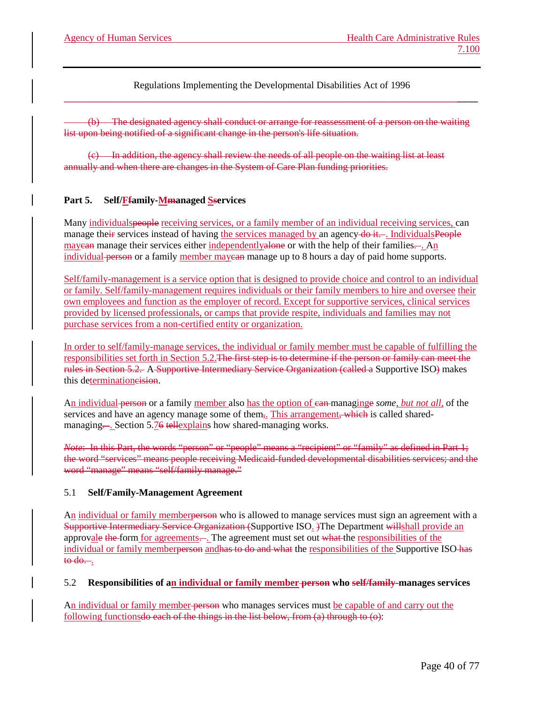(b) The designated agency shall conduct or arrange for reassessment of a person on the waiting list upon being notified of a significant change in the person's life situation.

(c) In addition, the agency shall review the needs of all people on the waiting list at least annually and when there are changes in the System of Care Plan funding priorities.

# **Part 5. Self/Ffamily-Mmanaged Sservices**

Many individualspeople receiving services, or a family member of an individual receiving services, can manage their services instead of having the services managed by an agency do it. . IndividualsPeople may ean manage their services either independently alone or with the help of their families.... An individual person or a family member may ean manage up to 8 hours a day of paid home supports.

Self/family-management is a service option that is designed to provide choice and control to an individual or family. Self/family-management requires individuals or their family members to hire and oversee their own employees and function as the employer of record. Except for supportive services, clinical services provided by licensed professionals, or camps that provide respite, individuals and families may not purchase services from a non-certified entity or organization.

In order to self/family-manage services, the individual or family member must be capable of fulfilling the responsibilities set forth in Section 5.2.The first step is to determine if the person or family can meet the rules in Section 5.2. A Supportive Intermediary Service Organization (called a Supportive ISO) makes this determinationcision.

An individual person or a family member also has the option of can managinge *some, but not all,* of the services and have an agency manage some of them<sub>5</sub>. This arrangement, which is called sharedmanagingSection 5.76 tell explains how shared-managing works.

*Note*: In this Part, the words "person" or "people" means a "recipient" or "family" as defined in Part 1; the word "services" means people receiving Medicaid-funded developmental disabilities services; and the word "manage" means "self/family manage."

#### 5.1 **Self/Family-Management Agreement**

An individual or family memberperson who is allowed to manage services must sign an agreement with a Supportive Intermediary Service Organization (Supportive ISO<sub>2</sub>) The Department willshall provide an approvale the form for agreements.... The agreement must set out what the responsibilities of the individual or family memberperson and has to do and what the responsibilities of the Supportive ISO-has  $\theta$  to do...

#### 5.2 **Responsibilities of an individual or family member person who self/family-manages services**

An individual or family member person who manages services must be capable of and carry out the following functions do each of the things in the list below, from (a) through to (o):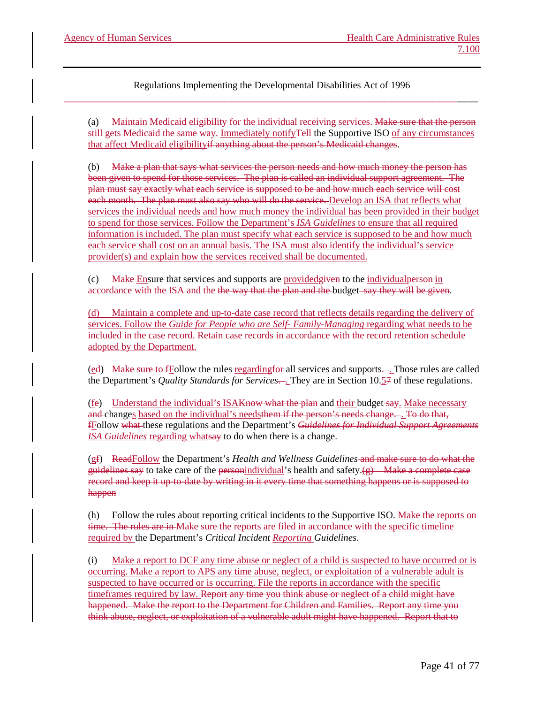(a) Maintain Medicaid eligibility for the individual receiving services. Make sure that the person still gets Medicaid the same way. Immediately notifyTell the Supportive ISO of any circumstances that affect Medicaid eligibilityif anything about the person's Medicaid changes.

(b) Make a plan that says what services the person needs and how much money the person has been given to spend for those services. The plan is called an individual support agreement. The plan must say exactly what each service is supposed to be and how much each service will cost each month. The plan must also say who will do the service. Develop an ISA that reflects what services the individual needs and how much money the individual has been provided in their budget to spend for those services. Follow the Department's *ISA Guidelines* to ensure that all required information is included. The plan must specify what each service is supposed to be and how much each service shall cost on an annual basis. The ISA must also identify the individual's service provider(s) and explain how the services received shall be documented.

(c) Make Ensure that services and supports are providedgiven to the individualperson in accordance with the ISA and the the way that the plan and the budget-say they will be given.

(d) Maintain a complete and up-to-date case record that reflects details regarding the delivery of services. Follow the *Guide for People who are Self- Family-Managing* regarding what needs to be included in the case record. Retain case records in accordance with the record retention schedule adopted by the Department.

(ed) Make sure to fFollow the rules regarding for all services and supports.... Those rules are called the Department's *Quality Standards for Services*.... They are in Section 10.57 of these regulations.

(fe) Understand the individual's ISA<del>Know what the plan</del> and their budget say. Make necessary and changes based on the individual's needsthem if the person's needs change. . To do that, fFollow what these regulations and the Department's *Guidelines for Individual Support Agreements ISA Guidelines* regarding whatsay to do when there is a change.

(gf) ReadFollow the Department's *Health and Wellness Guidelines* and make sure to do what the guidelines say to take care of the personindividual's health and safety. $\left(\varphi\right)$  Make a complete case record and keep it up-to-date by writing in it every time that something happens or is supposed to happen

(h) Follow the rules about reporting critical incidents to the Supportive ISO. Wake the reports on time. The rules are in Make sure the reports are filed in accordance with the specific timeline required by the Department's *Critical Incident Reporting Guidelines*.

(i) Make a report to DCF any time abuse or neglect of a child is suspected to have occurred or is occurring. Make a report to APS any time abuse, neglect, or exploitation of a vulnerable adult is suspected to have occurred or is occurring. File the reports in accordance with the specific timeframes required by law. Report any time you think abuse or neglect of a child might have happened. Make the report to the Department for Children and Families. Report any time you think abuse, neglect, or exploitation of a vulnerable adult might have happened. Report that to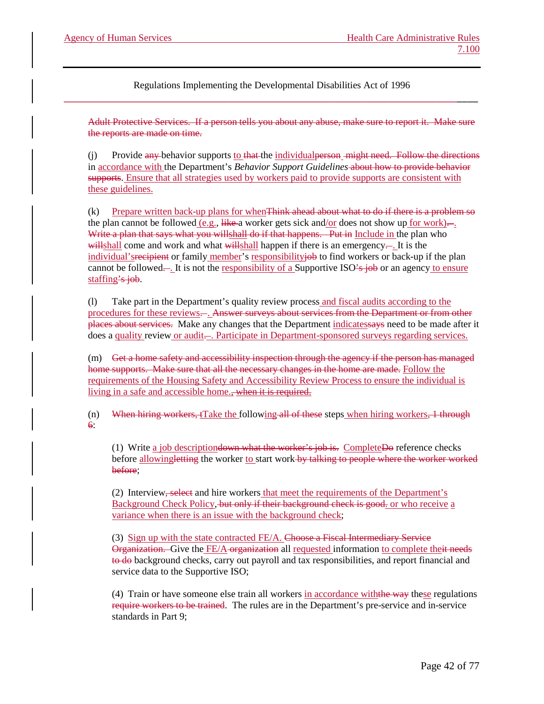Adult Protective Services. If a person tells you about any abuse, make sure to report it. Make sure the reports are made on time.

 $(i)$  Provide any behavior supports to that the individual person might need. Follow the directions in accordance with the Department's *Behavior Support Guidelines* about how to provide behavior supports. Ensure that all strategies used by workers paid to provide supports are consistent with these guidelines.

(k) Prepare written back-up plans for whenThink ahead about what to do if there is a problem so the plan cannot be followed  $(e.g.,$  like a worker gets sick and/or does not show up for work)... Write a plan that says what you willshall do if that happens. Put in Include in the plan who willshall come and work and what willshall happen if there is an emergency—. It is the individual's recipient or family member's responsibilityjob to find workers or back-up if the plan cannot be followed—. It is not the responsibility of a Supportive ISO's job or an agency to ensure staffing's job.

(l) Take part in the Department's quality review process and fiscal audits according to the procedures for these reviews. . Answer surveys about services from the Department or from other places about services. Make any changes that the Department indicatessays need to be made after it does a quality review or audit—. Participate in Department-sponsored surveys regarding services.

(m) Get a home safety and accessibility inspection through the agency if the person has managed home supports. Make sure that all the necessary changes in the home are made. Follow the requirements of the Housing Safety and Accessibility Review Process to ensure the individual is living in a safe and accessible home., when it is required.

(n) When hiring workers,  $f$  and the following all of these steps when hiring workers,  $1$  through 6:

(1) Write a job description down what the worker's job is. Complete  $\overline{D}$  efference checks before allowingletting the worker to start work by talking to people where the worker worked before;

(2) Interview, select and hire workers that meet the requirements of the Department's Background Check Policy, but only if their background check is good, or who receive a variance when there is an issue with the background check;

(3) Sign up with the state contracted FE/A. Choose a Fiscal Intermediary Service Organization. Give the FE/A organization all requested information to complete theit needs to do background checks, carry out payroll and tax responsibilities, and report financial and service data to the Supportive ISO;

(4) Train or have someone else train all workers in accordance with the way these regulations require workers to be trained. The rules are in the Department's pre-service and in-service standards in Part 9;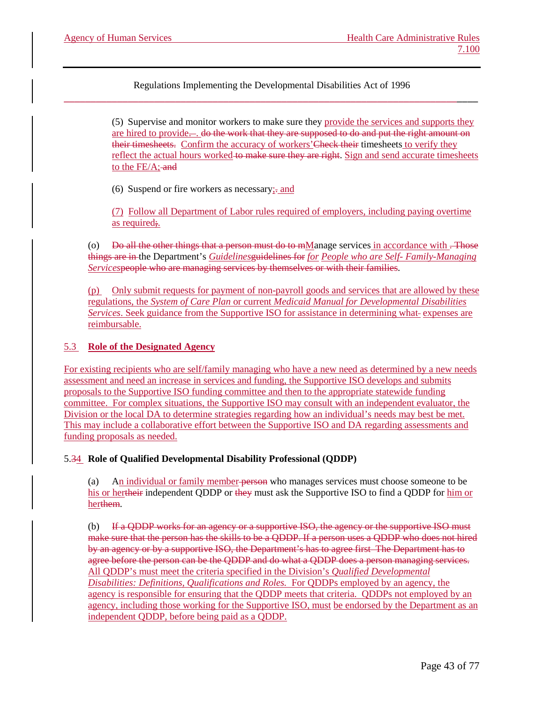> (5) Supervise and monitor workers to make sure they provide the services and supports they are hired to provide..., do the work that they are supposed to do and put the right amount on their timesheets. Confirm the accuracy of workers' Check their timesheets to verify they reflect the actual hours worked to make sure they are right. Sign and send accurate timesheets to the  $FE/A$ ; and

(6) Suspend or fire workers as necessary;. and

(7) Follow all Department of Labor rules required of employers, including paying overtime as required;.

(o) Do all the other things that a person must do to mManage services in accordance with  $\overline{\text{.}$  Those things are in the Department's *Guidelines*guidelines for *for People who are Self- Family-Managing Services*people who are managing services by themselves or with their families.

(p) Only submit requests for payment of non-payroll goods and services that are allowed by these regulations, the *System of Care Plan* or current *Medicaid Manual for Developmental Disabilities Services*. Seek guidance from the Supportive ISO for assistance in determining what expenses are reimbursable.

# 5.3 **Role of the Designated Agency**

For existing recipients who are self/family managing who have a new need as determined by a new needs assessment and need an increase in services and funding, the Supportive ISO develops and submits proposals to the Supportive ISO funding committee and then to the appropriate statewide funding committee. For complex situations, the Supportive ISO may consult with an independent evaluator, the Division or the local DA to determine strategies regarding how an individual's needs may best be met. This may include a collaborative effort between the Supportive ISO and DA regarding assessments and funding proposals as needed.

5.34 **Role of Qualified Developmental Disability Professional (QDDP)**

(a) An individual or family member person who manages services must choose someone to be his or hertheir independent QDDP or they must ask the Supportive ISO to find a QDDP for him or herthem.

(b) If a QDDP works for an agency or a supportive ISO, the agency or the supportive ISO must make sure that the person has the skills to be a QDDP. If a person uses a QDDP who does not hired by an agency or by a supportive ISO, the Department's has to agree first The Department has to agree before the person can be the QDDP and do what a QDDP does a person managing services. All QDDP's must meet the criteria specified in the Division's *Qualified Developmental Disabilities: Definitions, Qualifications and Roles.* For QDDPs employed by an agency, the agency is responsible for ensuring that the QDDP meets that criteria. QDDPs not employed by an agency, including those working for the Supportive ISO, must be endorsed by the Department as an independent QDDP, before being paid as a QDDP.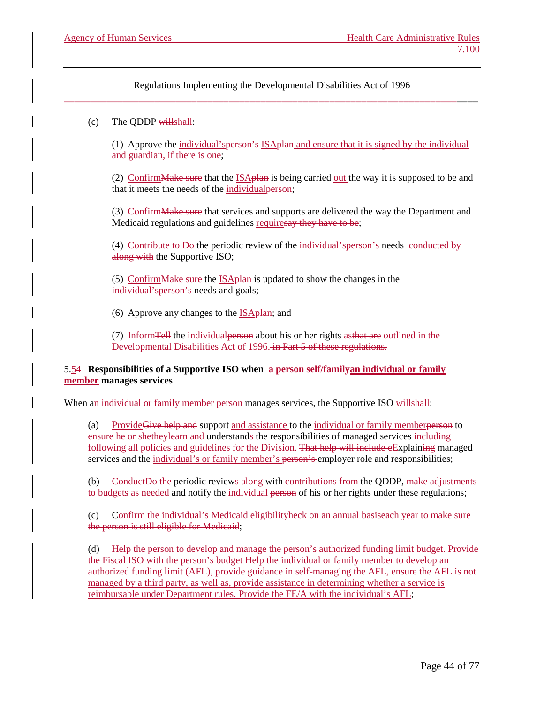# (c) The QDDP willshall:

(1) Approve the individual'sperson's ISAplan and ensure that it is signed by the individual and guardian, if there is one;

(2) Confirm Make sure that the ISA plan is being carried out the way it is supposed to be and that it meets the needs of the individual person;

(3) Confirm Make sure that services and supports are delivered the way the Department and Medicaid regulations and guidelines requiresay they have to be;

(4) Contribute to Do the periodic review of the individual'sperson's needs conducted by along with the Supportive ISO;

(5) Confirm Make sure the ISA plane is updated to show the changes in the individual's **person's** needs and goals;

(6) Approve any changes to the  $ISA$ <sub>p</sub>Han; and

(7) InformTell the individualperson about his or her rights asthat are outlined in the Developmental Disabilities Act of 1996. in Part 5 of these regulations.

# 5.54 **Responsibilities of a Supportive ISO when a person self/familyan individual or family member manages services**

When an individual or family member person manages services, the Supportive ISO willshall:

(a) ProvideGive help and support and assistance to the individual or family memberperson to ensure he or shetheylearn and understands the responsibilities of managed services including following all policies and guidelines for the Division. That help will include eExplaining managed services and the individual's or family member's person's employer role and responsibilities;

(b) Conduct Do the periodic reviews along with contributions from the QDDP, make adjustments to budgets as needed and notify the individual person of his or her rights under these regulations;

(c) Confirm the individual's Medicaid eligibilityheck on an annual basiseach year to make sure the person is still eligible for Medicaid;

(d) Help the person to develop and manage the person's authorized funding limit budget. Provide the Fiscal ISO with the person's budget Help the individual or family member to develop an authorized funding limit (AFL), provide guidance in self-managing the AFL, ensure the AFL is not managed by a third party, as well as, provide assistance in determining whether a service is reimbursable under Department rules. Provide the FE/A with the individual's AFL;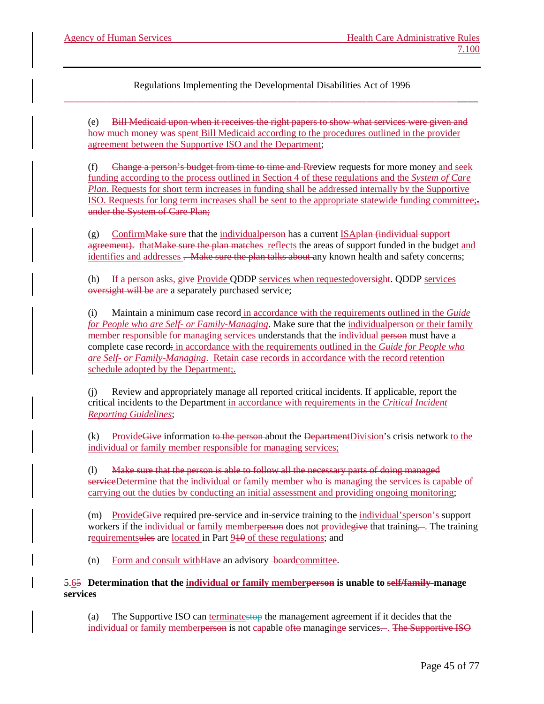(e) Bill Medicaid upon when it receives the right papers to show what services were given and how much money was spent Bill Medicaid according to the procedures outlined in the provider agreement between the Supportive ISO and the Department;

(f) Change a person's budget from time to time and Rreview requests for more money and seek funding according to the process outlined in Section 4 of these regulations and the *System of Care Plan*. Requests for short term increases in funding shall be addressed internally by the Supportive ISO. Requests for long term increases shall be sent to the appropriate statewide funding committee;. under the System of Care Plan;

 $(g)$  Confirm Make sure that the individual person has a current ISA plan (individual support agreement). thatMake sure the plan matches reflects the areas of support funded in the budget and identifies and addresses . Make sure the plan talks about any known health and safety concerns;

(h) If a person asks, give Provide QDDP services when requestedoversight. QDDP services oversight will be are a separately purchased service;

(i) Maintain a minimum case record in accordance with the requirements outlined in the *Guide for People who are Self- or Family-Managing*. Make sure that the individualperson or their family member responsible for managing services understands that the individual person must have a complete case record; in accordance with the requirements outlined in the *Guide for People who are Self- or Family-Managing*. Retain case records in accordance with the record retention schedule adopted by the Department;.

Review and appropriately manage all reported critical incidents. If applicable, report the critical incidents to the Department in accordance with requirements in the *Critical Incident Reporting Guidelines*;

(k) Provide Give information to the person-about the Department Division's crisis network to the individual or family member responsible for managing services;

(l) Make sure that the person is able to follow all the necessary parts of doing managed serviceDetermine that the individual or family member who is managing the services is capable of carrying out the duties by conducting an initial assessment and providing ongoing monitoring;

(m) ProvideGive required pre-service and in-service training to the individual'sperson's support workers if the individual or family memberperson does not provide give that training.... The training requirementsules are located in Part 910 of these regulations; and

(n) Form and consult withHave an advisory boardcommittee.

5.65 **Determination that the individual or family memberperson is unable to self/family-manage services**

(a) The Supportive ISO can terminatestop the management agreement if it decides that the individual or family memberperson is not capable ofto managinge services... The Supportive ISO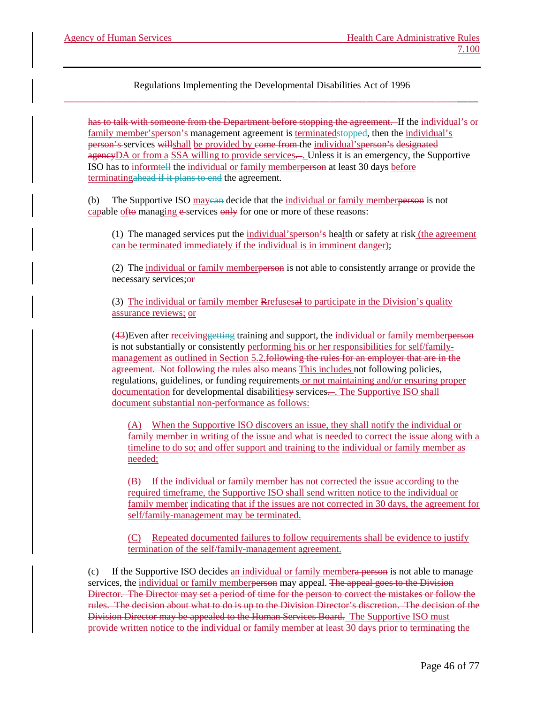has to talk with someone from the Department before stopping the agreement. If the individual's or family member's person's management agreement is terminated stopped, then the individual's person's services willshall be provided by come from the individual'sperson's designated agencyDA or from a SSA willing to provide services—. Unless it is an emergency, the Supportive ISO has to informtell the individual or family memberperson at least 30 days before terminatingahead if it plans to end the agreement.

(b) The Supportive ISO maycan decide that the individual or family memberperson is not capable of  $\theta$  managing  $\theta$ -services  $\theta$  only for one or more of these reasons:

(1) The managed services put the individual'sperson's health or safety at risk (the agreement can be terminated immediately if the individual is in imminent danger);

(2) The individual or family memberperson is not able to consistently arrange or provide the necessary services; or

(3) The individual or family member Rrefusesal to participate in the Division's quality assurance reviews; or

(43)Even after receivinggetting training and support, the individual or family memberperson is not substantially or consistently performing his or her responsibilities for self/familymanagement as outlined in Section 5.2.<del>following the rules for an employer that are in the</del> agreement. Not following the rules also means-This includes not following policies, regulations, guidelines, or funding requirements or not maintaining and/or ensuring proper documentation for developmental disabilities wservices.... The Supportive ISO shall document substantial non-performance as follows:

(A) When the Supportive ISO discovers an issue, they shall notify the individual or family member in writing of the issue and what is needed to correct the issue along with a timeline to do so; and offer support and training to the individual or family member as needed;

(B) If the individual or family member has not corrected the issue according to the required timeframe, the Supportive ISO shall send written notice to the individual or family member indicating that if the issues are not corrected in 30 days, the agreement for self/family-management may be terminated.

(C) Repeated documented failures to follow requirements shall be evidence to justify termination of the self/family-management agreement.

(c) If the Supportive ISO decides an individual or family membera person is not able to manage services, the individual or family memberperson may appeal. The appeal goes to the Division Director. The Director may set a period of time for the person to correct the mistakes or follow the rules. The decision about what to do is up to the Division Director's discretion. The decision of the Division Director may be appealed to the Human Services Board. The Supportive ISO must provide written notice to the individual or family member at least 30 days prior to terminating the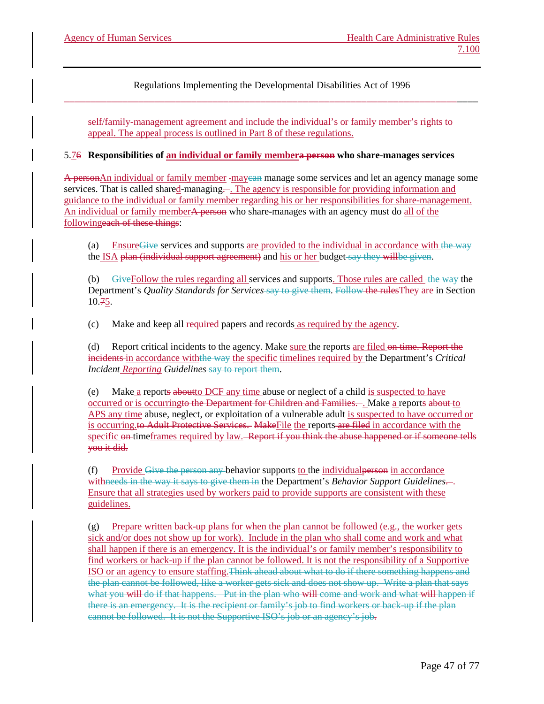self/family-management agreement and include the individual's or family member's rights to appeal. The appeal process is outlined in Part 8 of these regulations.

#### 5.76 **Responsibilities of an individual or family membera person who share-manages services**

A personAn individual or family member -mayean manage some services and let an agency manage some services. That is called shared-managing.... The agency is responsible for providing information and guidance to the individual or family member regarding his or her responsibilities for share-management. An individual or family member<del>A person</del> who share-manages with an agency must do all of the followingeach of these things:

(a) Ensure Give services and supports are provided to the individual in accordance with the way the ISA plan (individual support agreement) and his or her budget say they willbe given.

(b) GiveFollow the rules regarding all services and supports. Those rules are called the way the Department's *Quality Standards for Services* say to give them. Follow the rulesThey are in Section 10.75.

(c) Make and keep all required papers and records as required by the agency.

(d) Report critical incidents to the agency. Make sure the reports are filed on time. Report the incidents in accordance withthe way the specific timelines required by the Department's *Critical Incident Reporting Guidelines* say to report them.

Make a reports about to DCF any time abuse or neglect of a child is suspected to have occurred or is occurringto the Department for Children and Families.... Make a reports about to APS any time abuse, neglect, or exploitation of a vulnerable adult is suspected to have occurred or is occurring.to Adult Protective Services. MakeFile the reports are filed in accordance with the specific on timeframes required by law. Report if you think the abuse happened or if someone tells you it did.

(f) Provide Give the person any behavior supports to the individualperson in accordance withneeds in the way it says to give them in the Department's *Behavior Support Guidelines*... Ensure that all strategies used by workers paid to provide supports are consistent with these guidelines.

(g) Prepare written back-up plans for when the plan cannot be followed (e.g., the worker gets sick and/or does not show up for work). Include in the plan who shall come and work and what shall happen if there is an emergency. It is the individual's or family member's responsibility to find workers or back-up if the plan cannot be followed. It is not the responsibility of a Supportive ISO or an agency to ensure staffing.Think ahead about what to do if there something happens and the plan cannot be followed, like a worker gets sick and does not show up. Write a plan that says what you will do if that happens. Put in the plan who will come and work and what will happen if there is an emergency. It is the recipient or family's job to find workers or back-up if the plan cannot be followed. It is not the Supportive ISO's job or an agency's job.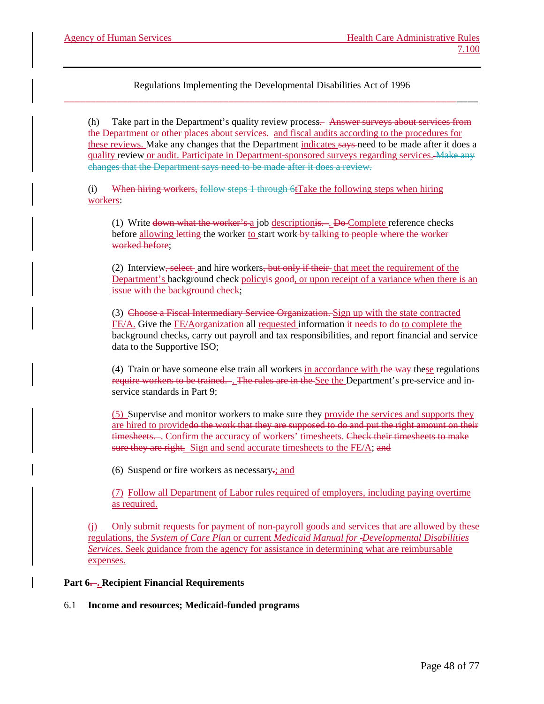(h) Take part in the Department's quality review process. Answer surveys about services from the Department or other places about services. and fiscal audits according to the procedures for these reviews. Make any changes that the Department indicates says need to be made after it does a quality review or audit. Participate in Department-sponsored surveys regarding services. Make any changes that the Department says need to be made after it does a review.

(i) When hiring workers, follow steps 1 through  $6t$ Take the following steps when hiring workers:

(1) Write down what the worker's  $a$  job descriptionis... Do Complete reference checks before allowing letting the worker to start work by talking to people where the worker worked before;

(2) Interview, select and hire workers, but only if their that meet the requirement of the Department's background check policy<del>is good</del>, or upon receipt of a variance when there is an issue with the background check;

(3) Choose a Fiscal Intermediary Service Organization. Sign up with the state contracted FE/A. Give the FE/Aorganization all requested information it needs to do to complete the background checks, carry out payroll and tax responsibilities, and report financial and service data to the Supportive ISO;

(4) Train or have someone else train all workers in accordance with the way these regulations require workers to be trained. . The rules are in the See the Department's pre-service and inservice standards in Part 9;

(5) Supervise and monitor workers to make sure they provide the services and supports they are hired to providedo the work that they are supposed to do and put the right amount on their timesheets.... Confirm the accuracy of workers' timesheets. Check their timesheets to make sure they are right. Sign and send accurate timesheets to the FE/A; and

(6) Suspend or fire workers as necessary.; and

(7) Follow all Department of Labor rules required of employers, including paying overtime as required.

(j) Only submit requests for payment of non-payroll goods and services that are allowed by these regulations, the *System of Care Plan* or current *Medicaid Manual for Developmental Disabilities Services*. Seek guidance from the agency for assistance in determining what are reimbursable expenses.

# **Part 6. . Recipient Financial Requirements**

#### 6.1 **Income and resources; Medicaid-funded programs**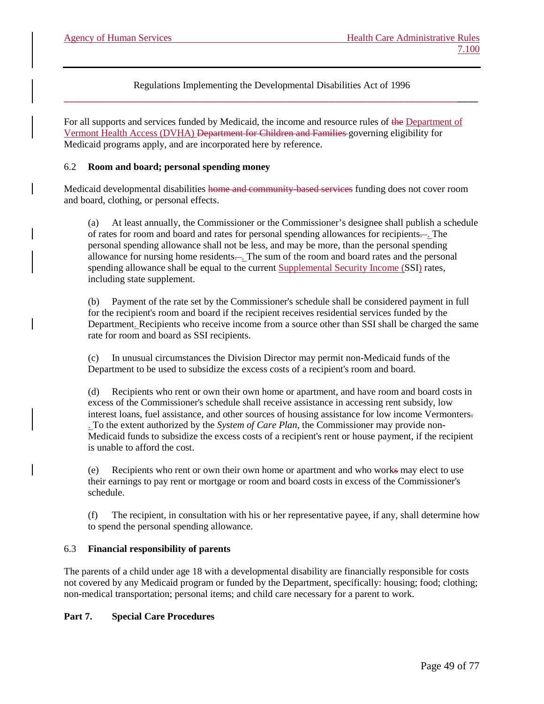For all supports and services funded by Medicaid, the income and resource rules of the Department of Vermont Health Access (DVHA) Department for Children and Families governing eligibility for Medicaid programs apply, and are incorporated here by reference.

### 6.2 **Room and board; personal spending money**

Medicaid developmental disabilities home and community-based services funding does not cover room and board, clothing, or personal effects.

(a) At least annually, the Commissioner or the Commissioner's designee shall publish a schedule of rates for room and board and rates for personal spending allowances for recipients. . The personal spending allowance shall not be less, and may be more, than the personal spending allowance for nursing home residents—. The sum of the room and board rates and the personal spending allowance shall be equal to the current Supplemental Security Income (SSI) rates, including state supplement.

(b) Payment of the rate set by the Commissioner's schedule shall be considered payment in full for the recipient's room and board if the recipient receives residential services funded by the Department. Recipients who receive income from a source other than SSI shall be charged the same rate for room and board as SSI recipients.

(c) In unusual circumstances the Division Director may permit non-Medicaid funds of the Department to be used to subsidize the excess costs of a recipient's room and board.

Recipients who rent or own their own home or apartment, and have room and board costs in excess of the Commissioner's schedule shall receive assistance in accessing rent subsidy, low interest loans, fuel assistance, and other sources of housing assistance for low income Vermonters. . To the extent authorized by the *System of Care Plan*, the Commissioner may provide non-Medicaid funds to subsidize the excess costs of a recipient's rent or house payment, if the recipient is unable to afford the cost.

(e) Recipients who rent or own their own home or apartment and who works may elect to use their earnings to pay rent or mortgage or room and board costs in excess of the Commissioner's schedule.

(f) The recipient, in consultation with his or her representative payee, if any, shall determine how to spend the personal spending allowance.

#### 6.3 **Financial responsibility of parents**

The parents of a child under age 18 with a developmental disability are financially responsible for costs not covered by any Medicaid program or funded by the Department, specifically: housing; food; clothing; non-medical transportation; personal items; and child care necessary for a parent to work.

# **Part 7. Special Care Procedures**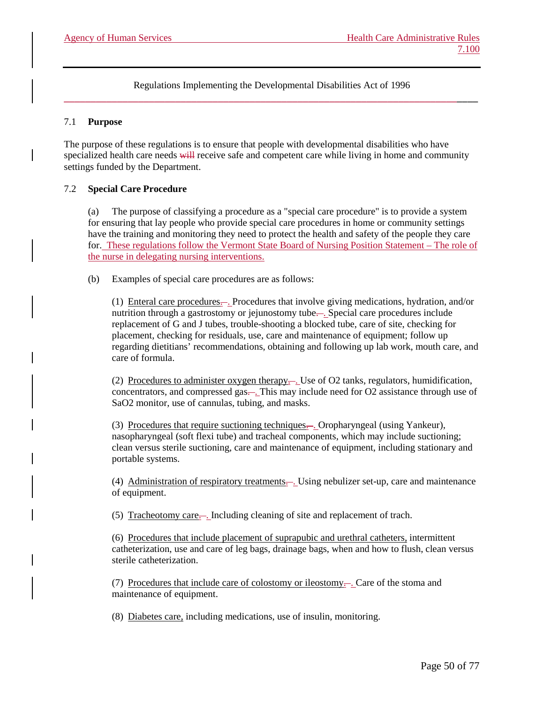### 7.1 **Purpose**

The purpose of these regulations is to ensure that people with developmental disabilities who have specialized health care needs will receive safe and competent care while living in home and community settings funded by the Department.

# 7.2 **Special Care Procedure**

(a) The purpose of classifying a procedure as a "special care procedure" is to provide a system for ensuring that lay people who provide special care procedures in home or community settings have the training and monitoring they need to protect the health and safety of the people they care for. These regulations follow the Vermont State Board of Nursing Position Statement – The role of the nurse in delegating nursing interventions.

(b) Examples of special care procedures are as follows:

(1) Enteral care procedures. . Procedures that involve giving medications, hydration, and/or nutrition through a gastrostomy or jejunostomy tube.... Special care procedures include replacement of G and J tubes, trouble-shooting a blocked tube, care of site, checking for placement, checking for residuals, use, care and maintenance of equipment; follow up regarding dietitians' recommendations, obtaining and following up lab work, mouth care, and care of formula.

(2) Procedures to administer oxygen therapy.... Use of O2 tanks, regulators, humidification, concentrators, and compressed gas—. This may include need for O2 assistance through use of SaO2 monitor, use of cannulas, tubing, and masks.

(3) Procedures that require suctioning techniques...... Oropharyngeal (using Yankeur), nasopharyngeal (soft flexi tube) and tracheal components, which may include suctioning; clean versus sterile suctioning, care and maintenance of equipment, including stationary and portable systems.

(4) Administration of respiratory treatments.... Using nebulizer set-up, care and maintenance of equipment.

(5) Tracheotomy care. . Including cleaning of site and replacement of trach.

(6) Procedures that include placement of suprapubic and urethral catheters, intermittent catheterization, use and care of leg bags, drainage bags, when and how to flush, clean versus sterile catheterization.

(7) Procedures that include care of colostomy or ileostomy—. Care of the stoma and maintenance of equipment.

(8) Diabetes care, including medications, use of insulin, monitoring.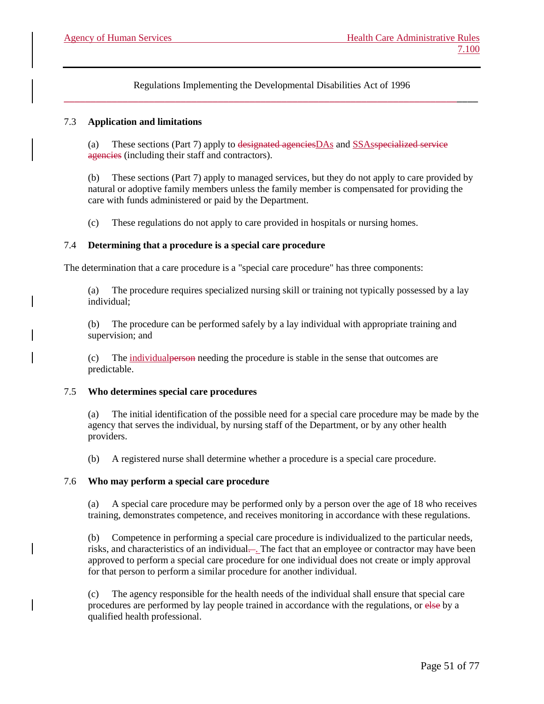# 7.3 **Application and limitations**

(a) These sections (Part 7) apply to designated agenciesDAs and SSAsspecialized service agencies (including their staff and contractors).

(b) These sections (Part 7) apply to managed services, but they do not apply to care provided by natural or adoptive family members unless the family member is compensated for providing the care with funds administered or paid by the Department.

(c) These regulations do not apply to care provided in hospitals or nursing homes.

### 7.4 **Determining that a procedure is a special care procedure**

The determination that a care procedure is a "special care procedure" has three components:

(a) The procedure requires specialized nursing skill or training not typically possessed by a lay individual;

(b) The procedure can be performed safely by a lay individual with appropriate training and supervision; and

(c) The individualperson needing the procedure is stable in the sense that outcomes are predictable.

#### 7.5 **Who determines special care procedures**

(a) The initial identification of the possible need for a special care procedure may be made by the agency that serves the individual, by nursing staff of the Department, or by any other health providers.

(b) A registered nurse shall determine whether a procedure is a special care procedure.

#### 7.6 **Who may perform a special care procedure**

A special care procedure may be performed only by a person over the age of 18 who receives training, demonstrates competence, and receives monitoring in accordance with these regulations.

(b) Competence in performing a special care procedure is individualized to the particular needs, risks, and characteristics of an individual—. The fact that an employee or contractor may have been approved to perform a special care procedure for one individual does not create or imply approval for that person to perform a similar procedure for another individual.

(c) The agency responsible for the health needs of the individual shall ensure that special care procedures are performed by lay people trained in accordance with the regulations, or else by a qualified health professional.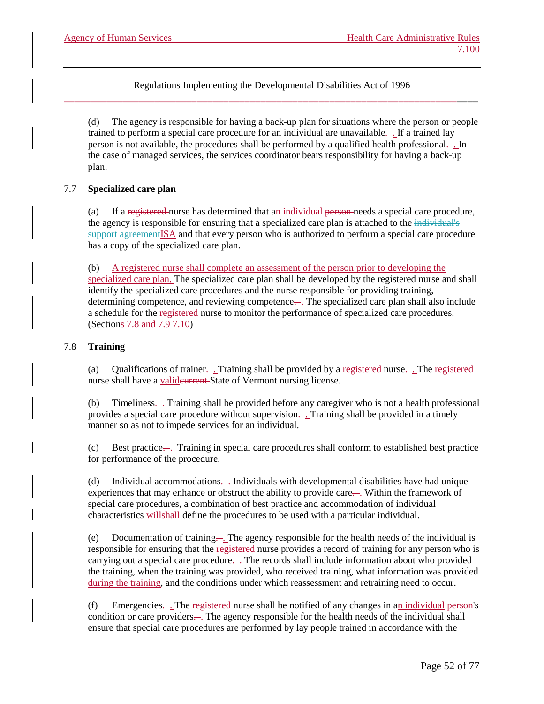(d) The agency is responsible for having a back-up plan for situations where the person or people trained to perform a special care procedure for an individual are unavailable—. If a trained lay person is not available, the procedures shall be performed by a qualified health professional— In the case of managed services, the services coordinator bears responsibility for having a back-up plan.

# 7.7 **Specialized care plan**

(a) If a registered nurse has determined that an individual person needs a special care procedure, the agency is responsible for ensuring that a specialized care plan is attached to the individual's support agreementISA and that every person who is authorized to perform a special care procedure has a copy of the specialized care plan.

(b) A registered nurse shall complete an assessment of the person prior to developing the specialized care plan. The specialized care plan shall be developed by the registered nurse and shall identify the specialized care procedures and the nurse responsible for providing training, determining competence, and reviewing competence—. The specialized care plan shall also include a schedule for the registered nurse to monitor the performance of specialized care procedures. (Sections 7.8 and 7.9 7.10)

# 7.8 **Training**

(a) Qualifications of trainer.... Training shall be provided by a registered nurse.... The registered nurse shall have a valid eurrent State of Vermont nursing license.

(b) Timeliness. . Training shall be provided before any caregiver who is not a health professional provides a special care procedure without supervision—. Training shall be provided in a timely manner so as not to impede services for an individual.

(c) Best practice.... Training in special care procedures shall conform to established best practice for performance of the procedure.

(d) Individual accommodations.... Individuals with developmental disabilities have had unique experiences that may enhance or obstruct the ability to provide care.... Within the framework of special care procedures, a combination of best practice and accommodation of individual characteristics willshall define the procedures to be used with a particular individual.

(e) Documentation of training—. The agency responsible for the health needs of the individual is responsible for ensuring that the registered nurse provides a record of training for any person who is carrying out a special care procedure.... The records shall include information about who provided the training, when the training was provided, who received training, what information was provided during the training, and the conditions under which reassessment and retraining need to occur.

(f) Emergencies—. The registered nurse shall be notified of any changes in an individual person's condition or care providers... The agency responsible for the health needs of the individual shall ensure that special care procedures are performed by lay people trained in accordance with the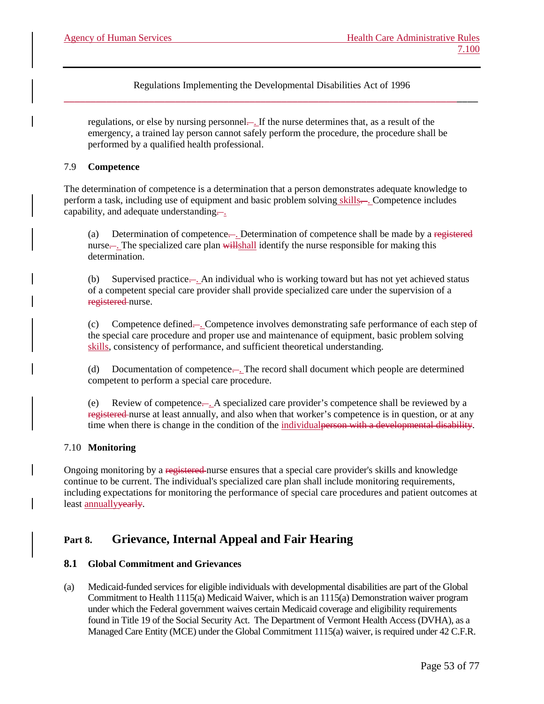regulations, or else by nursing personnel—. If the nurse determines that, as a result of the emergency, a trained lay person cannot safely perform the procedure, the procedure shall be performed by a qualified health professional.

### 7.9 **Competence**

The determination of competence is a determination that a person demonstrates adequate knowledge to perform a task, including use of equipment and basic problem solving skills—. Competence includes capability, and adequate understanding....

(a) Determination of competence.. Determination of competence shall be made by a registered nurse.... The specialized care plan will shall identify the nurse responsible for making this determination.

(b) Supervised practice. . An individual who is working toward but has not yet achieved status of a competent special care provider shall provide specialized care under the supervision of a registered nurse.

(c) Competence defined. . Competence involves demonstrating safe performance of each step of the special care procedure and proper use and maintenance of equipment, basic problem solving skills, consistency of performance, and sufficient theoretical understanding.

(d) Documentation of competence. . The record shall document which people are determined competent to perform a special care procedure.

(e) Review of competence. . A specialized care provider's competence shall be reviewed by a registered nurse at least annually, and also when that worker's competence is in question, or at any time when there is change in the condition of the individual person with a developmental disability.

# 7.10 **Monitoring**

Ongoing monitoring by a registered nurse ensures that a special care provider's skills and knowledge continue to be current. The individual's specialized care plan shall include monitoring requirements, including expectations for monitoring the performance of special care procedures and patient outcomes at least annuallyyearly.

# **Part 8. Grievance, Internal Appeal and Fair Hearing**

# **8.1 Global Commitment and Grievances**

(a) Medicaid-funded services for eligible individuals with developmental disabilities are part of the Global Commitment to Health 1115(a) Medicaid Waiver, which is an 1115(a) Demonstration waiver program under which the Federal government waives certain Medicaid coverage and eligibility requirements found in Title 19 of the Social Security Act. The Department of Vermont Health Access (DVHA), as a Managed Care Entity (MCE) under the Global Commitment 1115(a) waiver, is required under 42 C.F.R.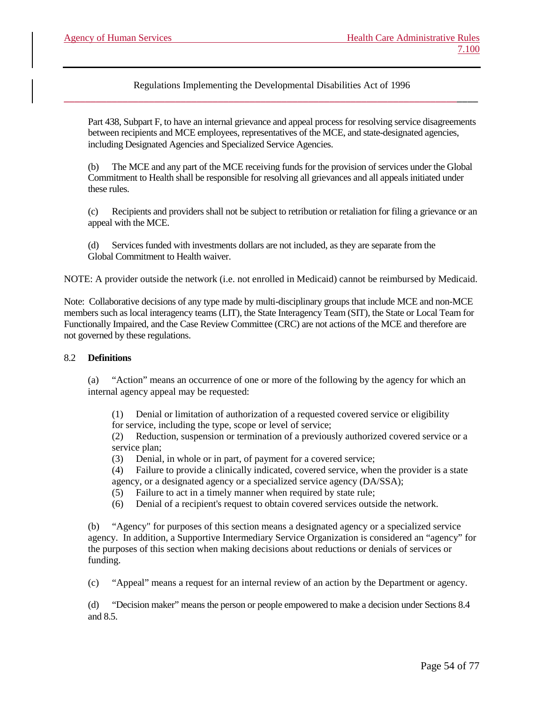Part 438, Subpart F, to have an internal grievance and appeal process for resolving service disagreements between recipients and MCE employees, representatives of the MCE, and state-designated agencies, including Designated Agencies and Specialized Service Agencies.

(b) The MCE and any part of the MCE receiving funds for the provision of services under the Global Commitment to Health shall be responsible for resolving all grievances and all appeals initiated under these rules.

(c) Recipients and providers shall not be subject to retribution or retaliation for filing a grievance or an appeal with the MCE.

(d) Services funded with investments dollars are not included, as they are separate from the Global Commitment to Health waiver.

NOTE: A provider outside the network (i.e. not enrolled in Medicaid) cannot be reimbursed by Medicaid.

Note: Collaborative decisions of any type made by multi-disciplinary groups that include MCE and non-MCE members such as local interagency teams (LIT), the State Interagency Team (SIT), the State or Local Team for Functionally Impaired, and the Case Review Committee (CRC) are not actions of the MCE and therefore are not governed by these regulations.

#### 8.2 **Definitions**

(a) "Action" means an occurrence of one or more of the following by the agency for which an internal agency appeal may be requested:

(1) Denial or limitation of authorization of a requested covered service or eligibility for service, including the type, scope or level of service;

(2) Reduction, suspension or termination of a previously authorized covered service or a service plan;

(3) Denial, in whole or in part, of payment for a covered service;

(4) Failure to provide a clinically indicated, covered service, when the provider is a state agency, or a designated agency or a specialized service agency (DA/SSA);

(5) Failure to act in a timely manner when required by state rule;

(6) Denial of a recipient's request to obtain covered services outside the network.

(b) "Agency" for purposes of this section means a designated agency or a specialized service agency. In addition, a Supportive Intermediary Service Organization is considered an "agency" for the purposes of this section when making decisions about reductions or denials of services or funding.

(c) "Appeal" means a request for an internal review of an action by the Department or agency.

(d) "Decision maker" means the person or people empowered to make a decision under Sections 8.4 and 8.5.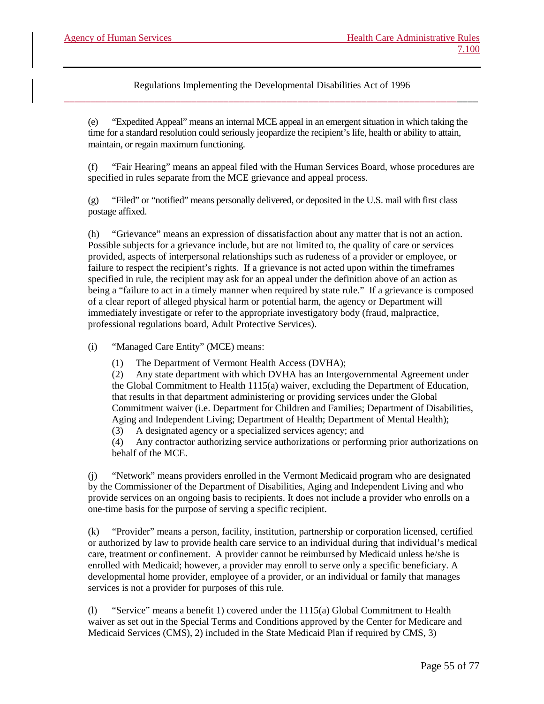(e) "Expedited Appeal" means an internal MCE appeal in an emergent situation in which taking the time for a standard resolution could seriously jeopardize the recipient's life, health or ability to attain, maintain, or regain maximum functioning.

(f) "Fair Hearing" means an appeal filed with the Human Services Board, whose procedures are specified in rules separate from the MCE grievance and appeal process.

(g) "Filed" or "notified" means personally delivered, or deposited in the U.S. mail with first class postage affixed.

(h) "Grievance" means an expression of dissatisfaction about any matter that is not an action. Possible subjects for a grievance include, but are not limited to, the quality of care or services provided, aspects of interpersonal relationships such as rudeness of a provider or employee, or failure to respect the recipient's rights. If a grievance is not acted upon within the timeframes specified in rule, the recipient may ask for an appeal under the definition above of an action as being a "failure to act in a timely manner when required by state rule." If a grievance is composed of a clear report of alleged physical harm or potential harm, the agency or Department will immediately investigate or refer to the appropriate investigatory body (fraud, malpractice, professional regulations board, Adult Protective Services).

(i) "Managed Care Entity" (MCE) means:

(1) The Department of Vermont Health Access (DVHA);

(2) Any state department with which DVHA has an Intergovernmental Agreement under the Global Commitment to Health 1115(a) waiver, excluding the Department of Education, that results in that department administering or providing services under the Global Commitment waiver (i.e. Department for Children and Families; Department of Disabilities, Aging and Independent Living; Department of Health; Department of Mental Health);

(3) A designated agency or a specialized services agency; and

(4) Any contractor authorizing service authorizations or performing prior authorizations on behalf of the MCE.

(j) "Network" means providers enrolled in the Vermont Medicaid program who are designated by the Commissioner of the Department of Disabilities, Aging and Independent Living and who provide services on an ongoing basis to recipients. It does not include a provider who enrolls on a one-time basis for the purpose of serving a specific recipient.

(k) "Provider" means a person, facility, institution, partnership or corporation licensed, certified or authorized by law to provide health care service to an individual during that individual's medical care, treatment or confinement. A provider cannot be reimbursed by Medicaid unless he/she is enrolled with Medicaid; however, a provider may enroll to serve only a specific beneficiary. A developmental home provider, employee of a provider, or an individual or family that manages services is not a provider for purposes of this rule.

(l) "Service" means a benefit 1) covered under the 1115(a) Global Commitment to Health waiver as set out in the Special Terms and Conditions approved by the Center for Medicare and Medicaid Services (CMS), 2) included in the State Medicaid Plan if required by CMS, 3)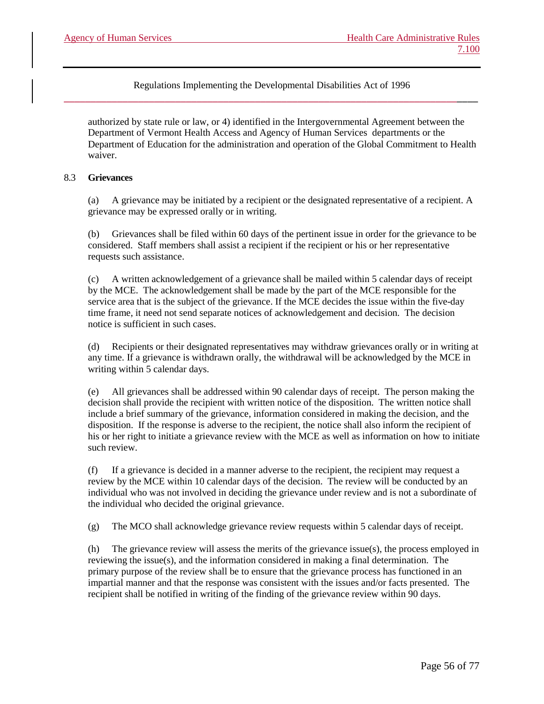authorized by state rule or law, or 4) identified in the Intergovernmental Agreement between the Department of Vermont Health Access and Agency of Human Services departments or the Department of Education for the administration and operation of the Global Commitment to Health waiver.

### 8.3 **Grievances**

(a) A grievance may be initiated by a recipient or the designated representative of a recipient. A grievance may be expressed orally or in writing.

(b) Grievances shall be filed within 60 days of the pertinent issue in order for the grievance to be considered. Staff members shall assist a recipient if the recipient or his or her representative requests such assistance.

A written acknowledgement of a grievance shall be mailed within 5 calendar days of receipt by the MCE. The acknowledgement shall be made by the part of the MCE responsible for the service area that is the subject of the grievance. If the MCE decides the issue within the five-day time frame, it need not send separate notices of acknowledgement and decision. The decision notice is sufficient in such cases.

(d) Recipients or their designated representatives may withdraw grievances orally or in writing at any time. If a grievance is withdrawn orally, the withdrawal will be acknowledged by the MCE in writing within 5 calendar days.

(e) All grievances shall be addressed within 90 calendar days of receipt. The person making the decision shall provide the recipient with written notice of the disposition. The written notice shall include a brief summary of the grievance, information considered in making the decision, and the disposition. If the response is adverse to the recipient, the notice shall also inform the recipient of his or her right to initiate a grievance review with the MCE as well as information on how to initiate such review.

(f) If a grievance is decided in a manner adverse to the recipient, the recipient may request a review by the MCE within 10 calendar days of the decision. The review will be conducted by an individual who was not involved in deciding the grievance under review and is not a subordinate of the individual who decided the original grievance.

(g) The MCO shall acknowledge grievance review requests within 5 calendar days of receipt.

(h) The grievance review will assess the merits of the grievance issue(s), the process employed in reviewing the issue(s), and the information considered in making a final determination. The primary purpose of the review shall be to ensure that the grievance process has functioned in an impartial manner and that the response was consistent with the issues and/or facts presented. The recipient shall be notified in writing of the finding of the grievance review within 90 days.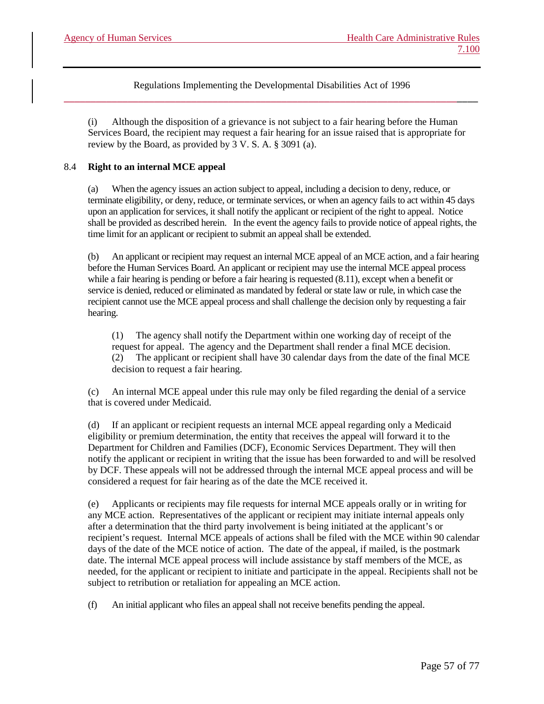(i) Although the disposition of a grievance is not subject to a fair hearing before the Human Services Board, the recipient may request a fair hearing for an issue raised that is appropriate for review by the Board, as provided by 3 V. S. A. § 3091 (a).

### 8.4 **Right to an internal MCE appeal**

(a) When the agency issues an action subject to appeal, including a decision to deny, reduce, or terminate eligibility, or deny, reduce, or terminate services, or when an agency fails to act within 45 days upon an application for services, it shall notify the applicant or recipient of the right to appeal. Notice shall be provided as described herein. In the event the agency fails to provide notice of appeal rights, the time limit for an applicant or recipient to submit an appeal shall be extended.

(b) An applicant or recipient may request an internal MCE appeal of an MCE action, and a fair hearing before the Human Services Board. An applicant or recipient may use the internal MCE appeal process while a fair hearing is pending or before a fair hearing is requested  $(8.11)$ , except when a benefit or service is denied, reduced or eliminated as mandated by federal or state law or rule, in which case the recipient cannot use the MCE appeal process and shall challenge the decision only by requesting a fair hearing.

(1) The agency shall notify the Department within one working day of receipt of the request for appeal. The agency and the Department shall render a final MCE decision. (2) The applicant or recipient shall have 30 calendar days from the date of the final MCE decision to request a fair hearing.

(c) An internal MCE appeal under this rule may only be filed regarding the denial of a service that is covered under Medicaid.

(d) If an applicant or recipient requests an internal MCE appeal regarding only a Medicaid eligibility or premium determination, the entity that receives the appeal will forward it to the Department for Children and Families (DCF), Economic Services Department. They will then notify the applicant or recipient in writing that the issue has been forwarded to and will be resolved by DCF. These appeals will not be addressed through the internal MCE appeal process and will be considered a request for fair hearing as of the date the MCE received it.

Applicants or recipients may file requests for internal MCE appeals orally or in writing for any MCE action. Representatives of the applicant or recipient may initiate internal appeals only after a determination that the third party involvement is being initiated at the applicant's or recipient's request. Internal MCE appeals of actions shall be filed with the MCE within 90 calendar days of the date of the MCE notice of action. The date of the appeal, if mailed, is the postmark date. The internal MCE appeal process will include assistance by staff members of the MCE, as needed, for the applicant or recipient to initiate and participate in the appeal. Recipients shall not be subject to retribution or retaliation for appealing an MCE action.

(f) An initial applicant who files an appeal shall not receive benefits pending the appeal.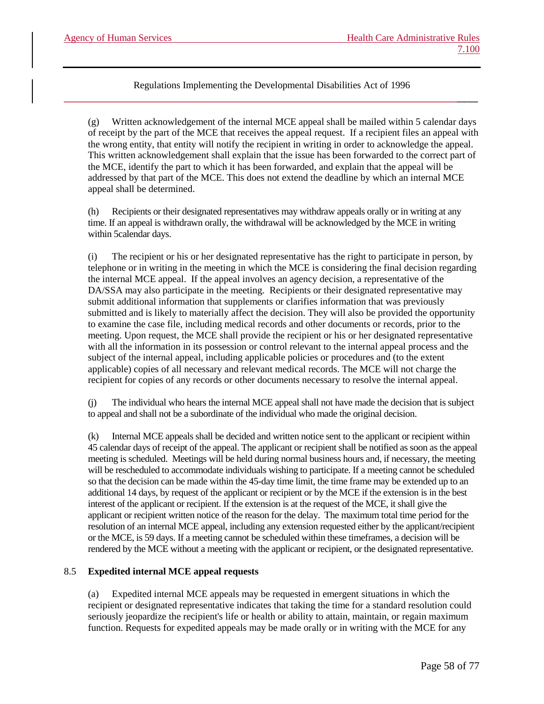(g) Written acknowledgement of the internal MCE appeal shall be mailed within 5 calendar days of receipt by the part of the MCE that receives the appeal request. If a recipient files an appeal with the wrong entity, that entity will notify the recipient in writing in order to acknowledge the appeal. This written acknowledgement shall explain that the issue has been forwarded to the correct part of the MCE, identify the part to which it has been forwarded, and explain that the appeal will be addressed by that part of the MCE. This does not extend the deadline by which an internal MCE appeal shall be determined.

(h) Recipients or their designated representatives may withdraw appeals orally or in writing at any time. If an appeal is withdrawn orally, the withdrawal will be acknowledged by the MCE in writing within 5calendar days.

(i) The recipient or his or her designated representative has the right to participate in person, by telephone or in writing in the meeting in which the MCE is considering the final decision regarding the internal MCE appeal. If the appeal involves an agency decision, a representative of the DA/SSA may also participate in the meeting. Recipients or their designated representative may submit additional information that supplements or clarifies information that was previously submitted and is likely to materially affect the decision. They will also be provided the opportunity to examine the case file, including medical records and other documents or records, prior to the meeting. Upon request, the MCE shall provide the recipient or his or her designated representative with all the information in its possession or control relevant to the internal appeal process and the subject of the internal appeal, including applicable policies or procedures and (to the extent applicable) copies of all necessary and relevant medical records. The MCE will not charge the recipient for copies of any records or other documents necessary to resolve the internal appeal.

(j) The individual who hears the internal MCE appeal shall not have made the decision that is subject to appeal and shall not be a subordinate of the individual who made the original decision.

(k) Internal MCE appeals shall be decided and written notice sent to the applicant or recipient within 45 calendar days of receipt of the appeal. The applicant or recipient shall be notified as soon as the appeal meeting is scheduled. Meetings will be held during normal business hours and, if necessary, the meeting will be rescheduled to accommodate individuals wishing to participate. If a meeting cannot be scheduled so that the decision can be made within the 45-day time limit, the time frame may be extended up to an additional 14 days, by request of the applicant or recipient or by the MCE if the extension is in the best interest of the applicant or recipient. If the extension is at the request of the MCE, it shall give the applicant or recipient written notice of the reason for the delay. The maximum total time period for the resolution of an internal MCE appeal, including any extension requested either by the applicant/recipient or the MCE, is 59 days. If a meeting cannot be scheduled within these timeframes, a decision will be rendered by the MCE without a meeting with the applicant or recipient, or the designated representative.

# 8.5 **Expedited internal MCE appeal requests**

(a) Expedited internal MCE appeals may be requested in emergent situations in which the recipient or designated representative indicates that taking the time for a standard resolution could seriously jeopardize the recipient's life or health or ability to attain, maintain, or regain maximum function. Requests for expedited appeals may be made orally or in writing with the MCE for any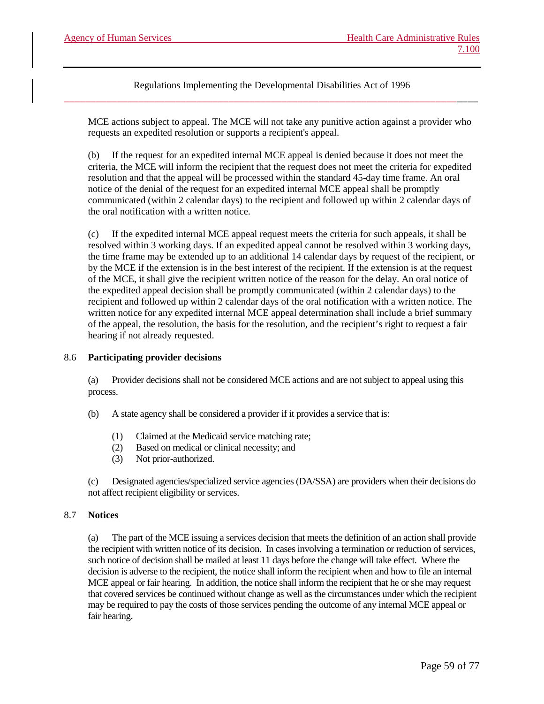MCE actions subject to appeal. The MCE will not take any punitive action against a provider who requests an expedited resolution or supports a recipient's appeal.

(b) If the request for an expedited internal MCE appeal is denied because it does not meet the criteria, the MCE will inform the recipient that the request does not meet the criteria for expedited resolution and that the appeal will be processed within the standard 45-day time frame. An oral notice of the denial of the request for an expedited internal MCE appeal shall be promptly communicated (within 2 calendar days) to the recipient and followed up within 2 calendar days of the oral notification with a written notice.

(c) If the expedited internal MCE appeal request meets the criteria for such appeals, it shall be resolved within 3 working days. If an expedited appeal cannot be resolved within 3 working days, the time frame may be extended up to an additional 14 calendar days by request of the recipient, or by the MCE if the extension is in the best interest of the recipient. If the extension is at the request of the MCE, it shall give the recipient written notice of the reason for the delay. An oral notice of the expedited appeal decision shall be promptly communicated (within 2 calendar days) to the recipient and followed up within 2 calendar days of the oral notification with a written notice. The written notice for any expedited internal MCE appeal determination shall include a brief summary of the appeal, the resolution, the basis for the resolution, and the recipient's right to request a fair hearing if not already requested.

# 8.6 **Participating provider decisions**

(a) Provider decisions shall not be considered MCE actions and are not subject to appeal using this process.

- (b) A state agency shall be considered a provider if it provides a service that is:
	- (1) Claimed at the Medicaid service matching rate;
	- (2) Based on medical or clinical necessity; and
	- (3) Not prior-authorized.

(c) Designated agencies/specialized service agencies (DA/SSA) are providers when their decisions do not affect recipient eligibility or services.

#### 8.7 **Notices**

(a) The part of the MCE issuing a services decision that meets the definition of an action shall provide the recipient with written notice of its decision. In cases involving a termination or reduction of services, such notice of decision shall be mailed at least 11 days before the change will take effect. Where the decision is adverse to the recipient, the notice shall inform the recipient when and how to file an internal MCE appeal or fair hearing. In addition, the notice shall inform the recipient that he or she may request that covered services be continued without change as well as the circumstances under which the recipient may be required to pay the costs of those services pending the outcome of any internal MCE appeal or fair hearing.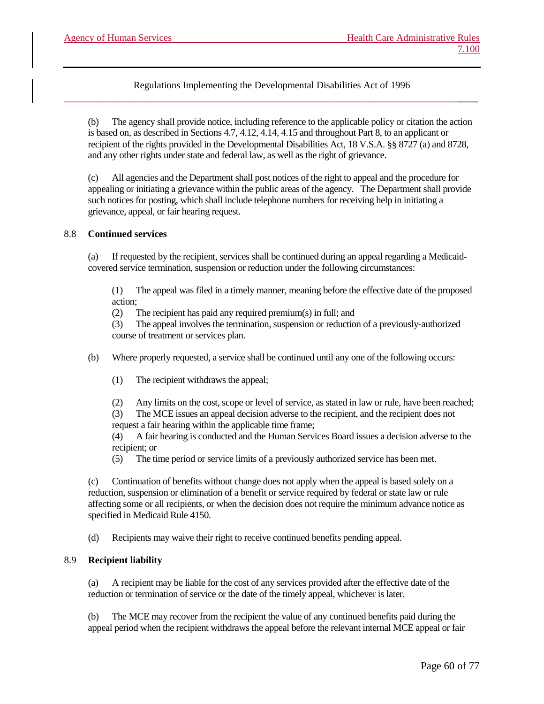(b) The agency shall provide notice, including reference to the applicable policy or citation the action is based on, as described in Sections 4.7, 4.12, 4.14, 4.15 and throughout Part 8, to an applicant or recipient of the rights provided in the Developmental Disabilities Act, 18 V.S.A. §§ 8727 (a) and 8728, and any other rights under state and federal law, as well as the right of grievance.

(c) All agencies and the Department shall post notices of the right to appeal and the procedure for appealing or initiating a grievance within the public areas of the agency. The Department shall provide such notices for posting, which shall include telephone numbers for receiving help in initiating a grievance, appeal, or fair hearing request.

### 8.8 **Continued services**

(a) If requested by the recipient, services shall be continued during an appeal regarding a Medicaidcovered service termination, suspension or reduction under the following circumstances:

(1) The appeal was filed in a timely manner, meaning before the effective date of the proposed action;

(2) The recipient has paid any required premium(s) in full; and

(3) The appeal involves the termination, suspension or reduction of a previously-authorized course of treatment or services plan.

(b) Where properly requested, a service shall be continued until any one of the following occurs:

(1) The recipient withdraws the appeal;

(2) Any limits on the cost, scope or level of service, as stated in law or rule, have been reached;

(3) The MCE issues an appeal decision adverse to the recipient, and the recipient does not request a fair hearing within the applicable time frame;

(4) A fair hearing is conducted and the Human Services Board issues a decision adverse to the recipient; or

(5) The time period or service limits of a previously authorized service has been met.

(c) Continuation of benefits without change does not apply when the appeal is based solely on a reduction, suspension or elimination of a benefit or service required by federal or state law or rule affecting some or all recipients, or when the decision does not require the minimum advance notice as specified in Medicaid Rule 4150.

(d) Recipients may waive their right to receive continued benefits pending appeal.

# 8.9 **Recipient liability**

(a) A recipient may be liable for the cost of any services provided after the effective date of the reduction or termination of service or the date of the timely appeal, whichever is later.

(b) The MCE may recover from the recipient the value of any continued benefits paid during the appeal period when the recipient withdraws the appeal before the relevant internal MCE appeal or fair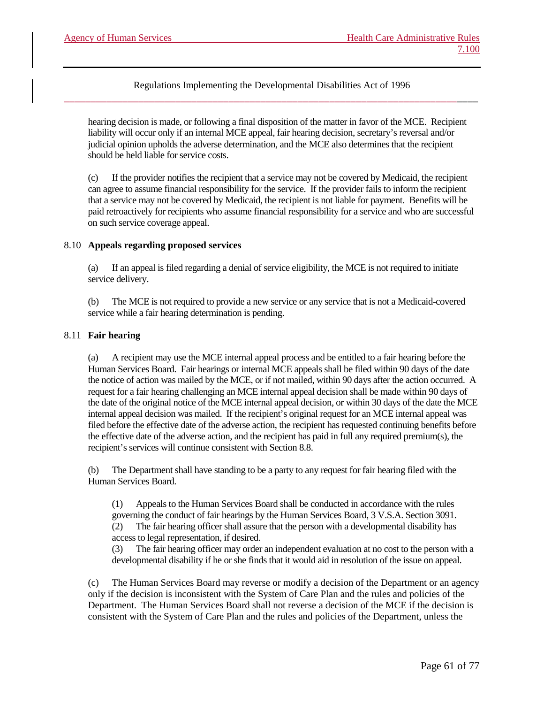hearing decision is made, or following a final disposition of the matter in favor of the MCE. Recipient liability will occur only if an internal MCE appeal, fair hearing decision, secretary's reversal and/or judicial opinion upholds the adverse determination, and the MCE also determines that the recipient should be held liable for service costs.

(c) If the provider notifies the recipient that a service may not be covered by Medicaid, the recipient can agree to assume financial responsibility for the service. If the provider fails to inform the recipient that a service may not be covered by Medicaid, the recipient is not liable for payment. Benefits will be paid retroactively for recipients who assume financial responsibility for a service and who are successful on such service coverage appeal.

### 8.10 **Appeals regarding proposed services**

(a) If an appeal is filed regarding a denial of service eligibility, the MCE is not required to initiate service delivery.

(b) The MCE is not required to provide a new service or any service that is not a Medicaid-covered service while a fair hearing determination is pending.

### 8.11 **Fair hearing**

(a) A recipient may use the MCE internal appeal process and be entitled to a fair hearing before the Human Services Board. Fair hearings or internal MCE appeals shall be filed within 90 days of the date the notice of action was mailed by the MCE, or if not mailed, within 90 days after the action occurred. A request for a fair hearing challenging an MCE internal appeal decision shall be made within 90 days of the date of the original notice of the MCE internal appeal decision, or within 30 days of the date the MCE internal appeal decision was mailed. If the recipient's original request for an MCE internal appeal was filed before the effective date of the adverse action, the recipient has requested continuing benefits before the effective date of the adverse action, and the recipient has paid in full any required premium(s), the recipient's services will continue consistent with Section 8.8.

(b) The Department shall have standing to be a party to any request for fair hearing filed with the Human Services Board.

(1) Appeals to the Human Services Board shall be conducted in accordance with the rules governing the conduct of fair hearings by the Human Services Board, 3 V.S.A. Section 3091. (2) The fair hearing officer shall assure that the person with a developmental disability has access to legal representation, if desired.

(3) The fair hearing officer may order an independent evaluation at no cost to the person with a developmental disability if he or she finds that it would aid in resolution of the issue on appeal.

(c) The Human Services Board may reverse or modify a decision of the Department or an agency only if the decision is inconsistent with the System of Care Plan and the rules and policies of the Department. The Human Services Board shall not reverse a decision of the MCE if the decision is consistent with the System of Care Plan and the rules and policies of the Department, unless the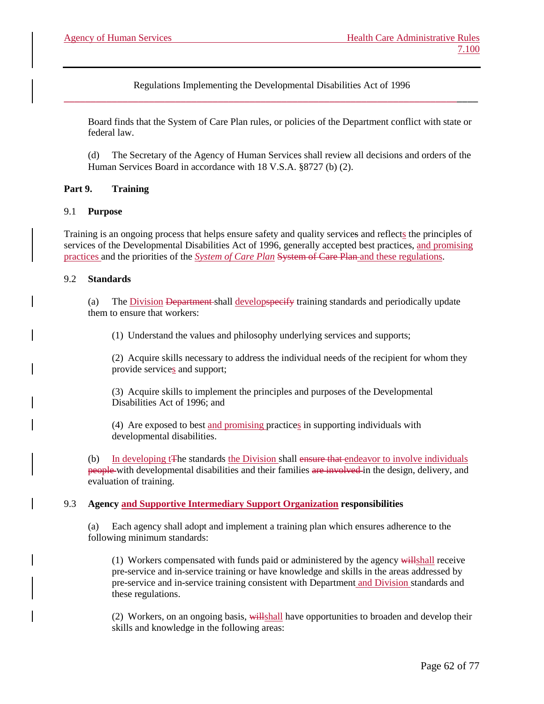Board finds that the System of Care Plan rules, or policies of the Department conflict with state or federal law.

(d) The Secretary of the Agency of Human Services shall review all decisions and orders of the Human Services Board in accordance with 18 V.S.A. §8727 (b) (2).

# **Part 9. Training**

# 9.1 **Purpose**

Training is an ongoing process that helps ensure safety and quality services and reflects the principles of services of the Developmental Disabilities Act of 1996, generally accepted best practices, and promising practices and the priorities of the *System of Care Plan* System of Care Plan and these regulations.

# 9.2 **Standards**

(a) The Division Department shall developspecify training standards and periodically update them to ensure that workers:

(1) Understand the values and philosophy underlying services and supports;

(2) Acquire skills necessary to address the individual needs of the recipient for whom they provide services and support;

(3) Acquire skills to implement the principles and purposes of the Developmental Disabilities Act of 1996; and

(4) Are exposed to best and promising practices in supporting individuals with developmental disabilities.

(b) In developing t<sub>T</sub>he standards the Division shall ensure that endeavor to involve individuals people with developmental disabilities and their families are involved in the design, delivery, and evaluation of training.

# 9.3 **Agency and Supportive Intermediary Support Organization responsibilities**

(a) Each agency shall adopt and implement a training plan which ensures adherence to the following minimum standards:

(1) Workers compensated with funds paid or administered by the agency willshall receive pre-service and in-service training or have knowledge and skills in the areas addressed by pre-service and in-service training consistent with Department and Division standards and these regulations.

(2) Workers, on an ongoing basis, willshall have opportunities to broaden and develop their skills and knowledge in the following areas: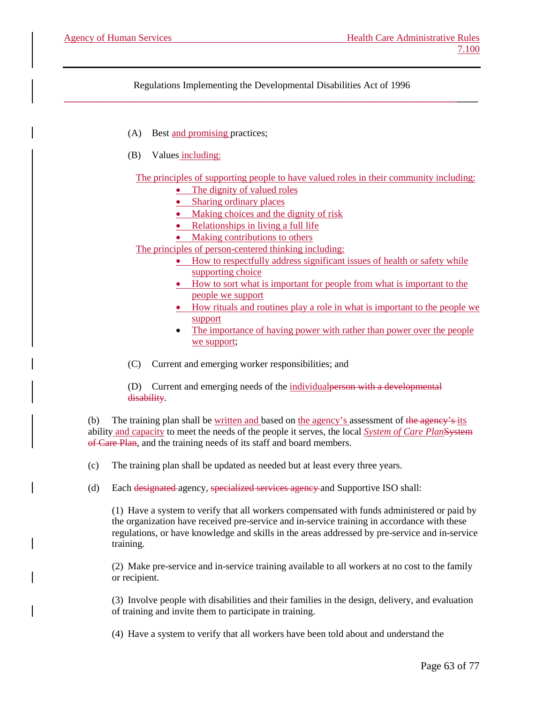- (A) Best and promising practices;
- (B) Values including:

The principles of supporting people to have valued roles in their community including:

- The dignity of valued roles
- Sharing ordinary places
- Making choices and the dignity of risk
- Relationships in living a full life
- Making contributions to others

The principles of person-centered thinking including:

- How to respectfully address significant issues of health or safety while supporting choice
- How to sort what is important for people from what is important to the people we support
- How rituals and routines play a role in what is important to the people we support
- The importance of having power with rather than power over the people we support;
- (C) Current and emerging worker responsibilities; and

(D) Current and emerging needs of the individualperson with a developmental disability.

(b) The training plan shall be written and based on the agency's assessment of the agency's its ability and capacity to meet the needs of the people it serves, the local *System of Care Plan*System of Care Plan, and the training needs of its staff and board members.

(c) The training plan shall be updated as needed but at least every three years.

(d) Each designated agency, specialized services agency and Supportive ISO shall:

(1) Have a system to verify that all workers compensated with funds administered or paid by the organization have received pre-service and in-service training in accordance with these regulations, or have knowledge and skills in the areas addressed by pre-service and in-service training.

(2) Make pre-service and in-service training available to all workers at no cost to the family or recipient.

(3) Involve people with disabilities and their families in the design, delivery, and evaluation of training and invite them to participate in training.

(4) Have a system to verify that all workers have been told about and understand the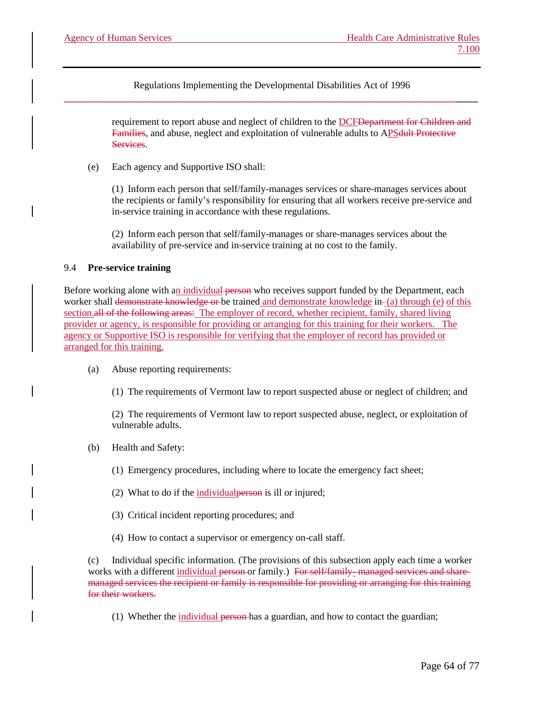> requirement to report abuse and neglect of children to the DCF<del>Department for Children and</del> Families, and abuse, neglect and exploitation of vulnerable adults to APS dult Protective **Services**

(e) Each agency and Supportive ISO shall:

(1) Inform each person that self/family-manages services or share-manages services about the recipients or family's responsibility for ensuring that all workers receive pre-service and in-service training in accordance with these regulations.

(2) Inform each person that self/family-manages or share-manages services about the availability of pre-service and in-service training at no cost to the family.

### 9.4 **Pre-service training**

Before working alone with an individual person who receives support funded by the Department, each worker shall demonstrate knowledge or be trained and demonstrate knowledge in-(a) through (e) of this section.all of the following areas: The employer of record, whether recipient, family, shared living provider or agency, is responsible for providing or arranging for this training for their workers. The agency or Supportive ISO is responsible for verifying that the employer of record has provided or arranged for this training.

(a) Abuse reporting requirements:

(1) The requirements of Vermont law to report suspected abuse or neglect of children; and

(2) The requirements of Vermont law to report suspected abuse, neglect, or exploitation of vulnerable adults.

- (b) Health and Safety:
	- (1) Emergency procedures, including where to locate the emergency fact sheet;
	- (2) What to do if the individualperson is ill or injured;
	- (3) Critical incident reporting procedures; and
	- (4) How to contact a supervisor or emergency on-call staff.

(c) Individual specific information. (The provisions of this subsection apply each time a worker works with a different individual person or family.) For self/family-managed services and sharemanaged services the recipient or family is responsible for providing or arranging for this training for their workers.

(1) Whether the individual person has a guardian, and how to contact the guardian;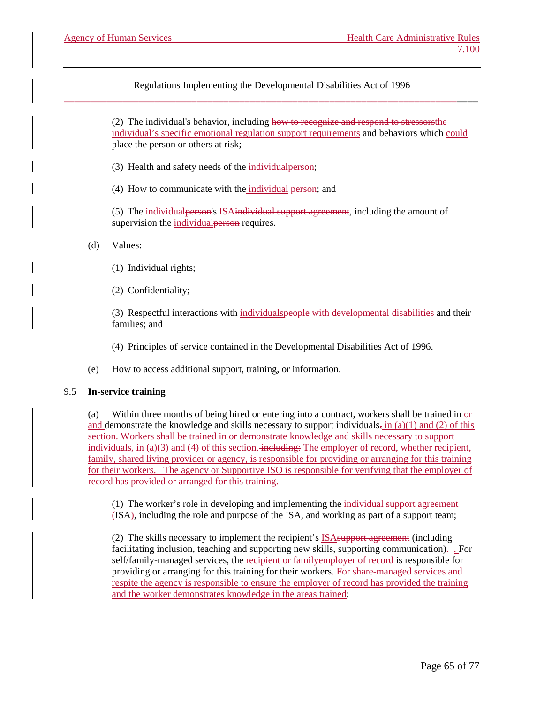> (2) The individual's behavior, including how to recognize and respond to stressorsthe individual's specific emotional regulation support requirements and behaviors which could place the person or others at risk;

- (3) Health and safety needs of the individualperson;
- (4) How to communicate with the individual person; and

(5) The individualperson's ISAindividual support agreement, including the amount of supervision the individual personer requires.

- (d) Values:
	- (1) Individual rights;
	- (2) Confidentiality;

(3) Respectful interactions with individualspeople with developmental disabilities and their families; and

(4) Principles of service contained in the Developmental Disabilities Act of 1996.

(e) How to access additional support, training, or information.

#### 9.5 **In-service training**

(a) Within three months of being hired or entering into a contract, workers shall be trained in or and demonstrate the knowledge and skills necessary to support individuals, in (a)(1) and (2) of this section. Workers shall be trained in or demonstrate knowledge and skills necessary to support individuals, in (a)(3) and (4) of this section. including: The employer of record, whether recipient, family, shared living provider or agency, is responsible for providing or arranging for this training for their workers. The agency or Supportive ISO is responsible for verifying that the employer of record has provided or arranged for this training.

(1) The worker's role in developing and implementing the individual support agreement (ISA), including the role and purpose of the ISA, and working as part of a support team;

(2) The skills necessary to implement the recipient's ISAsupport agreement (including facilitating inclusion, teaching and supporting new skills, supporting communication)... For self/family-managed services, the recipient or family employer of record is responsible for providing or arranging for this training for their workers. For share-managed services and respite the agency is responsible to ensure the employer of record has provided the training and the worker demonstrates knowledge in the areas trained;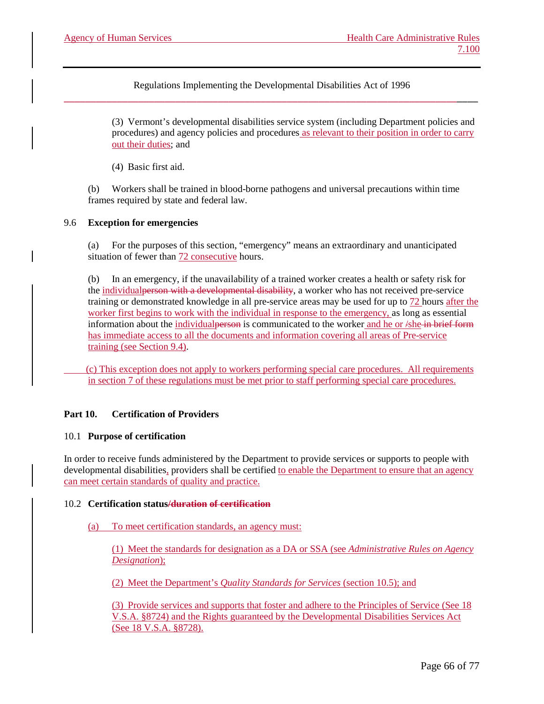> (3) Vermont's developmental disabilities service system (including Department policies and procedures) and agency policies and procedures as relevant to their position in order to carry out their duties; and

(4) Basic first aid.

(b) Workers shall be trained in blood-borne pathogens and universal precautions within time frames required by state and federal law.

### 9.6 **Exception for emergencies**

(a) For the purposes of this section, "emergency" means an extraordinary and unanticipated situation of fewer than 72 consecutive hours.

In an emergency, if the unavailability of a trained worker creates a health or safety risk for the individualperson with a developmental disability, a worker who has not received pre-service training or demonstrated knowledge in all pre-service areas may be used for up to 72 hours after the worker first begins to work with the individual in response to the emergency, as long as essential information about the individual person is communicated to the worker and he or  $\sinh\theta$  in brief form has immediate access to all the documents and information covering all areas of Pre-service training (see Section 9.4).

 (c) This exception does not apply to workers performing special care procedures. All requirements in section 7 of these regulations must be met prior to staff performing special care procedures.

#### **Part 10. Certification of Providers**

#### 10.1 **Purpose of certification**

In order to receive funds administered by the Department to provide services or supports to people with developmental disabilities, providers shall be certified to enable the Department to ensure that an agency can meet certain standards of quality and practice.

#### 10.2 **Certification status/duration of certification**

#### (a) To meet certification standards, an agency must:

(1) Meet the standards for designation as a DA or SSA (see *Administrative Rules on Agency Designation*);

(2) Meet the Department's *Quality Standards for Services* (section 10.5); and

(3) Provide services and supports that foster and adhere to the Principles of Service (See 18 V.S.A. §8724) and the Rights guaranteed by the Developmental Disabilities Services Act (See 18 V.S.A. §8728).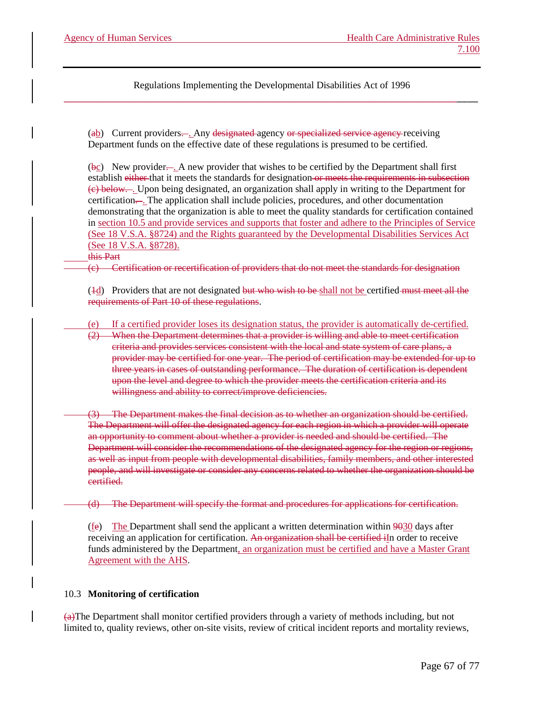(ab) Current providers.... Any designated agency or specialized service agency receiving Department funds on the effective date of these regulations is presumed to be certified.

(bc) New provider. . A new provider that wishes to be certified by the Department shall first establish either that it meets the standards for designation or meets the requirements in subsection (c) below. . Upon being designated, an organization shall apply in writing to the Department for certification... The application shall include policies, procedures, and other documentation demonstrating that the organization is able to meet the quality standards for certification contained in section 10.5 and provide services and supports that foster and adhere to the Principles of Service (See 18 V.S.A. §8724) and the Rights guaranteed by the Developmental Disabilities Services Act (See 18 V.S.A. §8728).

### this Part

(c) Certification or recertification of providers that do not meet the standards for designation

(4d) Providers that are not designated but who wish to be shall not be certified must meet all the requirements of Part 10 of these regulations.

(e) If a certified provider loses its designation status, the provider is automatically de-certified.

(2) When the Department determines that a provider is willing and able to meet certification criteria and provides services consistent with the local and state system of care plans, a provider may be certified for one year. The period of certification may be extended for up to three years in cases of outstanding performance. The duration of certification is dependent upon the level and degree to which the provider meets the certification criteria and its willingness and ability to correct/improve deficiencies.

(3) The Department makes the final decision as to whether an organization should be certified. The Department will offer the designated agency for each region in which a provider will operate an opportunity to comment about whether a provider is needed and should be certified. The Department will consider the recommendations of the designated agency for the region or regions, as well as input from people with developmental disabilities, family members, and other interested people, and will investigate or consider any concerns related to whether the organization should be certified.

(d) The Department will specify the format and procedures for applications for certification.

(fe) The Department shall send the applicant a written determination within 9030 days after receiving an application for certification. An organization shall be certified iIn order to receive funds administered by the Department, an organization must be certified and have a Master Grant Agreement with the AHS.

#### 10.3 **Monitoring of certification**

(a)The Department shall monitor certified providers through a variety of methods including, but not limited to, quality reviews, other on-site visits, review of critical incident reports and mortality reviews,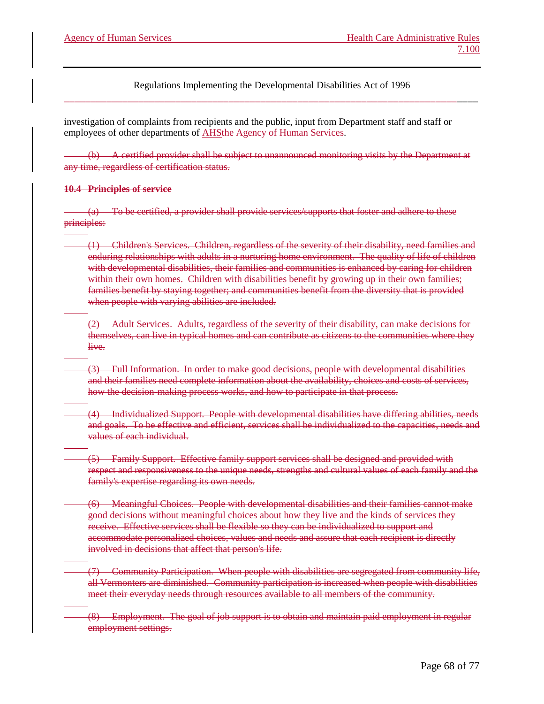investigation of complaints from recipients and the public, input from Department staff and staff or employees of other departments of **AHSthe Agency of Human Services**.

(b) A certified provider shall be subject to unannounced monitoring visits by the Department at any time, regardless of certification status.

### **10.4 Principles of service**

(a) To be certified, a provider shall provide services/supports that foster and adhere to these principles:

- (1) Children's Services. Children, regardless of the severity of their disability, need families and enduring relationships with adults in a nurturing home environment. The quality of life of children with developmental disabilities, their families and communities is enhanced by caring for children within their own homes. Children with disabilities benefit by growing up in their own families; families benefit by staying together; and communities benefit from the diversity that is provided when people with varying abilities are included.
- (2) Adult Services. Adults, regardless of the severity of their disability, can make decisions for themselves, can live in typical homes and can contribute as citizens to the communities where they live.
- (3) Full Information. In order to make good decisions, people with developmental disabilities and their families need complete information about the availability, choices and costs of services, how the decision-making process works, and how to participate in that process.
- (4) Individualized Support. People with developmental disabilities have differing abilities, needs and goals. To be effective and efficient, services shall be individualized to the capacities, needs and values of each individual.
- (5) Family Support. Effective family support services shall be designed and provided with respect and responsiveness to the unique needs, strengths and cultural values of each family and the family's expertise regarding its own needs.
- (6) Meaningful Choices. People with developmental disabilities and their families cannot make good decisions without meaningful choices about how they live and the kinds of services they receive. Effective services shall be flexible so they can be individualized to support and accommodate personalized choices, values and needs and assure that each recipient is directly involved in decisions that affect that person's life.
- (7) Community Participation. When people with disabilities are segregated from community life, all Vermonters are diminished. Community participation is increased when people with disabilities meet their everyday needs through resources available to all members of the community.
- (8) Employment. The goal of job support is to obtain and maintain paid employment in regular employment settings.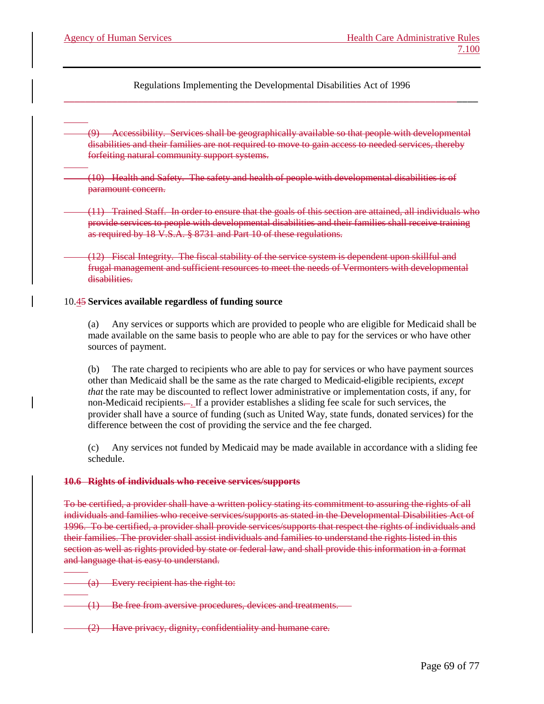(9) Accessibility. Services shall be geographically available so that people with developmental disabilities and their families are not required to move to gain access to needed services, thereby forfeiting natural community support systems.

(10) Health and Safety. The safety and health of people with developmental disabilities is of paramount concern.

(11) Trained Staff. In order to ensure that the goals of this section are attained, all individuals who provide services to people with developmental disabilities and their families shall receive training as required by 18 V.S.A. § 8731 and Part 10 of these regulations.

(12) Fiscal Integrity. The fiscal stability of the service system is dependent upon skillful and frugal management and sufficient resources to meet the needs of Vermonters with developmental disabilities.

### 10.45 **Services available regardless of funding source**

(a) Any services or supports which are provided to people who are eligible for Medicaid shall be made available on the same basis to people who are able to pay for the services or who have other sources of payment.

(b) The rate charged to recipients who are able to pay for services or who have payment sources other than Medicaid shall be the same as the rate charged to Medicaid-eligible recipients, *except that* the rate may be discounted to reflect lower administrative or implementation costs, if any, for non-Medicaid recipients. . If a provider establishes a sliding fee scale for such services, the provider shall have a source of funding (such as United Way, state funds, donated services) for the difference between the cost of providing the service and the fee charged.

(c) Any services not funded by Medicaid may be made available in accordance with a sliding fee schedule.

#### **10.6 Rights of individuals who receive services/supports**

To be certified, a provider shall have a written policy stating its commitment to assuring the rights of all individuals and families who receive services/supports as stated in the Developmental Disabilities Act of 1996. To be certified, a provider shall provide services/supports that respect the rights of individuals and their families. The provider shall assist individuals and families to understand the rights listed in this section as well as rights provided by state or federal law, and shall provide this information in a format and language that is easy to understand.

(a) Every recipient has the right to:

(1) Be free from aversive procedures, devices and treatments.

(2) Have privacy, dignity, confidentiality and humane care.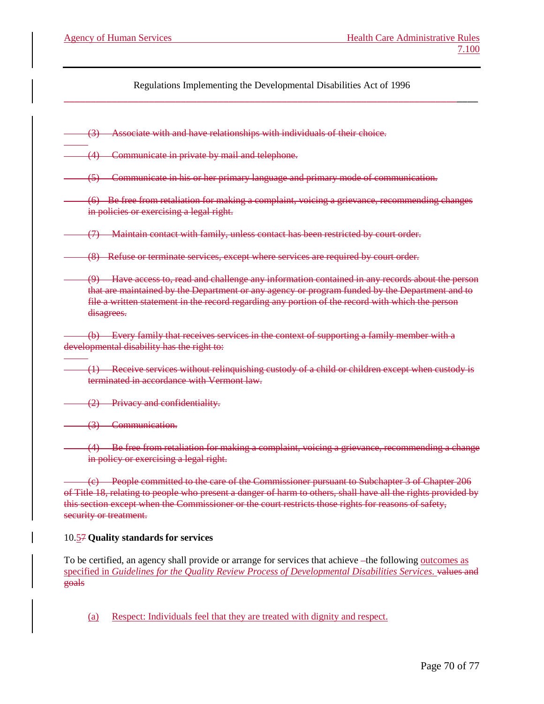(3) Associate with and have relationships with individuals of their choice.

(4) Communicate in private by mail and telephone.

(5) Communicate in his or her primary language and primary mode of communication.

(6) Be free from retaliation for making a complaint, voicing a grievance, recommending changes in policies or exercising a legal right.

(7) Maintain contact with family, unless contact has been restricted by court order.

(8) Refuse or terminate services, except where services are required by court order.

(9) Have access to, read and challenge any information contained in any records about the person that are maintained by the Department or any agency or program funded by the Department and to file a written statement in the record regarding any portion of the record with which the person disagrees.

(b) Every family that receives services in the context of supporting a family member with a developmental disability has the right to:

(1) Receive services without relinquishing custody of a child or children except when custody is terminated in accordance with Vermont law.

(2) Privacy and confidentiality.

(3) Communication.

(4) Be free from retaliation for making a complaint, voicing a grievance, recommending a change in policy or exercising a legal right.

(c) People committed to the care of the Commissioner pursuant to Subchapter 3 of Chapter 206 of Title 18, relating to people who present a danger of harm to others, shall have all the rights provided by this section except when the Commissioner or the court restricts those rights for reasons of safety, security or treatment.

# 10.57 **Quality standards for services**

To be certified, an agency shall provide or arrange for services that achieve –the following <u>outcomes</u> as specified in *Guidelines for the Quality Review Process of Developmental Disabilities Services*. values and goals

(a) Respect: Individuals feel that they are treated with dignity and respect.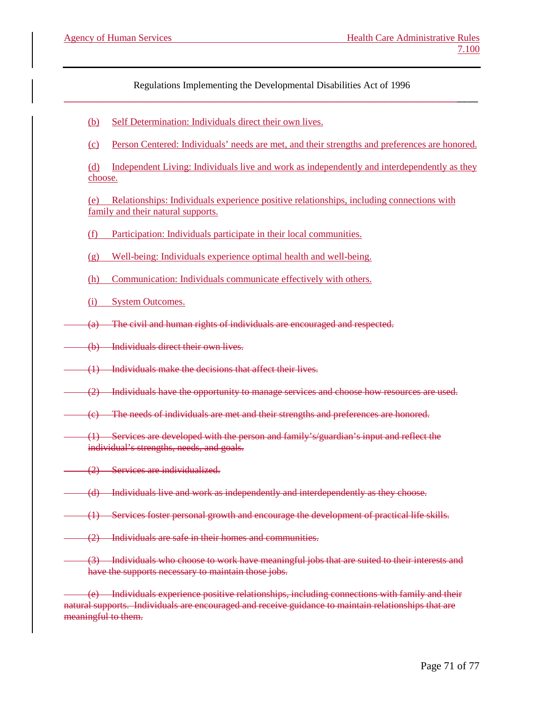- (b) Self Determination: Individuals direct their own lives.
- (c) Person Centered: Individuals' needs are met, and their strengths and preferences are honored.
- (d) Independent Living: Individuals live and work as independently and interdependently as they choose.

(e) Relationships: Individuals experience positive relationships, including connections with family and their natural supports.

- (f) Participation: Individuals participate in their local communities.
- (g) Well-being: Individuals experience optimal health and well-being.
- (h) Communication: Individuals communicate effectively with others.
- (i) System Outcomes.
- (a) The civil and human rights of individuals are encouraged and respected.
- (b) Individuals direct their own lives.
- (1) Individuals make the decisions that affect their lives.
- (2) Individuals have the opportunity to manage services and choose how resources are used.
- (c) The needs of individuals are met and their strengths and preferences are honored.
- (1) Services are developed with the person and family's/guardian's input and reflect the individual's strengths, needs, and goals.
- (2) Services are individualized.
- (d) Individuals live and work as independently and interdependently as they choose.
- (1) Services foster personal growth and encourage the development of practical life skills.
- (2) Individuals are safe in their homes and communities.
	- (3) Individuals who choose to work have meaningful jobs that are suited to their interests and have the supports necessary to maintain those jobs.

(e) Individuals experience positive relationships, including connections with family and their natural supports. Individuals are encouraged and receive guidance to maintain relationships that are meaningful to them.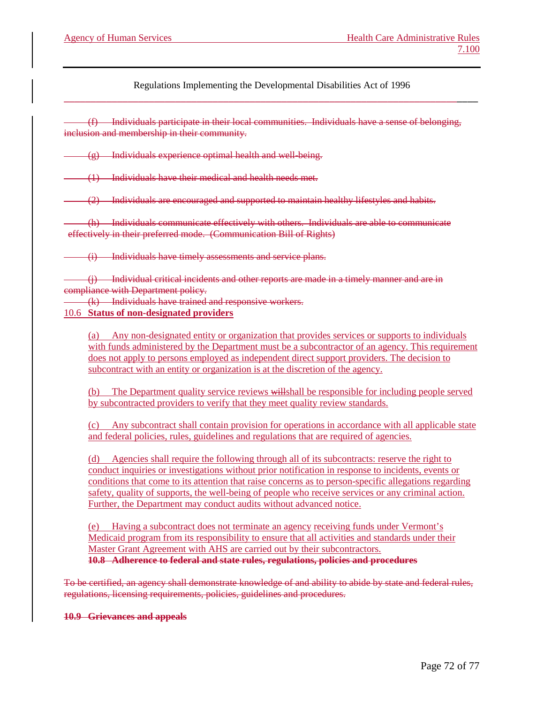(f) Individuals participate in their local communities. Individuals have a sense of belonging, inclusion and membership in their community.

 $(g)$  Individuals experience optimal health and well-being.

(1) Individuals have their medical and health needs met.

(2) Individuals are encouraged and supported to maintain healthy lifestyles and habits.

(h) Individuals communicate effectively with others. Individuals are able to communicate effectively in their preferred mode. (Communication Bill of Rights)

(i) Individuals have timely assessments and service plans.

(j) Individual critical incidents and other reports are made in a timely manner and are in compliance with Department policy.

(k) Individuals have trained and responsive workers.

# 10.6 **Status of non-designated providers**

(a) Any non-designated entity or organization that provides services or supports to individuals with funds administered by the Department must be a subcontractor of an agency. This requirement does not apply to persons employed as independent direct support providers. The decision to subcontract with an entity or organization is at the discretion of the agency.

(b) The Department quality service reviews willshall be responsible for including people served by subcontracted providers to verify that they meet quality review standards.

(c) Any subcontract shall contain provision for operations in accordance with all applicable state and federal policies, rules, guidelines and regulations that are required of agencies.

(d) Agencies shall require the following through all of its subcontracts: reserve the right to conduct inquiries or investigations without prior notification in response to incidents, events or conditions that come to its attention that raise concerns as to person-specific allegations regarding safety, quality of supports, the well-being of people who receive services or any criminal action. Further, the Department may conduct audits without advanced notice.

(e) Having a subcontract does not terminate an agency receiving funds under Vermont's Medicaid program from its responsibility to ensure that all activities and standards under their Master Grant Agreement with AHS are carried out by their subcontractors. **10.8 Adherence to federal and state rules, regulations, policies and procedures**

To be certified, an agency shall demonstrate knowledge of and ability to abide by state and federal rules, regulations, licensing requirements, policies, guidelines and procedures.

#### **10.9 Grievances and appeals**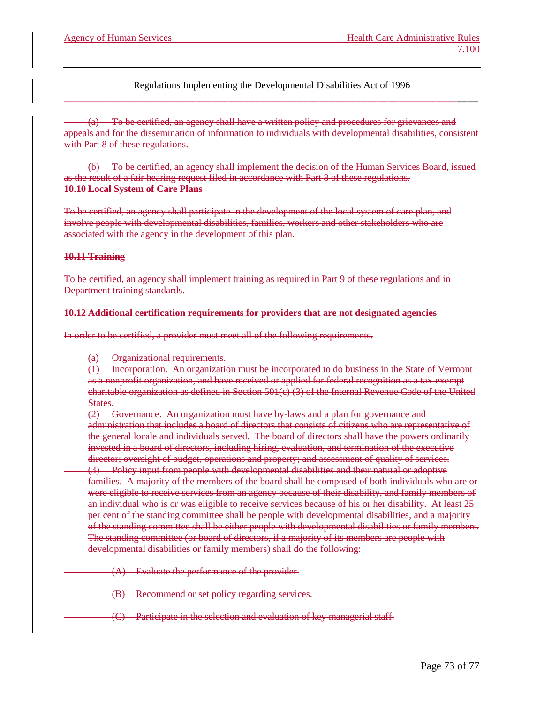(a) To be certified, an agency shall have a written policy and procedures for grievances and appeals and for the dissemination of information to individuals with developmental disabilities, consistent with Part 8 of these regulations.

(b) To be certified, an agency shall implement the decision of the Human Services Board, issued as the result of a fair hearing request filed in accordance with Part 8 of these regulations. **10.10 Local System of Care Plans**

To be certified, an agency shall participate in the development of the local system of care plan, and involve people with developmental disabilities, families, workers and other stakeholders who are associated with the agency in the development of this plan.

## **10.11 Training**

To be certified, an agency shall implement training as required in Part 9 of these regulations and in Department training standards.

## **10.12 Additional certification requirements for providers that are not designated agencies**

In order to be certified, a provider must meet all of the following requirements.

- (a) Organizational requirements.
	- (1) Incorporation. An organization must be incorporated to do business in the State of Vermont as a nonprofit organization, and have received or applied for federal recognition as a tax-exempt charitable organization as defined in Section 501(c) (3) of the Internal Revenue Code of the United States.
- (2) Governance. An organization must have by-laws and a plan for governance and administration that includes a board of directors that consists of citizens who are representative of the general locale and individuals served. The board of directors shall have the powers ordinarily invested in a board of directors, including hiring, evaluation, and termination of the executive director; oversight of budget, operations and property; and assessment of quality of services.
- (3) Policy input from people with developmental disabilities and their natural or adoptive families. A majority of the members of the board shall be composed of both individuals who are or were eligible to receive services from an agency because of their disability, and family members of an individual who is or was eligible to receive services because of his or her disability. At least 25 per cent of the standing committee shall be people with developmental disabilities, and a majority of the standing committee shall be either people with developmental disabilities or family members. The standing committee (or board of directors, if a majority of its members are people with developmental disabilities or family members) shall do the following:
	- $(A)$  Evaluate the performance of the provider.
	- (B) Recommend or set policy regarding services.
- (C) Participate in the selection and evaluation of key managerial staff.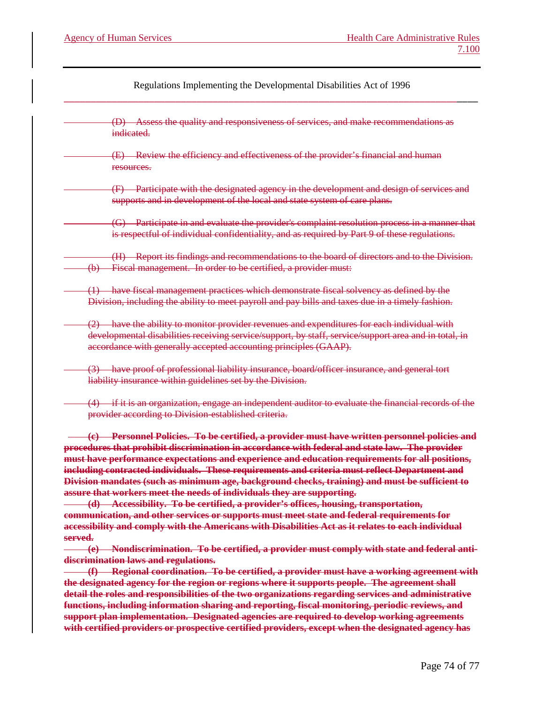(D) Assess the quality and responsiveness of services, and make recommendations as indicated.

(E) Review the efficiency and effectiveness of the provider's financial and human resources.

- (F) Participate with the designated agency in the development and design of services and supports and in development of the local and state system of care plans.
- (G) Participate in and evaluate the provider's complaint resolution process in a manner that is respectful of individual confidentiality, and as required by Part 9 of these regulations.

(H) Report its findings and recommendations to the board of directors and to the Division. (b) Fiscal management. In order to be certified, a provider must:

- (1) have fiscal management practices which demonstrate fiscal solvency as defined by the Division, including the ability to meet payroll and pay bills and taxes due in a timely fashion.
- (2) have the ability to monitor provider revenues and expenditures for each individual with developmental disabilities receiving service/support, by staff, service/support area and in total, in accordance with generally accepted accounting principles (GAAP).
- (3) have proof of professional liability insurance, board/officer insurance, and general tort liability insurance within guidelines set by the Division.
	- (4) if it is an organization, engage an independent auditor to evaluate the financial records of the provider according to Division-established criteria.

**(c) Personnel Policies. To be certified, a provider must have written personnel policies and procedures that prohibit discrimination in accordance with federal and state law. The provider must have performance expectations and experience and education requirements for all positions, including contracted individuals. These requirements and criteria must reflect Department and Division mandates (such as minimum age, background checks, training) and must be sufficient to assure that workers meet the needs of individuals they are supporting.**

**(d) Accessibility. To be certified, a provider's offices, housing, transportation, communication, and other services or supports must meet state and federal requirements for accessibility and comply with the Americans with Disabilities Act as it relates to each individual served.** 

**(e) Nondiscrimination. To be certified, a provider must comply with state and federal antidiscrimination laws and regulations.**

**(f) Regional coordination. To be certified, a provider must have a working agreement with the designated agency for the region or regions where it supports people. The agreement shall detail the roles and responsibilities of the two organizations regarding services and administrative functions, including information sharing and reporting, fiscal monitoring, periodic reviews, and support plan implementation. Designated agencies are required to develop working agreements with certified providers or prospective certified providers, except when the designated agency has**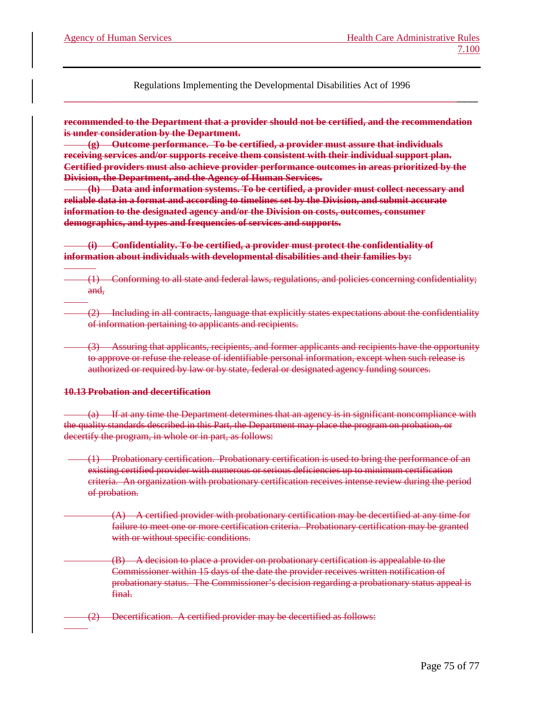**recommended to the Department that a provider should not be certified, and the recommendation is under consideration by the Department.**

**(g) Outcome performance. To be certified, a provider must assure that individuals receiving services and/or supports receive them consistent with their individual support plan. Certified providers must also achieve provider performance outcomes in areas prioritized by the Division, the Department, and the Agency of Human Services.**

**(h) Data and information systems. To be certified, a provider must collect necessary and reliable data in a format and according to timelines set by the Division, and submit accurate information to the designated agency and/or the Division on costs, outcomes, consumer demographics, and types and frequencies of services and supports.**

**(i) Confidentiality. To be certified, a provider must protect the confidentiality of information about individuals with developmental disabilities and their families by:**

(1) Conforming to all state and federal laws, regulations, and policies concerning confidentiality; and,

(2) Including in all contracts, language that explicitly states expectations about the confidentiality of information pertaining to applicants and recipients.

(3) Assuring that applicants, recipients, and former applicants and recipients have the opportunity to approve or refuse the release of identifiable personal information, except when such release is authorized or required by law or by state, federal or designated agency funding sources.

#### **10.13 Probation and decertification**

(a) If at any time the Department determines that an agency is in significant noncompliance with the quality standards described in this Part, the Department may place the program on probation, or decertify the program, in whole or in part, as follows:

(1) Probationary certification. Probationary certification is used to bring the performance of an existing certified provider with numerous or serious deficiencies up to minimum certification criteria. An organization with probationary certification receives intense review during the period of probation.

 $(A)$  A certified provider with probationary certification may be decertified at any time for failure to meet one or more certification criteria. Probationary certification may be granted with or without specific conditions.

(B) A decision to place a provider on probationary certification is appealable to the Commissioner within 15 days of the date the provider receives written notification of probationary status. The Commissioner's decision regarding a probationary status appeal is final.

(2) Decertification. A certified provider may be decertified as follows: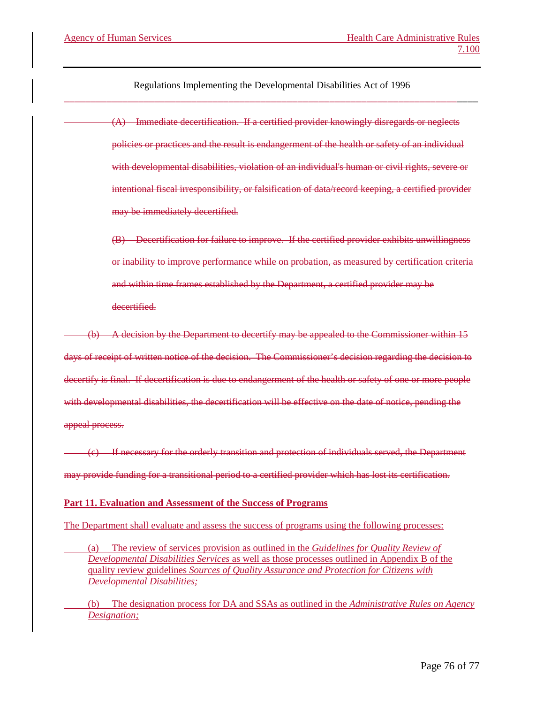> (A) Immediate decertification. If a certified provider knowingly disregards or neglects policies or practices and the result is endangerment of the health or safety of an individual with developmental disabilities, violation of an individual's human or civil rights, severe or intentional fiscal irresponsibility, or falsification of data/record keeping, a certified provider may be immediately decertified.

> (B) Decertification for failure to improve. If the certified provider exhibits unwillingness or inability to improve performance while on probation, as measured by certification criteria and within time frames established by the Department, a certified provider may be decertified.

(b) A decision by the Department to decertify may be appealed to the Commissioner within 15 days of receipt of written notice of the decision. The Commissioner's decision regarding the decision to decertify is final. If decertification is due to endangerment of the health or safety of one or more people with developmental disabilities, the decertification will be effective on the date of notice, pending the appeal process.

(c) If necessary for the orderly transition and protection of individuals served, the Department may provide funding for a transitional period to a certified provider which has lost its certification.

## **Part 11. Evaluation and Assessment of the Success of Programs**

The Department shall evaluate and assess the success of programs using the following processes:

(a) The review of services provision as outlined in the *Guidelines for Quality Review of Developmental Disabilities Services* as well as those processes outlined in Appendix B of the quality review guidelines *Sources of Quality Assurance and Protection for Citizens with Developmental Disabilities;*

(b) The designation process for DA and SSAs as outlined in the *Administrative Rules on Agency Designation;*